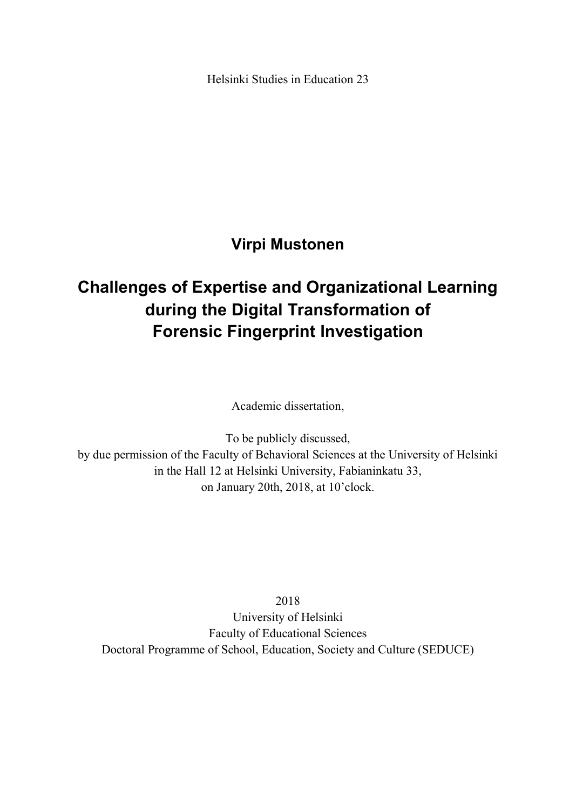Helsinki Studies in Education 23

**Virpi Mustonen** 

# **Challenges of Expertise and Organizational Learning during the Digital Transformation of Forensic Fingerprint Investigation**

Academic dissertation,

To be publicly discussed, by due permission of the Faculty of Behavioral Sciences at the University of Helsinki in the Hall 12 at Helsinki University, Fabianinkatu 33, on January 20th, 2018, at 10'clock.

2018

University of Helsinki Faculty of Educational Sciences Doctoral Programme of School, Education, Society and Culture (SEDUCE)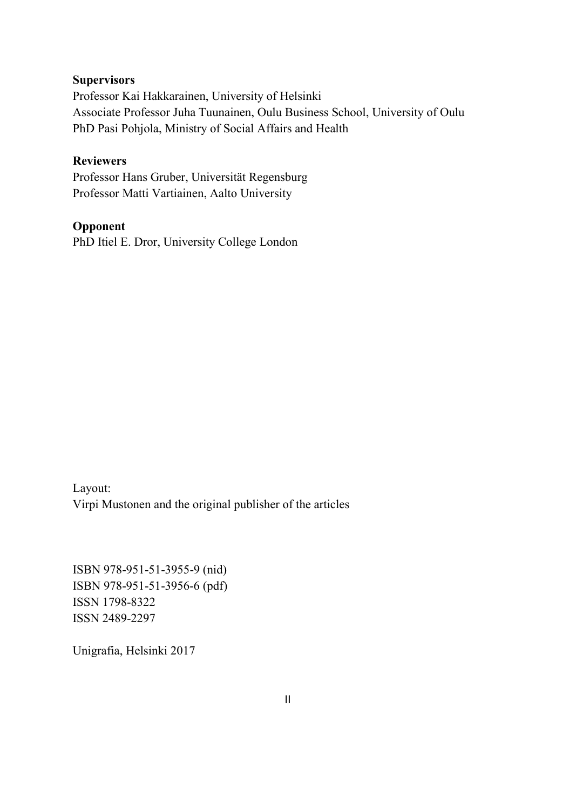### **Supervisors**

Professor Kai Hakkarainen, University of Helsinki Associate Professor Juha Tuunainen, Oulu Business School, University of Oulu PhD Pasi Pohjola, Ministry of Social Affairs and Health

#### **Reviewers**

Professor Hans Gruber, Universität Regensburg Professor Matti Vartiainen, Aalto University

### **Opponent**

PhD Itiel E. Dror, University College London

Layout: Virpi Mustonen and the original publisher of the articles

ISBN 978-951-51-3955-9 (nid) ISBN 978-951-51-3956-6 (pdf) ISSN 1798-8322 ISSN 2489-2297

Unigrafia, Helsinki 2017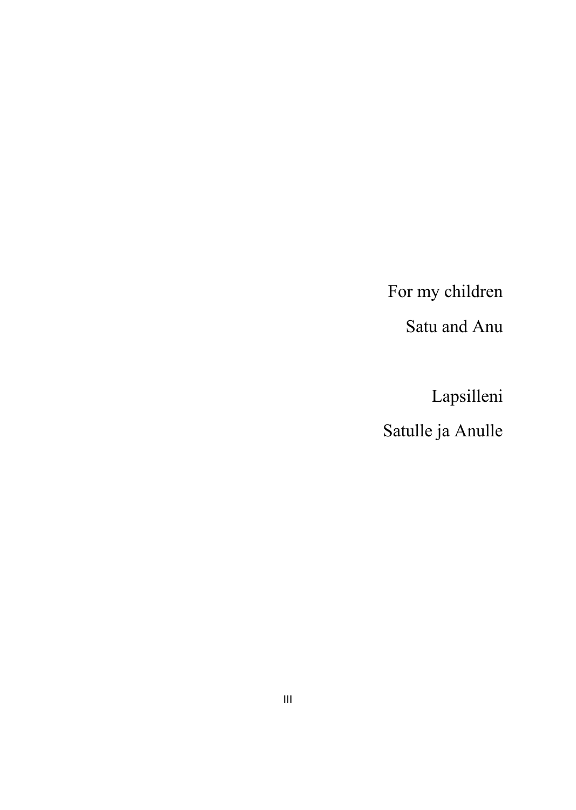For my children

Satu and Anu

 Lapsilleni Satulle ja Anulle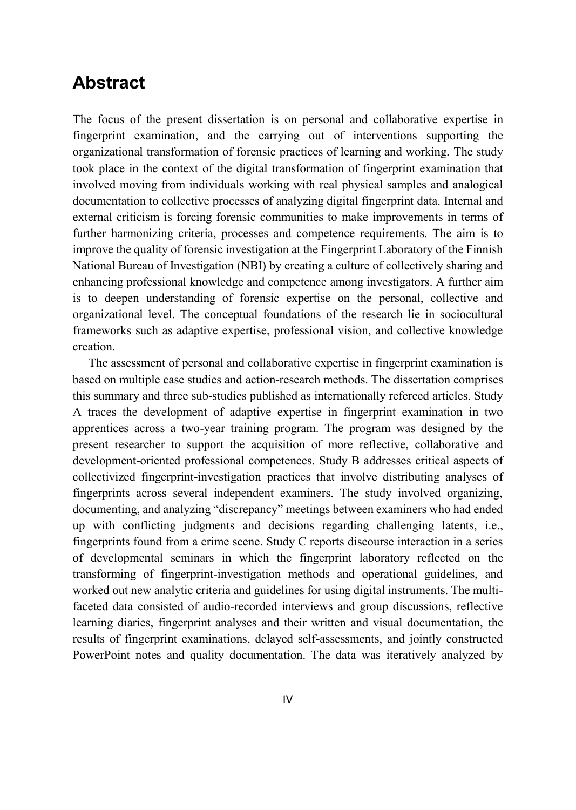## **Abstract**

The focus of the present dissertation is on personal and collaborative expertise in fingerprint examination, and the carrying out of interventions supporting the organizational transformation of forensic practices of learning and working. The study took place in the context of the digital transformation of fingerprint examination that involved moving from individuals working with real physical samples and analogical documentation to collective processes of analyzing digital fingerprint data. Internal and external criticism is forcing forensic communities to make improvements in terms of further harmonizing criteria, processes and competence requirements. The aim is to improve the quality of forensic investigation at the Fingerprint Laboratory of the Finnish National Bureau of Investigation (NBI) by creating a culture of collectively sharing and enhancing professional knowledge and competence among investigators. A further aim is to deepen understanding of forensic expertise on the personal, collective and organizational level. The conceptual foundations of the research lie in sociocultural frameworks such as adaptive expertise, professional vision, and collective knowledge creation.

The assessment of personal and collaborative expertise in fingerprint examination is based on multiple case studies and action-research methods. The dissertation comprises this summary and three sub-studies published as internationally refereed articles. Study A traces the development of adaptive expertise in fingerprint examination in two apprentices across a two-year training program. The program was designed by the present researcher to support the acquisition of more reflective, collaborative and development-oriented professional competences. Study B addresses critical aspects of collectivized fingerprint-investigation practices that involve distributing analyses of fingerprints across several independent examiners. The study involved organizing, documenting, and analyzing "discrepancy" meetings between examiners who had ended up with conflicting judgments and decisions regarding challenging latents, i.e., fingerprints found from a crime scene. Study C reports discourse interaction in a series of developmental seminars in which the fingerprint laboratory reflected on the transforming of fingerprint-investigation methods and operational guidelines, and worked out new analytic criteria and guidelines for using digital instruments. The multifaceted data consisted of audio-recorded interviews and group discussions, reflective learning diaries, fingerprint analyses and their written and visual documentation, the results of fingerprint examinations, delayed self-assessments, and jointly constructed PowerPoint notes and quality documentation. The data was iteratively analyzed by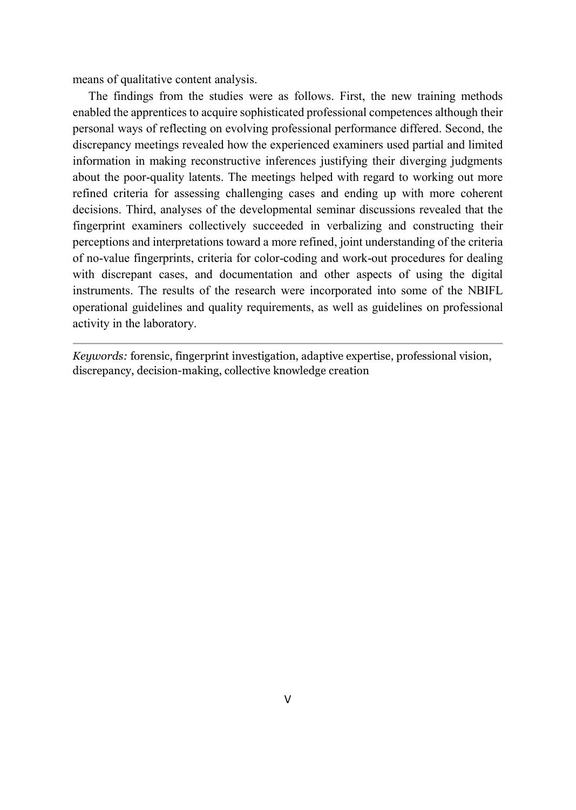means of qualitative content analysis.

The findings from the studies were as follows. First, the new training methods enabled the apprentices to acquire sophisticated professional competences although their personal ways of reflecting on evolving professional performance differed. Second, the discrepancy meetings revealed how the experienced examiners used partial and limited information in making reconstructive inferences justifying their diverging judgments about the poor-quality latents. The meetings helped with regard to working out more refined criteria for assessing challenging cases and ending up with more coherent decisions. Third, analyses of the developmental seminar discussions revealed that the fingerprint examiners collectively succeeded in verbalizing and constructing their perceptions and interpretations toward a more refined, joint understanding of the criteria of no-value fingerprints, criteria for color-coding and work-out procedures for dealing with discrepant cases, and documentation and other aspects of using the digital instruments. The results of the research were incorporated into some of the NBIFL operational guidelines and quality requirements, as well as guidelines on professional activity in the laboratory.

*Keywords:* forensic, fingerprint investigation, adaptive expertise, professional vision, discrepancy, decision-making, collective knowledge creation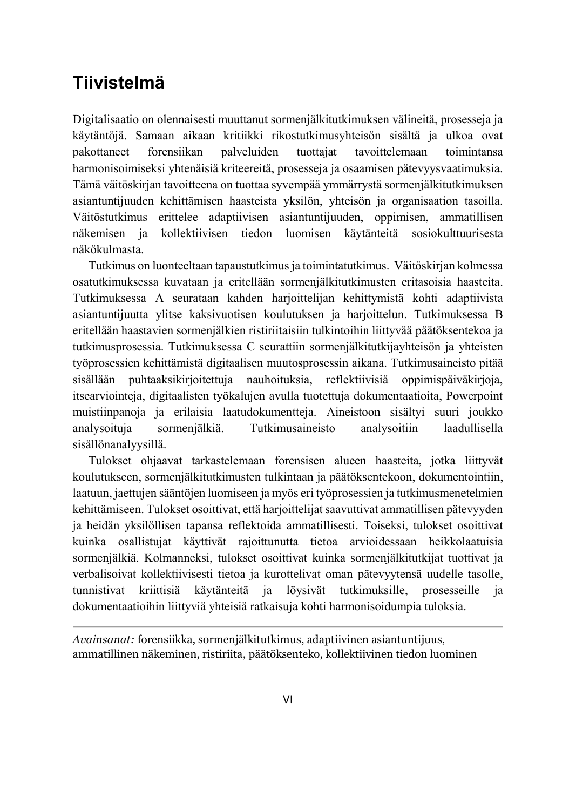## **Tiivistelmä**

Digitalisaatio on olennaisesti muuttanut sormenjälkitutkimuksen välineitä, prosesseja ja käytäntöjä. Samaan aikaan kritiikki rikostutkimusyhteisön sisältä ja ulkoa ovat pakottaneet forensiikan palveluiden tuottajat tavoittelemaan toimintansa harmonisoimiseksi yhtenäisiä kriteereitä, prosesseja ja osaamisen pätevyysvaatimuksia. Tämä väitöskirjan tavoitteena on tuottaa syvempää ymmärrystä sormenjälkitutkimuksen asiantuntijuuden kehittämisen haasteista yksilön, yhteisön ja organisaation tasoilla. Väitöstutkimus erittelee adaptiivisen asiantuntijuuden, oppimisen, ammatillisen näkemisen ja kollektiivisen tiedon luomisen käytänteitä sosiokulttuurisesta näkökulmasta.

Tutkimus on luonteeltaan tapaustutkimus ja toimintatutkimus. Väitöskirjan kolmessa osatutkimuksessa kuvataan ja eritellään sormenjälkitutkimusten eritasoisia haasteita. Tutkimuksessa A seurataan kahden harjoittelijan kehittymistä kohti adaptiivista asiantuntijuutta ylitse kaksivuotisen koulutuksen ja harjoittelun. Tutkimuksessa B eritellään haastavien sormenjälkien ristiriitaisiin tulkintoihin liittyvää päätöksentekoa ja tutkimusprosessia. Tutkimuksessa C seurattiin sormenjälkitutkijayhteisön ja yhteisten työprosessien kehittämistä digitaalisen muutosprosessin aikana. Tutkimusaineisto pitää sisällään puhtaaksikirjoitettuja nauhoituksia, reflektiivisiä oppimispäiväkirjoja, itsearviointeja, digitaalisten työkalujen avulla tuotettuja dokumentaatioita, Powerpoint muistiinpanoja ja erilaisia laatudokumentteja. Aineistoon sisältyi suuri joukko analysoituja sormenjälkiä. Tutkimusaineisto analysoitiin laadullisella sisällönanalyysillä.

Tulokset ohjaavat tarkastelemaan forensisen alueen haasteita, jotka liittyvät koulutukseen, sormenjälkitutkimusten tulkintaan ja päätöksentekoon, dokumentointiin, laatuun, jaettujen sääntöjen luomiseen ja myös eri työprosessien ja tutkimusmenetelmien kehittämiseen. Tulokset osoittivat, että harjoittelijat saavuttivat ammatillisen pätevyyden ja heidän yksilöllisen tapansa reflektoida ammatillisesti. Toiseksi, tulokset osoittivat kuinka osallistujat käyttivät rajoittunutta tietoa arvioidessaan heikkolaatuisia sormenjälkiä. Kolmanneksi, tulokset osoittivat kuinka sormenjälkitutkijat tuottivat ja verbalisoivat kollektiivisesti tietoa ja kurottelivat oman pätevyytensä uudelle tasolle, tunnistivat kriittisiä käytänteitä ja löysivät tutkimuksille, prosesseille ja dokumentaatioihin liittyviä yhteisiä ratkaisuja kohti harmonisoidumpia tuloksia.

*Avainsanat:* forensiikka, sormenjälkitutkimus, adaptiivinen asiantuntijuus, ammatillinen näkeminen, ristiriita, päätöksenteko, kollektiivinen tiedon luominen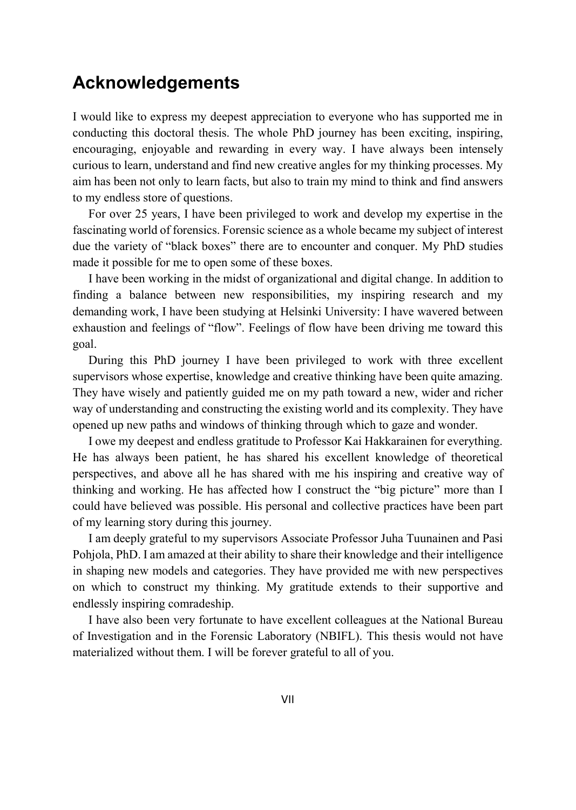## **Acknowledgements**

I would like to express my deepest appreciation to everyone who has supported me in conducting this doctoral thesis. The whole PhD journey has been exciting, inspiring, encouraging, enjoyable and rewarding in every way. I have always been intensely curious to learn, understand and find new creative angles for my thinking processes. My aim has been not only to learn facts, but also to train my mind to think and find answers to my endless store of questions.

For over 25 years, I have been privileged to work and develop my expertise in the fascinating world of forensics. Forensic science as a whole became my subject of interest due the variety of "black boxes" there are to encounter and conquer. My PhD studies made it possible for me to open some of these boxes.

I have been working in the midst of organizational and digital change. In addition to finding a balance between new responsibilities, my inspiring research and my demanding work, I have been studying at Helsinki University: I have wavered between exhaustion and feelings of "flow". Feelings of flow have been driving me toward this goal.

During this PhD journey I have been privileged to work with three excellent supervisors whose expertise, knowledge and creative thinking have been quite amazing. They have wisely and patiently guided me on my path toward a new, wider and richer way of understanding and constructing the existing world and its complexity. They have opened up new paths and windows of thinking through which to gaze and wonder.

I owe my deepest and endless gratitude to Professor Kai Hakkarainen for everything. He has always been patient, he has shared his excellent knowledge of theoretical perspectives, and above all he has shared with me his inspiring and creative way of thinking and working. He has affected how I construct the "big picture" more than I could have believed was possible. His personal and collective practices have been part of my learning story during this journey.

I am deeply grateful to my supervisors Associate Professor Juha Tuunainen and Pasi Pohjola, PhD. I am amazed at their ability to share their knowledge and their intelligence in shaping new models and categories. They have provided me with new perspectives on which to construct my thinking. My gratitude extends to their supportive and endlessly inspiring comradeship.

I have also been very fortunate to have excellent colleagues at the National Bureau of Investigation and in the Forensic Laboratory (NBIFL). This thesis would not have materialized without them. I will be forever grateful to all of you.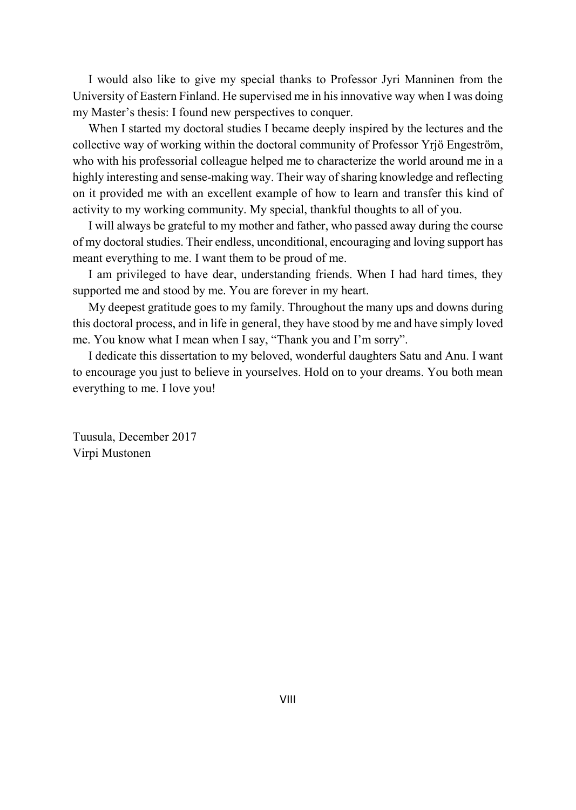I would also like to give my special thanks to Professor Jyri Manninen from the University of Eastern Finland. He supervised me in his innovative way when I was doing my Master's thesis: I found new perspectives to conquer.

When I started my doctoral studies I became deeply inspired by the lectures and the collective way of working within the doctoral community of Professor Yrjö Engeström, who with his professorial colleague helped me to characterize the world around me in a highly interesting and sense-making way. Their way of sharing knowledge and reflecting on it provided me with an excellent example of how to learn and transfer this kind of activity to my working community. My special, thankful thoughts to all of you.

I will always be grateful to my mother and father, who passed away during the course of my doctoral studies. Their endless, unconditional, encouraging and loving support has meant everything to me. I want them to be proud of me.

I am privileged to have dear, understanding friends. When I had hard times, they supported me and stood by me. You are forever in my heart.

My deepest gratitude goes to my family. Throughout the many ups and downs during this doctoral process, and in life in general, they have stood by me and have simply loved me. You know what I mean when I say, "Thank you and I'm sorry".

I dedicate this dissertation to my beloved, wonderful daughters Satu and Anu. I want to encourage you just to believe in yourselves. Hold on to your dreams. You both mean everything to me. I love you!

Tuusula, December 2017 Virpi Mustonen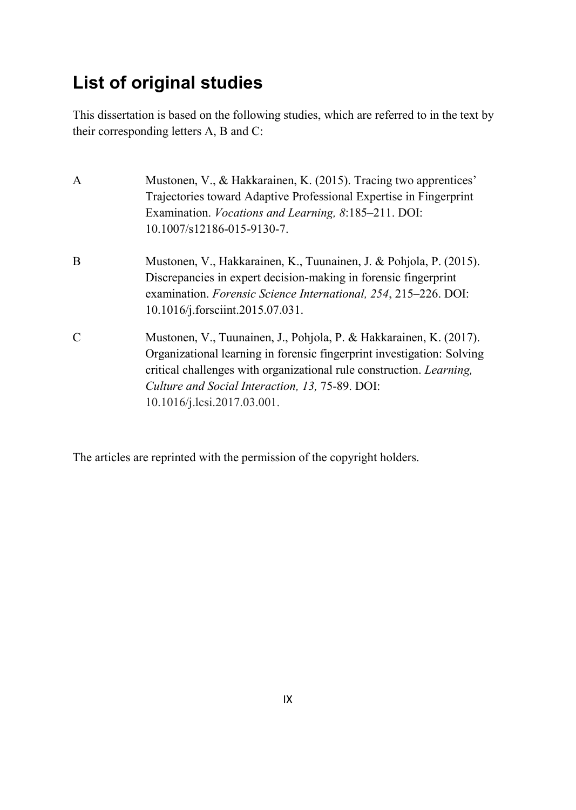# **List of original studies**

This dissertation is based on the following studies, which are referred to in the text by their corresponding letters A, B and C:

| $\mathbf{A}$  | Mustonen, V., & Hakkarainen, K. (2015). Tracing two apprentices'<br>Trajectories toward Adaptive Professional Expertise in Fingerprint<br>Examination. <i>Vocations and Learning</i> , 8:185–211. DOI:<br>10.1007/s12186-015-9130-7.                                                                           |
|---------------|----------------------------------------------------------------------------------------------------------------------------------------------------------------------------------------------------------------------------------------------------------------------------------------------------------------|
| B             | Mustonen, V., Hakkarainen, K., Tuunainen, J. & Pohjola, P. (2015).<br>Discrepancies in expert decision-making in forensic fingerprint<br>examination. Forensic Science International, 254, 215-226. DOI:<br>10.1016/j.forsciint.2015.07.031.                                                                   |
| $\mathcal{C}$ | Mustonen, V., Tuunainen, J., Pohjola, P. & Hakkarainen, K. (2017).<br>Organizational learning in forensic fingerprint investigation: Solving<br>critical challenges with organizational rule construction. <i>Learning</i> ,<br>Culture and Social Interaction, 13, 75-89. DOI:<br>10.1016/j.lcsi.2017.03.001. |

The articles are reprinted with the permission of the copyright holders.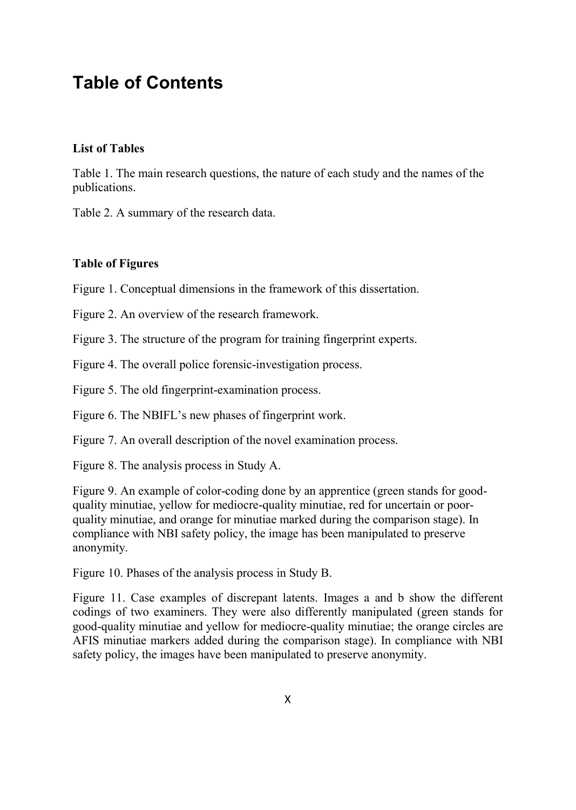# **Table of Contents**

### **List of Tables**

Table 1. The main research questions, the nature of each study and the names of the publications.

Table 2. A summary of the research data.

#### **Table of Figures**

Figure 1. Conceptual dimensions in the framework of this dissertation.

Figure 2. An overview of the research framework.

Figure 3. The structure of the program for training fingerprint experts.

Figure 4. The overall police forensic-investigation process.

Figure 5. The old fingerprint-examination process.

Figure 6. The NBIFL's new phases of fingerprint work.

Figure 7. An overall description of the novel examination process.

Figure 8. The analysis process in Study A.

Figure 9. An example of color-coding done by an apprentice (green stands for goodquality minutiae, yellow for mediocre-quality minutiae, red for uncertain or poorquality minutiae, and orange for minutiae marked during the comparison stage). In compliance with NBI safety policy, the image has been manipulated to preserve anonymity.

Figure 10. Phases of the analysis process in Study B.

Figure 11. Case examples of discrepant latents. Images a and b show the different codings of two examiners. They were also differently manipulated (green stands for good-quality minutiae and yellow for mediocre-quality minutiae; the orange circles are AFIS minutiae markers added during the comparison stage). In compliance with NBI safety policy, the images have been manipulated to preserve anonymity.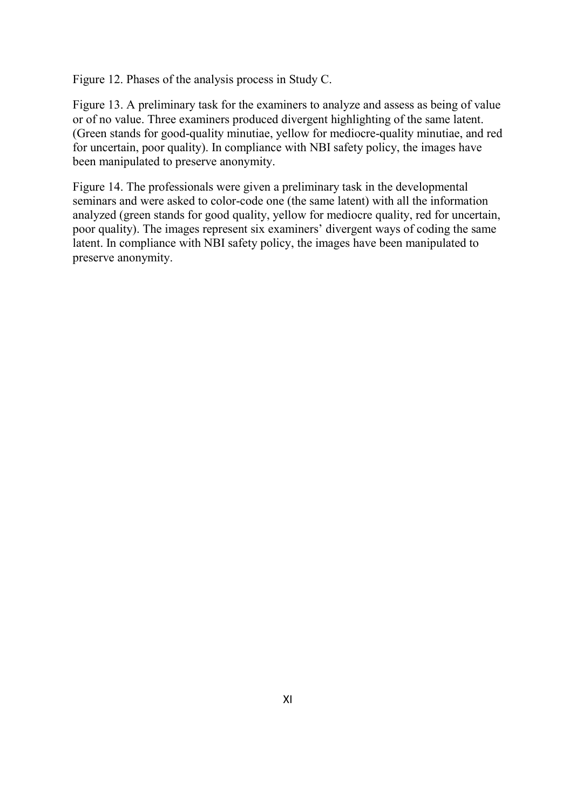Figure 12. Phases of the analysis process in Study C.

Figure 13. A preliminary task for the examiners to analyze and assess as being of value or of no value. Three examiners produced divergent highlighting of the same latent. (Green stands for good-quality minutiae, yellow for mediocre-quality minutiae, and red for uncertain, poor quality). In compliance with NBI safety policy, the images have been manipulated to preserve anonymity.

Figure 14. The professionals were given a preliminary task in the developmental seminars and were asked to color-code one (the same latent) with all the information analyzed (green stands for good quality, yellow for mediocre quality, red for uncertain, poor quality). The images represent six examiners' divergent ways of coding the same latent. In compliance with NBI safety policy, the images have been manipulated to preserve anonymity.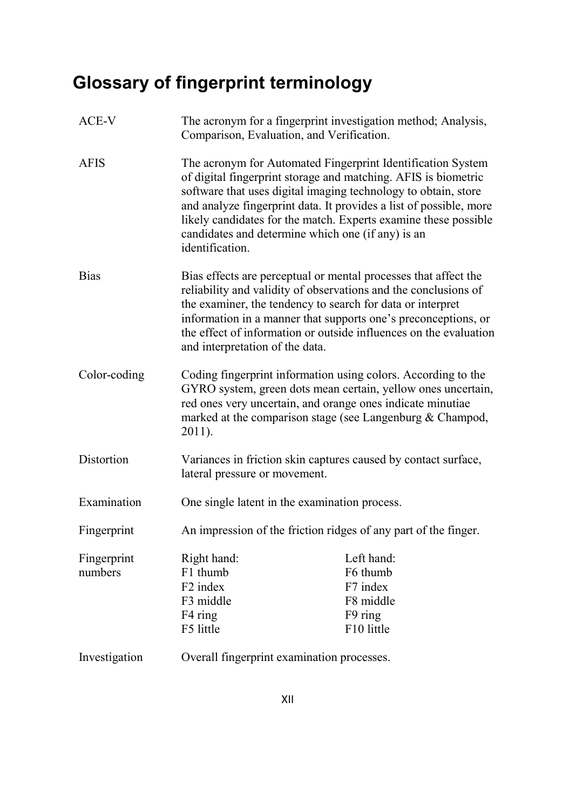# **Glossary of fingerprint terminology**

| ACE-V         | The acronym for a fingerprint investigation method; Analysis,<br>Comparison, Evaluation, and Verification.                                                                                                                                                                                                                                                                                                       |            |  |
|---------------|------------------------------------------------------------------------------------------------------------------------------------------------------------------------------------------------------------------------------------------------------------------------------------------------------------------------------------------------------------------------------------------------------------------|------------|--|
| <b>AFIS</b>   | The acronym for Automated Fingerprint Identification System<br>of digital fingerprint storage and matching. AFIS is biometric<br>software that uses digital imaging technology to obtain, store<br>and analyze fingerprint data. It provides a list of possible, more<br>likely candidates for the match. Experts examine these possible<br>candidates and determine which one (if any) is an<br>identification. |            |  |
| <b>Bias</b>   | Bias effects are perceptual or mental processes that affect the<br>reliability and validity of observations and the conclusions of<br>the examiner, the tendency to search for data or interpret<br>information in a manner that supports one's preconceptions, or<br>the effect of information or outside influences on the evaluation<br>and interpretation of the data.                                       |            |  |
| Color-coding  | Coding fingerprint information using colors. According to the<br>GYRO system, green dots mean certain, yellow ones uncertain,<br>red ones very uncertain, and orange ones indicate minutiae<br>marked at the comparison stage (see Langenburg & Champod,<br>$2011$ ).                                                                                                                                            |            |  |
| Distortion    | Variances in friction skin captures caused by contact surface,<br>lateral pressure or movement.                                                                                                                                                                                                                                                                                                                  |            |  |
| Examination   | One single latent in the examination process.                                                                                                                                                                                                                                                                                                                                                                    |            |  |
| Fingerprint   | An impression of the friction ridges of any part of the finger.                                                                                                                                                                                                                                                                                                                                                  |            |  |
| Fingerprint   | Right hand:                                                                                                                                                                                                                                                                                                                                                                                                      | Left hand: |  |
| numbers       | F1 thumb                                                                                                                                                                                                                                                                                                                                                                                                         | F6 thumb   |  |
|               | F <sub>2</sub> index                                                                                                                                                                                                                                                                                                                                                                                             | F7 index   |  |
|               | F3 middle                                                                                                                                                                                                                                                                                                                                                                                                        | F8 middle  |  |
|               | F4 ring                                                                                                                                                                                                                                                                                                                                                                                                          | F9 ring    |  |
|               | F5 little                                                                                                                                                                                                                                                                                                                                                                                                        | F10 little |  |
| Investigation | Overall fingerprint examination processes.                                                                                                                                                                                                                                                                                                                                                                       |            |  |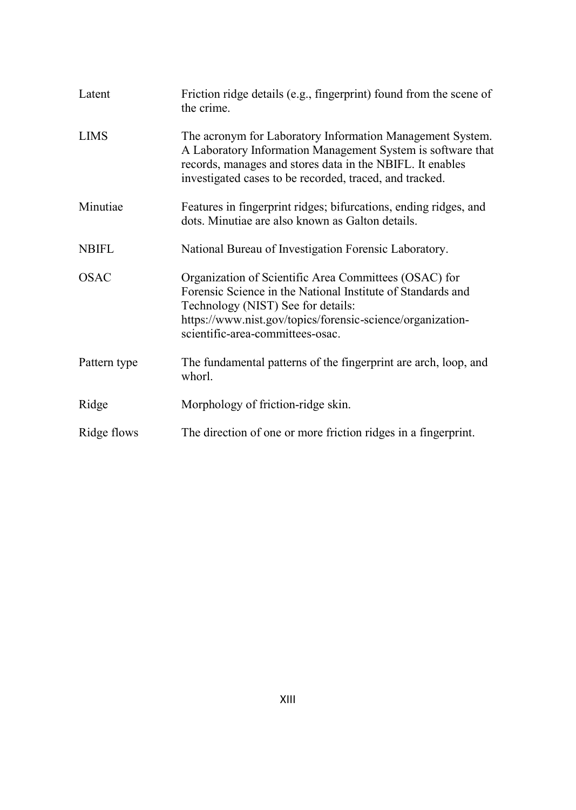| Latent       | Friction ridge details (e.g., fingerprint) found from the scene of<br>the crime.                                                                                                                                                                             |  |
|--------------|--------------------------------------------------------------------------------------------------------------------------------------------------------------------------------------------------------------------------------------------------------------|--|
| <b>LIMS</b>  | The acronym for Laboratory Information Management System.<br>A Laboratory Information Management System is software that<br>records, manages and stores data in the NBIFL. It enables<br>investigated cases to be recorded, traced, and tracked.             |  |
| Minutiae     | Features in fingerprint ridges; bifurcations, ending ridges, and<br>dots. Minutiae are also known as Galton details.                                                                                                                                         |  |
| <b>NBIFL</b> | National Bureau of Investigation Forensic Laboratory.                                                                                                                                                                                                        |  |
| <b>OSAC</b>  | Organization of Scientific Area Committees (OSAC) for<br>Forensic Science in the National Institute of Standards and<br>Technology (NIST) See for details:<br>https://www.nist.gov/topics/forensic-science/organization-<br>scientific-area-committees-osac. |  |
| Pattern type | The fundamental patterns of the fingerprint are arch, loop, and<br>whorl.                                                                                                                                                                                    |  |
| Ridge        | Morphology of friction-ridge skin.                                                                                                                                                                                                                           |  |
| Ridge flows  | The direction of one or more friction ridges in a fingerprint.                                                                                                                                                                                               |  |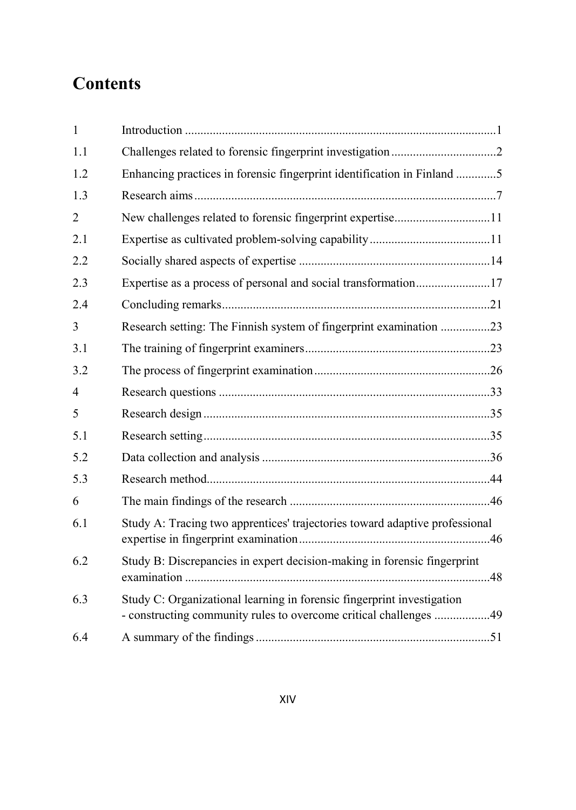# **Contents**

| $\mathbf{1}$   |                                                                                                                                             |  |
|----------------|---------------------------------------------------------------------------------------------------------------------------------------------|--|
| 1.1            |                                                                                                                                             |  |
| 1.2            | Enhancing practices in forensic fingerprint identification in Finland 5                                                                     |  |
| 1.3            |                                                                                                                                             |  |
| $\overline{2}$ | New challenges related to forensic fingerprint expertise11                                                                                  |  |
| 2.1            |                                                                                                                                             |  |
| 2.2            |                                                                                                                                             |  |
| 2.3            | Expertise as a process of personal and social transformation17                                                                              |  |
| 2.4            |                                                                                                                                             |  |
| 3              | Research setting: The Finnish system of fingerprint examination 23                                                                          |  |
| 3.1            |                                                                                                                                             |  |
| 3.2            |                                                                                                                                             |  |
| $\overline{4}$ |                                                                                                                                             |  |
| 5              |                                                                                                                                             |  |
| 5.1            |                                                                                                                                             |  |
| 5.2            |                                                                                                                                             |  |
| 5.3            |                                                                                                                                             |  |
| 6              |                                                                                                                                             |  |
| 6.1            | Study A: Tracing two apprentices' trajectories toward adaptive professional                                                                 |  |
| 6.2            | Study B: Discrepancies in expert decision-making in forensic fingerprint                                                                    |  |
| 6.3            | Study C: Organizational learning in forensic fingerprint investigation<br>- constructing community rules to overcome critical challenges 49 |  |
| 6.4            |                                                                                                                                             |  |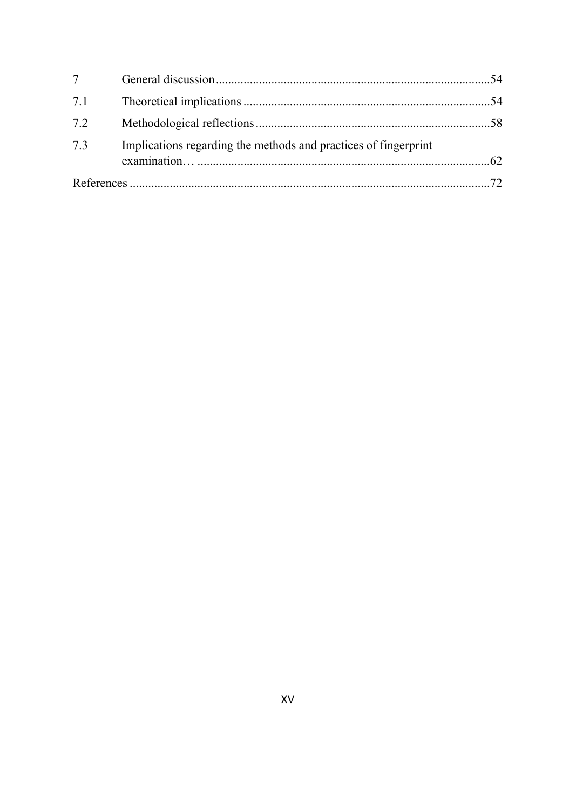| $7\degree$ |                                                                 |  |
|------------|-----------------------------------------------------------------|--|
| 7.1        |                                                                 |  |
| 7.2        |                                                                 |  |
| 7.3        | Implications regarding the methods and practices of fingerprint |  |
|            |                                                                 |  |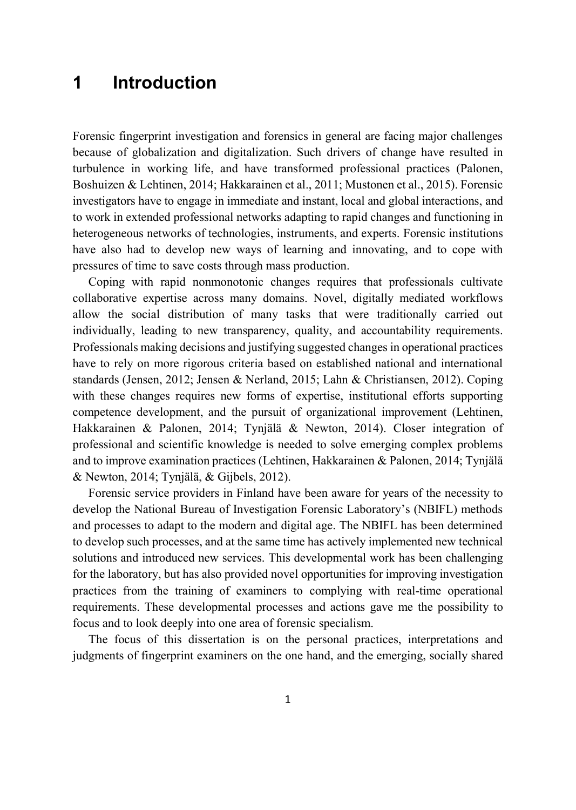# **1 Introduction**

Forensic fingerprint investigation and forensics in general are facing major challenges because of globalization and digitalization. Such drivers of change have resulted in turbulence in working life, and have transformed professional practices (Palonen, Boshuizen & Lehtinen, 2014; Hakkarainen et al., 2011; Mustonen et al., 2015). Forensic investigators have to engage in immediate and instant, local and global interactions, and to work in extended professional networks adapting to rapid changes and functioning in heterogeneous networks of technologies, instruments, and experts. Forensic institutions have also had to develop new ways of learning and innovating, and to cope with pressures of time to save costs through mass production.

Coping with rapid nonmonotonic changes requires that professionals cultivate collaborative expertise across many domains. Novel, digitally mediated workflows allow the social distribution of many tasks that were traditionally carried out individually, leading to new transparency, quality, and accountability requirements. Professionals making decisions and justifying suggested changes in operational practices have to rely on more rigorous criteria based on established national and international standards (Jensen, 2012; Jensen & Nerland, 2015; Lahn & Christiansen, 2012). Coping with these changes requires new forms of expertise, institutional efforts supporting competence development, and the pursuit of organizational improvement (Lehtinen, Hakkarainen & Palonen, 2014; Tynjälä & Newton, 2014). Closer integration of professional and scientific knowledge is needed to solve emerging complex problems and to improve examination practices (Lehtinen, Hakkarainen & Palonen, 2014; Tynjälä & Newton, 2014; Tynjälä, & Gijbels, 2012).

Forensic service providers in Finland have been aware for years of the necessity to develop the National Bureau of Investigation Forensic Laboratory's (NBIFL) methods and processes to adapt to the modern and digital age. The NBIFL has been determined to develop such processes, and at the same time has actively implemented new technical solutions and introduced new services. This developmental work has been challenging for the laboratory, but has also provided novel opportunities for improving investigation practices from the training of examiners to complying with real-time operational requirements. These developmental processes and actions gave me the possibility to focus and to look deeply into one area of forensic specialism.

The focus of this dissertation is on the personal practices, interpretations and judgments of fingerprint examiners on the one hand, and the emerging, socially shared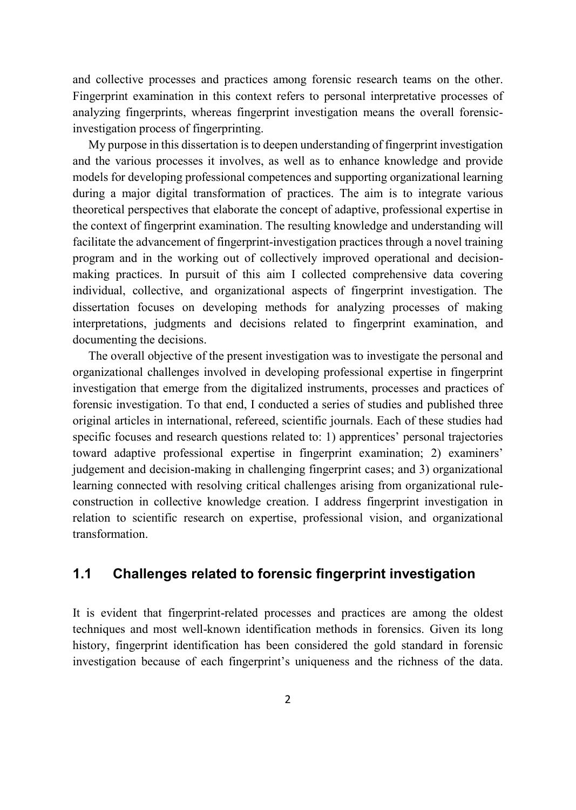and collective processes and practices among forensic research teams on the other. Fingerprint examination in this context refers to personal interpretative processes of analyzing fingerprints, whereas fingerprint investigation means the overall forensicinvestigation process of fingerprinting.

My purpose in this dissertation is to deepen understanding of fingerprint investigation and the various processes it involves, as well as to enhance knowledge and provide models for developing professional competences and supporting organizational learning during a major digital transformation of practices. The aim is to integrate various theoretical perspectives that elaborate the concept of adaptive, professional expertise in the context of fingerprint examination. The resulting knowledge and understanding will facilitate the advancement of fingerprint-investigation practices through a novel training program and in the working out of collectively improved operational and decisionmaking practices. In pursuit of this aim I collected comprehensive data covering individual, collective, and organizational aspects of fingerprint investigation. The dissertation focuses on developing methods for analyzing processes of making interpretations, judgments and decisions related to fingerprint examination, and documenting the decisions.

The overall objective of the present investigation was to investigate the personal and organizational challenges involved in developing professional expertise in fingerprint investigation that emerge from the digitalized instruments, processes and practices of forensic investigation. To that end, I conducted a series of studies and published three original articles in international, refereed, scientific journals. Each of these studies had specific focuses and research questions related to: 1) apprentices' personal trajectories toward adaptive professional expertise in fingerprint examination; 2) examiners' judgement and decision-making in challenging fingerprint cases; and 3) organizational learning connected with resolving critical challenges arising from organizational ruleconstruction in collective knowledge creation. I address fingerprint investigation in relation to scientific research on expertise, professional vision, and organizational transformation.

## **1.1 Challenges related to forensic fingerprint investigation**

It is evident that fingerprint-related processes and practices are among the oldest techniques and most well-known identification methods in forensics. Given its long history, fingerprint identification has been considered the gold standard in forensic investigation because of each fingerprint's uniqueness and the richness of the data.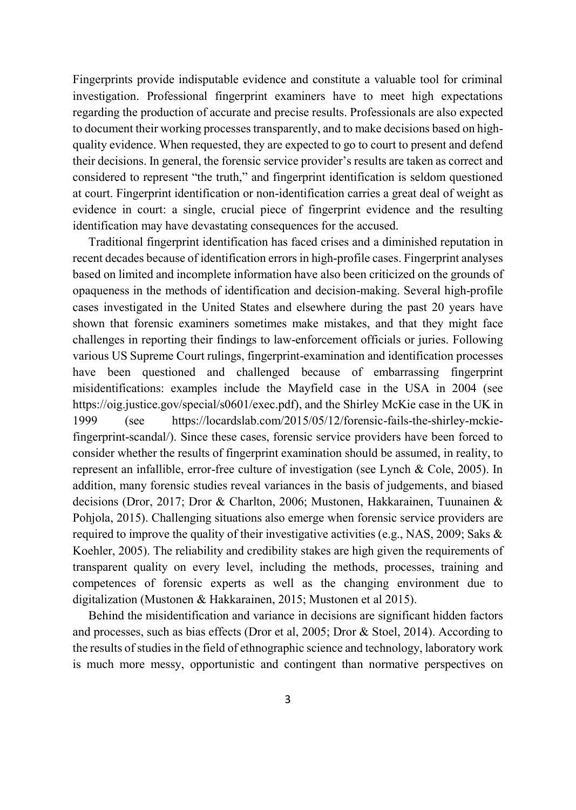Fingerprints provide indisputable evidence and constitute a valuable tool for criminal investigation. Professional fingerprint examiners have to meet high expectations regarding the production of accurate and precise results. Professionals are also expected to document their working processes transparently, and to make decisions based on highquality evidence. When requested, they are expected to go to court to present and defend their decisions. In general, the forensic service provider's results are taken as correct and considered to represent "the truth," and fingerprint identification is seldom questioned at court. Fingerprint identification or non-identification carries a great deal of weight as evidence in court: a single, crucial piece of fingerprint evidence and the resulting identification may have devastating consequences for the accused.

Traditional fingerprint identification has faced crises and a diminished reputation in recent decades because of identification errors in high-profile cases. Fingerprint analyses based on limited and incomplete information have also been criticized on the grounds of opaqueness in the methods of identification and decision-making. Several high-profile cases investigated in the United States and elsewhere during the past 20 years have shown that forensic examiners sometimes make mistakes, and that they might face challenges in reporting their findings to law-enforcement officials or juries. Following various US Supreme Court rulings, fingerprint-examination and identification processes have been questioned and challenged because of embarrassing fingerprint misidentifications: examples include the Mayfield case in the USA in 2004 (see https://oig.justice.gov/special/s0601/exec.pdf), and the Shirley McKie case in the UK in 1999 (see https://locardslab.com/2015/05/12/forensic-fails-the-shirley-mckiefingerprint-scandal/). Since these cases, forensic service providers have been forced to consider whether the results of fingerprint examination should be assumed, in reality, to represent an infallible, error-free culture of investigation (see Lynch & Cole, 2005). In addition, many forensic studies reveal variances in the basis of judgements, and biased decisions (Dror, 2017; Dror & Charlton, 2006; Mustonen, Hakkarainen, Tuunainen & Pohjola, 2015). Challenging situations also emerge when forensic service providers are required to improve the quality of their investigative activities (e.g., NAS, 2009; Saks  $\&$ Koehler, 2005). The reliability and credibility stakes are high given the requirements of transparent quality on every level, including the methods, processes, training and competences of forensic experts as well as the changing environment due to digitalization (Mustonen & Hakkarainen, 2015; Mustonen et al 2015).

Behind the misidentification and variance in decisions are significant hidden factors and processes, such as bias effects (Dror et al, 2005; Dror & Stoel, 2014). According to the results of studies in the field of ethnographic science and technology, laboratory work is much more messy, opportunistic and contingent than normative perspectives on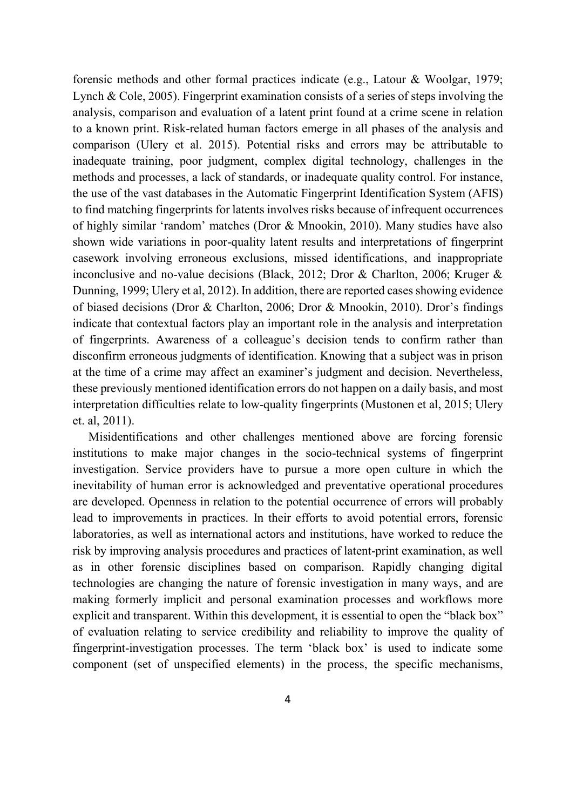forensic methods and other formal practices indicate (e.g., Latour & Woolgar, 1979; Lynch & Cole, 2005). Fingerprint examination consists of a series of steps involving the analysis, comparison and evaluation of a latent print found at a crime scene in relation to a known print. Risk-related human factors emerge in all phases of the analysis and comparison (Ulery et al. 2015). Potential risks and errors may be attributable to inadequate training, poor judgment, complex digital technology, challenges in the methods and processes, a lack of standards, or inadequate quality control. For instance, the use of the vast databases in the Automatic Fingerprint Identification System (AFIS) to find matching fingerprints for latents involves risks because of infrequent occurrences of highly similar 'random' matches (Dror & Mnookin, 2010). Many studies have also shown wide variations in poor-quality latent results and interpretations of fingerprint casework involving erroneous exclusions, missed identifications, and inappropriate inconclusive and no-value decisions (Black, 2012; Dror & Charlton, 2006; Kruger & Dunning, 1999; Ulery et al, 2012). In addition, there are reported cases showing evidence of biased decisions (Dror & Charlton, 2006; Dror & Mnookin, 2010). Dror's findings indicate that contextual factors play an important role in the analysis and interpretation of fingerprints. Awareness of a colleague's decision tends to confirm rather than disconfirm erroneous judgments of identification. Knowing that a subject was in prison at the time of a crime may affect an examiner's judgment and decision. Nevertheless, these previously mentioned identification errors do not happen on a daily basis, and most interpretation difficulties relate to low-quality fingerprints (Mustonen et al, 2015; Ulery et. al, 2011).

Misidentifications and other challenges mentioned above are forcing forensic institutions to make major changes in the socio-technical systems of fingerprint investigation. Service providers have to pursue a more open culture in which the inevitability of human error is acknowledged and preventative operational procedures are developed. Openness in relation to the potential occurrence of errors will probably lead to improvements in practices. In their efforts to avoid potential errors, forensic laboratories, as well as international actors and institutions, have worked to reduce the risk by improving analysis procedures and practices of latent-print examination, as well as in other forensic disciplines based on comparison. Rapidly changing digital technologies are changing the nature of forensic investigation in many ways, and are making formerly implicit and personal examination processes and workflows more explicit and transparent. Within this development, it is essential to open the "black box" of evaluation relating to service credibility and reliability to improve the quality of fingerprint-investigation processes. The term 'black box' is used to indicate some component (set of unspecified elements) in the process, the specific mechanisms,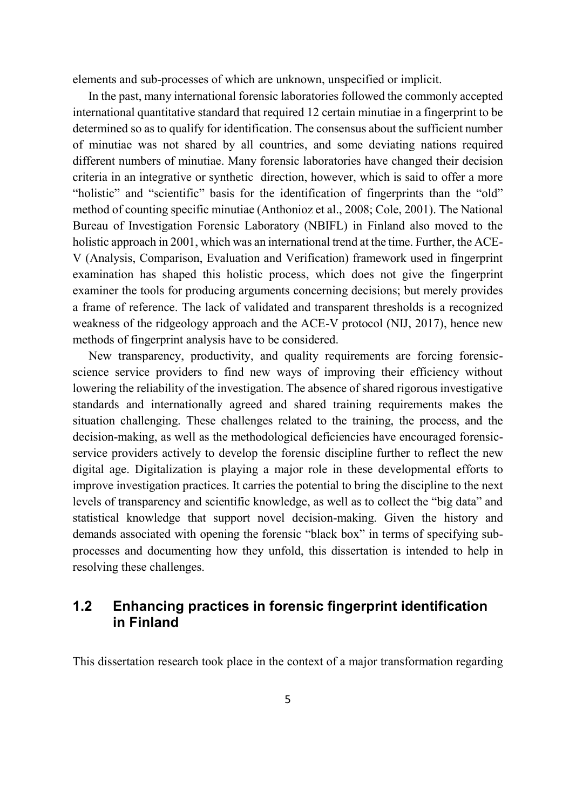elements and sub-processes of which are unknown, unspecified or implicit.

In the past, many international forensic laboratories followed the commonly accepted international quantitative standard that required 12 certain minutiae in a fingerprint to be determined so as to qualify for identification. The consensus about the sufficient number of minutiae was not shared by all countries, and some deviating nations required different numbers of minutiae. Many forensic laboratories have changed their decision criteria in an integrative or synthetic direction, however, which is said to offer a more "holistic" and "scientific" basis for the identification of fingerprints than the "old" method of counting specific minutiae (Anthonioz et al., 2008; Cole, 2001). The National Bureau of Investigation Forensic Laboratory (NBIFL) in Finland also moved to the holistic approach in 2001, which was an international trend at the time. Further, the ACE-V (Analysis, Comparison, Evaluation and Verification) framework used in fingerprint examination has shaped this holistic process, which does not give the fingerprint examiner the tools for producing arguments concerning decisions; but merely provides a frame of reference. The lack of validated and transparent thresholds is a recognized weakness of the ridgeology approach and the ACE-V protocol (NIJ, 2017), hence new methods of fingerprint analysis have to be considered.

New transparency, productivity, and quality requirements are forcing forensicscience service providers to find new ways of improving their efficiency without lowering the reliability of the investigation. The absence of shared rigorous investigative standards and internationally agreed and shared training requirements makes the situation challenging. These challenges related to the training, the process, and the decision-making, as well as the methodological deficiencies have encouraged forensicservice providers actively to develop the forensic discipline further to reflect the new digital age. Digitalization is playing a major role in these developmental efforts to improve investigation practices. It carries the potential to bring the discipline to the next levels of transparency and scientific knowledge, as well as to collect the "big data" and statistical knowledge that support novel decision-making. Given the history and demands associated with opening the forensic "black box" in terms of specifying subprocesses and documenting how they unfold, this dissertation is intended to help in resolving these challenges.

## **1.2 Enhancing practices in forensic fingerprint identification in Finland**

This dissertation research took place in the context of a major transformation regarding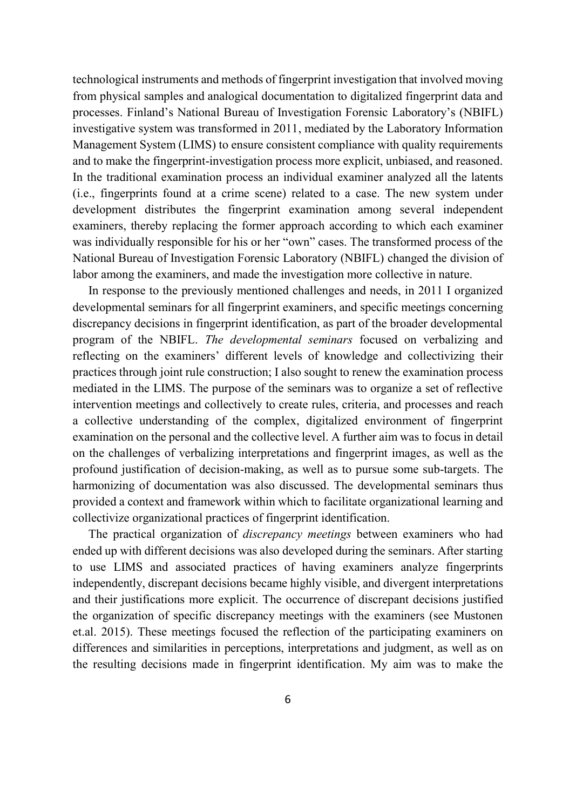technological instruments and methods of fingerprint investigation that involved moving from physical samples and analogical documentation to digitalized fingerprint data and processes. Finland's National Bureau of Investigation Forensic Laboratory's (NBIFL) investigative system was transformed in 2011, mediated by the Laboratory Information Management System (LIMS) to ensure consistent compliance with quality requirements and to make the fingerprint-investigation process more explicit, unbiased, and reasoned. In the traditional examination process an individual examiner analyzed all the latents (i.e., fingerprints found at a crime scene) related to a case. The new system under development distributes the fingerprint examination among several independent examiners, thereby replacing the former approach according to which each examiner was individually responsible for his or her "own" cases. The transformed process of the National Bureau of Investigation Forensic Laboratory (NBIFL) changed the division of labor among the examiners, and made the investigation more collective in nature.

In response to the previously mentioned challenges and needs, in 2011 I organized developmental seminars for all fingerprint examiners, and specific meetings concerning discrepancy decisions in fingerprint identification, as part of the broader developmental program of the NBIFL. *The developmental seminars* focused on verbalizing and reflecting on the examiners' different levels of knowledge and collectivizing their practices through joint rule construction; I also sought to renew the examination process mediated in the LIMS. The purpose of the seminars was to organize a set of reflective intervention meetings and collectively to create rules, criteria, and processes and reach a collective understanding of the complex, digitalized environment of fingerprint examination on the personal and the collective level. A further aim was to focus in detail on the challenges of verbalizing interpretations and fingerprint images, as well as the profound justification of decision-making, as well as to pursue some sub-targets. The harmonizing of documentation was also discussed. The developmental seminars thus provided a context and framework within which to facilitate organizational learning and collectivize organizational practices of fingerprint identification.

The practical organization of *discrepancy meetings* between examiners who had ended up with different decisions was also developed during the seminars. After starting to use LIMS and associated practices of having examiners analyze fingerprints independently, discrepant decisions became highly visible, and divergent interpretations and their justifications more explicit. The occurrence of discrepant decisions justified the organization of specific discrepancy meetings with the examiners (see Mustonen et.al. 2015). These meetings focused the reflection of the participating examiners on differences and similarities in perceptions, interpretations and judgment, as well as on the resulting decisions made in fingerprint identification. My aim was to make the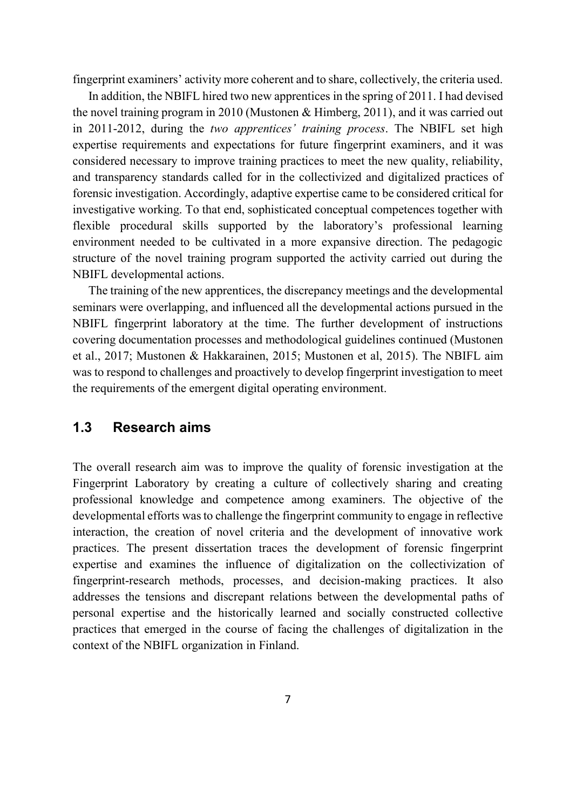fingerprint examiners' activity more coherent and to share, collectively, the criteria used.

In addition, the NBIFL hired two new apprentices in the spring of 2011. I had devised the novel training program in 2010 (Mustonen & Himberg, 2011), and it was carried out in 2011-2012, during the *two apprentices' training process*. The NBIFL set high expertise requirements and expectations for future fingerprint examiners, and it was considered necessary to improve training practices to meet the new quality, reliability, and transparency standards called for in the collectivized and digitalized practices of forensic investigation. Accordingly, adaptive expertise came to be considered critical for investigative working. To that end, sophisticated conceptual competences together with flexible procedural skills supported by the laboratory's professional learning environment needed to be cultivated in a more expansive direction. The pedagogic structure of the novel training program supported the activity carried out during the NBIFL developmental actions.

The training of the new apprentices, the discrepancy meetings and the developmental seminars were overlapping, and influenced all the developmental actions pursued in the NBIFL fingerprint laboratory at the time. The further development of instructions covering documentation processes and methodological guidelines continued (Mustonen et al., 2017; Mustonen & Hakkarainen, 2015; Mustonen et al, 2015). The NBIFL aim was to respond to challenges and proactively to develop fingerprint investigation to meet the requirements of the emergent digital operating environment.

## **1.3 Research aims**

The overall research aim was to improve the quality of forensic investigation at the Fingerprint Laboratory by creating a culture of collectively sharing and creating professional knowledge and competence among examiners. The objective of the developmental efforts was to challenge the fingerprint community to engage in reflective interaction, the creation of novel criteria and the development of innovative work practices. The present dissertation traces the development of forensic fingerprint expertise and examines the influence of digitalization on the collectivization of fingerprint-research methods, processes, and decision-making practices. It also addresses the tensions and discrepant relations between the developmental paths of personal expertise and the historically learned and socially constructed collective practices that emerged in the course of facing the challenges of digitalization in the context of the NBIFL organization in Finland.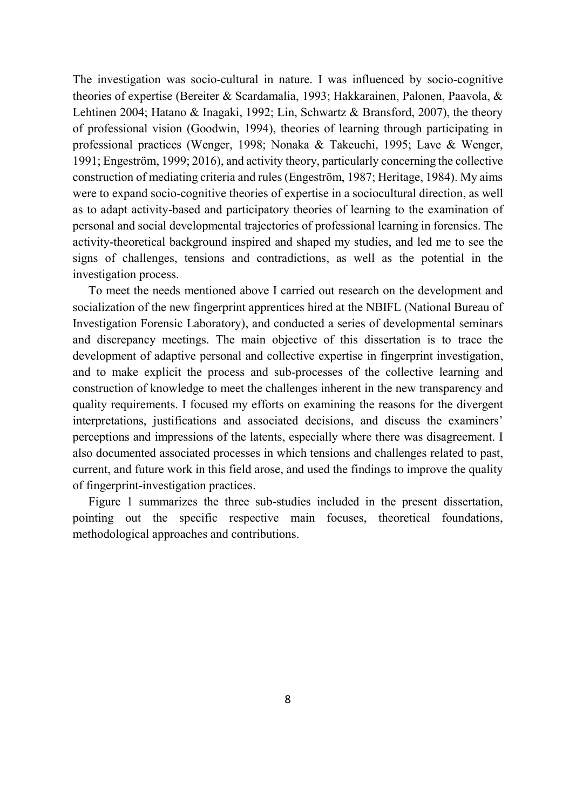The investigation was socio-cultural in nature. I was influenced by socio-cognitive theories of expertise (Bereiter & Scardamalia, 1993; Hakkarainen, Palonen, Paavola, & Lehtinen 2004; Hatano & Inagaki, 1992; Lin, Schwartz & Bransford, 2007), the theory of professional vision (Goodwin, 1994), theories of learning through participating in professional practices (Wenger, 1998; Nonaka & Takeuchi, 1995; Lave & Wenger, 1991; Engeström, 1999; 2016), and activity theory, particularly concerning the collective construction of mediating criteria and rules (Engeström, 1987; Heritage, 1984). My aims were to expand socio-cognitive theories of expertise in a sociocultural direction, as well as to adapt activity-based and participatory theories of learning to the examination of personal and social developmental trajectories of professional learning in forensics. The activity-theoretical background inspired and shaped my studies, and led me to see the signs of challenges, tensions and contradictions, as well as the potential in the investigation process.

To meet the needs mentioned above I carried out research on the development and socialization of the new fingerprint apprentices hired at the NBIFL (National Bureau of Investigation Forensic Laboratory), and conducted a series of developmental seminars and discrepancy meetings. The main objective of this dissertation is to trace the development of adaptive personal and collective expertise in fingerprint investigation, and to make explicit the process and sub-processes of the collective learning and construction of knowledge to meet the challenges inherent in the new transparency and quality requirements. I focused my efforts on examining the reasons for the divergent interpretations, justifications and associated decisions, and discuss the examiners' perceptions and impressions of the latents, especially where there was disagreement. I also documented associated processes in which tensions and challenges related to past, current, and future work in this field arose, and used the findings to improve the quality of fingerprint-investigation practices.

Figure 1 summarizes the three sub-studies included in the present dissertation, pointing out the specific respective main focuses, theoretical foundations, methodological approaches and contributions.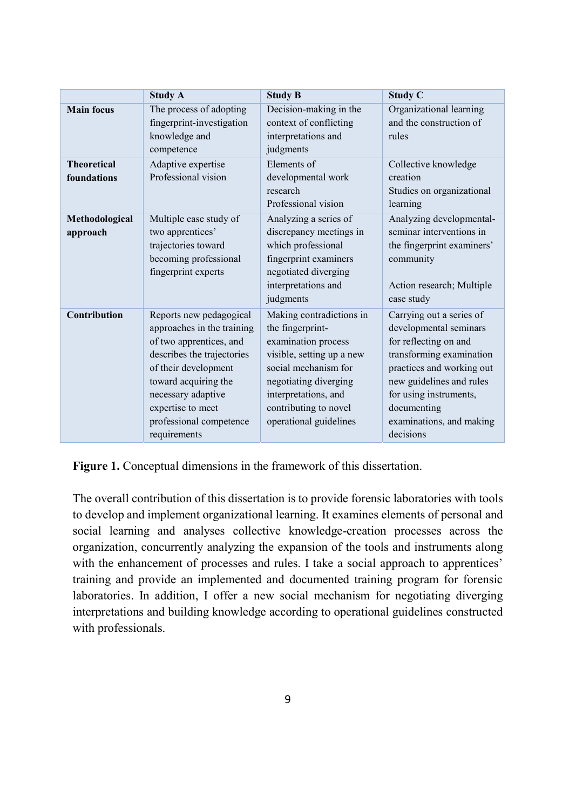|                                   | <b>Study A</b>                                                                                                                                                                                                                                       | <b>Study B</b>                                                                                                                                                                                                               | <b>Study C</b>                                                                                                                                                                                                                                     |
|-----------------------------------|------------------------------------------------------------------------------------------------------------------------------------------------------------------------------------------------------------------------------------------------------|------------------------------------------------------------------------------------------------------------------------------------------------------------------------------------------------------------------------------|----------------------------------------------------------------------------------------------------------------------------------------------------------------------------------------------------------------------------------------------------|
| <b>Main focus</b>                 | The process of adopting<br>fingerprint-investigation<br>knowledge and<br>competence                                                                                                                                                                  | Decision-making in the<br>context of conflicting<br>interpretations and<br>judgments                                                                                                                                         | Organizational learning<br>and the construction of<br>rules                                                                                                                                                                                        |
| <b>Theoretical</b><br>foundations | Adaptive expertise<br>Professional vision                                                                                                                                                                                                            | Elements of<br>developmental work<br>research<br>Professional vision                                                                                                                                                         | Collective knowledge<br>creation<br>Studies on organizational<br>learning                                                                                                                                                                          |
| Methodological<br>approach        | Multiple case study of<br>two apprentices'<br>trajectories toward<br>becoming professional<br>fingerprint experts                                                                                                                                    | Analyzing a series of<br>discrepancy meetings in<br>which professional<br>fingerprint examiners<br>negotiated diverging<br>interpretations and<br>judgments                                                                  | Analyzing developmental-<br>seminar interventions in<br>the fingerprint examiners'<br>community<br>Action research; Multiple<br>case study                                                                                                         |
| Contribution                      | Reports new pedagogical<br>approaches in the training<br>of two apprentices, and<br>describes the trajectories<br>of their development<br>toward acquiring the<br>necessary adaptive<br>expertise to meet<br>professional competence<br>requirements | Making contradictions in<br>the fingerprint-<br>examination process<br>visible, setting up a new<br>social mechanism for<br>negotiating diverging<br>interpretations, and<br>contributing to novel<br>operational guidelines | Carrying out a series of<br>developmental seminars<br>for reflecting on and<br>transforming examination<br>practices and working out<br>new guidelines and rules<br>for using instruments,<br>documenting<br>examinations, and making<br>decisions |

**Figure 1.** Conceptual dimensions in the framework of this dissertation.

The overall contribution of this dissertation is to provide forensic laboratories with tools to develop and implement organizational learning. It examines elements of personal and social learning and analyses collective knowledge-creation processes across the organization, concurrently analyzing the expansion of the tools and instruments along with the enhancement of processes and rules. I take a social approach to apprentices' training and provide an implemented and documented training program for forensic laboratories. In addition, I offer a new social mechanism for negotiating diverging interpretations and building knowledge according to operational guidelines constructed with professionals.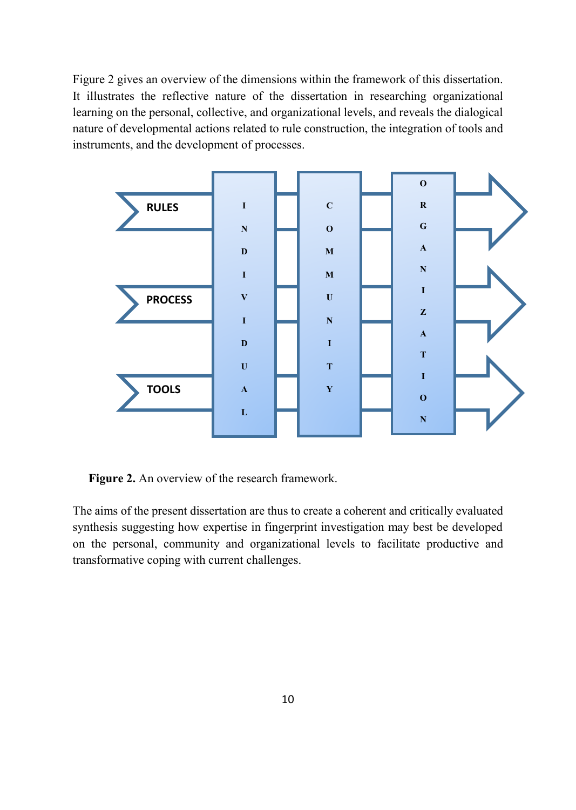Figure 2 gives an overview of the dimensions within the framework of this dissertation. It illustrates the reflective nature of the dissertation in researching organizational learning on the personal, collective, and organizational levels, and reveals the dialogical nature of developmental actions related to rule construction, the integration of tools and instruments, and the development of processes.



**Figure 2.** An overview of the research framework.

The aims of the present dissertation are thus to create a coherent and critically evaluated synthesis suggesting how expertise in fingerprint investigation may best be developed on the personal, community and organizational levels to facilitate productive and transformative coping with current challenges.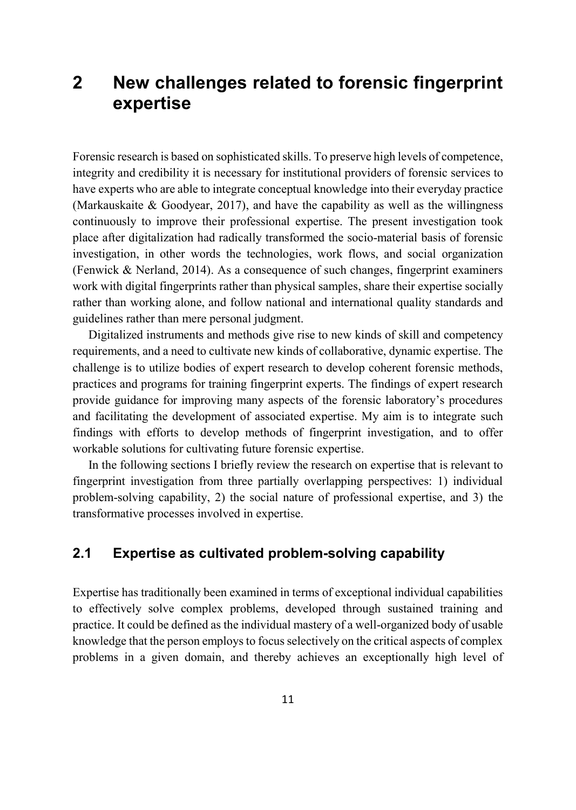# **2 New challenges related to forensic fingerprint expertise**

Forensic research is based on sophisticated skills. To preserve high levels of competence, integrity and credibility it is necessary for institutional providers of forensic services to have experts who are able to integrate conceptual knowledge into their everyday practice (Markauskaite & Goodyear, 2017), and have the capability as well as the willingness continuously to improve their professional expertise. The present investigation took place after digitalization had radically transformed the socio-material basis of forensic investigation, in other words the technologies, work flows, and social organization (Fenwick & Nerland, 2014). As a consequence of such changes, fingerprint examiners work with digital fingerprints rather than physical samples, share their expertise socially rather than working alone, and follow national and international quality standards and guidelines rather than mere personal judgment.

Digitalized instruments and methods give rise to new kinds of skill and competency requirements, and a need to cultivate new kinds of collaborative, dynamic expertise. The challenge is to utilize bodies of expert research to develop coherent forensic methods, practices and programs for training fingerprint experts. The findings of expert research provide guidance for improving many aspects of the forensic laboratory's procedures and facilitating the development of associated expertise. My aim is to integrate such findings with efforts to develop methods of fingerprint investigation, and to offer workable solutions for cultivating future forensic expertise.

In the following sections I briefly review the research on expertise that is relevant to fingerprint investigation from three partially overlapping perspectives: 1) individual problem-solving capability, 2) the social nature of professional expertise, and 3) the transformative processes involved in expertise.

## **2.1 Expertise as cultivated problem-solving capability**

Expertise has traditionally been examined in terms of exceptional individual capabilities to effectively solve complex problems, developed through sustained training and practice. It could be defined as the individual mastery of a well-organized body of usable knowledge that the person employs to focus selectively on the critical aspects of complex problems in a given domain, and thereby achieves an exceptionally high level of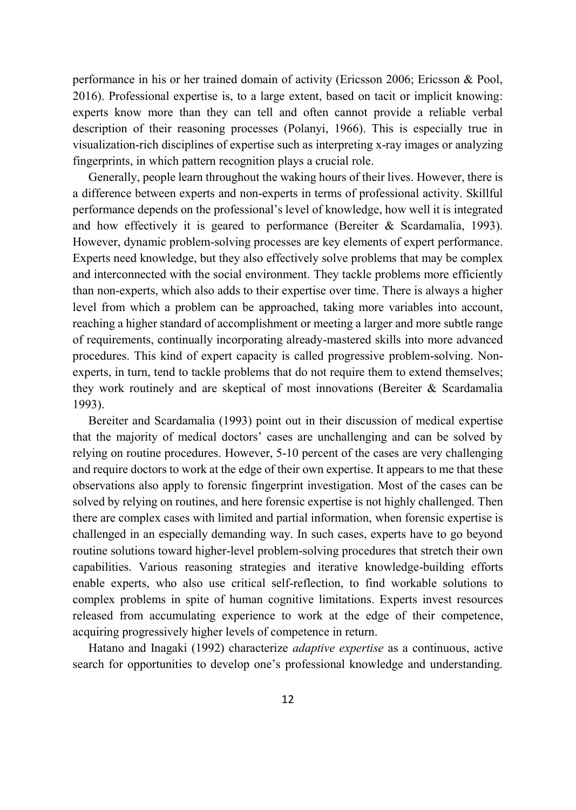performance in his or her trained domain of activity (Ericsson 2006; Ericsson & Pool, 2016). Professional expertise is, to a large extent, based on tacit or implicit knowing: experts know more than they can tell and often cannot provide a reliable verbal description of their reasoning processes (Polanyi, 1966). This is especially true in visualization-rich disciplines of expertise such as interpreting x-ray images or analyzing fingerprints, in which pattern recognition plays a crucial role.

Generally, people learn throughout the waking hours of their lives. However, there is a difference between experts and non-experts in terms of professional activity. Skillful performance depends on the professional's level of knowledge, how well it is integrated and how effectively it is geared to performance (Bereiter  $\&$  Scardamalia, 1993). However, dynamic problem-solving processes are key elements of expert performance. Experts need knowledge, but they also effectively solve problems that may be complex and interconnected with the social environment. They tackle problems more efficiently than non-experts, which also adds to their expertise over time. There is always a higher level from which a problem can be approached, taking more variables into account, reaching a higher standard of accomplishment or meeting a larger and more subtle range of requirements, continually incorporating already-mastered skills into more advanced procedures. This kind of expert capacity is called progressive problem-solving. Nonexperts, in turn, tend to tackle problems that do not require them to extend themselves; they work routinely and are skeptical of most innovations (Bereiter & Scardamalia 1993).

Bereiter and Scardamalia (1993) point out in their discussion of medical expertise that the majority of medical doctors' cases are unchallenging and can be solved by relying on routine procedures. However, 5-10 percent of the cases are very challenging and require doctors to work at the edge of their own expertise. It appears to me that these observations also apply to forensic fingerprint investigation. Most of the cases can be solved by relying on routines, and here forensic expertise is not highly challenged. Then there are complex cases with limited and partial information, when forensic expertise is challenged in an especially demanding way. In such cases, experts have to go beyond routine solutions toward higher-level problem-solving procedures that stretch their own capabilities. Various reasoning strategies and iterative knowledge-building efforts enable experts, who also use critical self-reflection, to find workable solutions to complex problems in spite of human cognitive limitations. Experts invest resources released from accumulating experience to work at the edge of their competence, acquiring progressively higher levels of competence in return.

Hatano and Inagaki (1992) characterize *adaptive expertise* as a continuous, active search for opportunities to develop one's professional knowledge and understanding.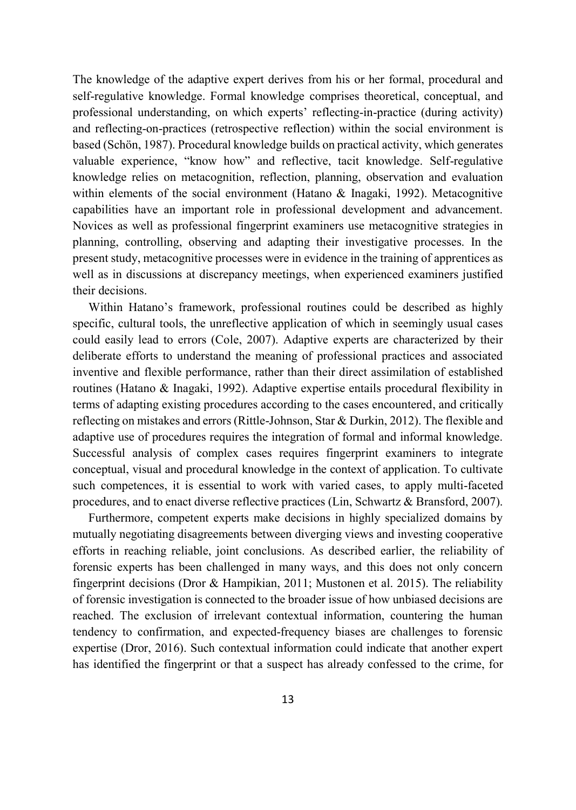The knowledge of the adaptive expert derives from his or her formal, procedural and self-regulative knowledge. Formal knowledge comprises theoretical, conceptual, and professional understanding, on which experts' reflecting-in-practice (during activity) and reflecting-on-practices (retrospective reflection) within the social environment is based (Schön, 1987). Procedural knowledge builds on practical activity, which generates valuable experience, "know how" and reflective, tacit knowledge. Self-regulative knowledge relies on metacognition, reflection, planning, observation and evaluation within elements of the social environment (Hatano & Inagaki, 1992). Metacognitive capabilities have an important role in professional development and advancement. Novices as well as professional fingerprint examiners use metacognitive strategies in planning, controlling, observing and adapting their investigative processes. In the present study, metacognitive processes were in evidence in the training of apprentices as well as in discussions at discrepancy meetings, when experienced examiners justified their decisions.

Within Hatano's framework, professional routines could be described as highly specific, cultural tools, the unreflective application of which in seemingly usual cases could easily lead to errors (Cole, 2007). Adaptive experts are characterized by their deliberate efforts to understand the meaning of professional practices and associated inventive and flexible performance, rather than their direct assimilation of established routines (Hatano & Inagaki, 1992). Adaptive expertise entails procedural flexibility in terms of adapting existing procedures according to the cases encountered, and critically reflecting on mistakes and errors (Rittle-Johnson, Star & Durkin, 2012). The flexible and adaptive use of procedures requires the integration of formal and informal knowledge. Successful analysis of complex cases requires fingerprint examiners to integrate conceptual, visual and procedural knowledge in the context of application. To cultivate such competences, it is essential to work with varied cases, to apply multi-faceted procedures, and to enact diverse reflective practices (Lin, Schwartz & Bransford, 2007).

Furthermore, competent experts make decisions in highly specialized domains by mutually negotiating disagreements between diverging views and investing cooperative efforts in reaching reliable, joint conclusions. As described earlier, the reliability of forensic experts has been challenged in many ways, and this does not only concern fingerprint decisions (Dror & Hampikian, 2011; Mustonen et al. 2015). The reliability of forensic investigation is connected to the broader issue of how unbiased decisions are reached. The exclusion of irrelevant contextual information, countering the human tendency to confirmation, and expected-frequency biases are challenges to forensic expertise (Dror, 2016). Such contextual information could indicate that another expert has identified the fingerprint or that a suspect has already confessed to the crime, for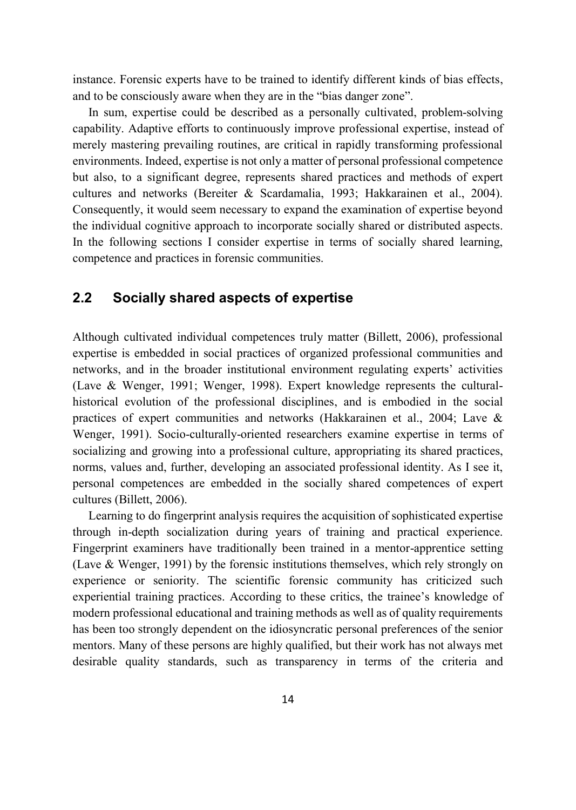instance. Forensic experts have to be trained to identify different kinds of bias effects, and to be consciously aware when they are in the "bias danger zone".

In sum, expertise could be described as a personally cultivated, problem-solving capability. Adaptive efforts to continuously improve professional expertise, instead of merely mastering prevailing routines, are critical in rapidly transforming professional environments. Indeed, expertise is not only a matter of personal professional competence but also, to a significant degree, represents shared practices and methods of expert cultures and networks (Bereiter & Scardamalia, 1993; Hakkarainen et al., 2004). Consequently, it would seem necessary to expand the examination of expertise beyond the individual cognitive approach to incorporate socially shared or distributed aspects. In the following sections I consider expertise in terms of socially shared learning, competence and practices in forensic communities.

## **2.2 Socially shared aspects of expertise**

Although cultivated individual competences truly matter (Billett, 2006), professional expertise is embedded in social practices of organized professional communities and networks, and in the broader institutional environment regulating experts' activities (Lave & Wenger, 1991; Wenger, 1998). Expert knowledge represents the culturalhistorical evolution of the professional disciplines, and is embodied in the social practices of expert communities and networks (Hakkarainen et al., 2004; Lave & Wenger, 1991). Socio-culturally-oriented researchers examine expertise in terms of socializing and growing into a professional culture, appropriating its shared practices, norms, values and, further, developing an associated professional identity. As I see it, personal competences are embedded in the socially shared competences of expert cultures (Billett, 2006).

Learning to do fingerprint analysis requires the acquisition of sophisticated expertise through in-depth socialization during years of training and practical experience. Fingerprint examiners have traditionally been trained in a mentor-apprentice setting (Lave & Wenger, 1991) by the forensic institutions themselves, which rely strongly on experience or seniority. The scientific forensic community has criticized such experiential training practices. According to these critics, the trainee's knowledge of modern professional educational and training methods as well as of quality requirements has been too strongly dependent on the idiosyncratic personal preferences of the senior mentors. Many of these persons are highly qualified, but their work has not always met desirable quality standards, such as transparency in terms of the criteria and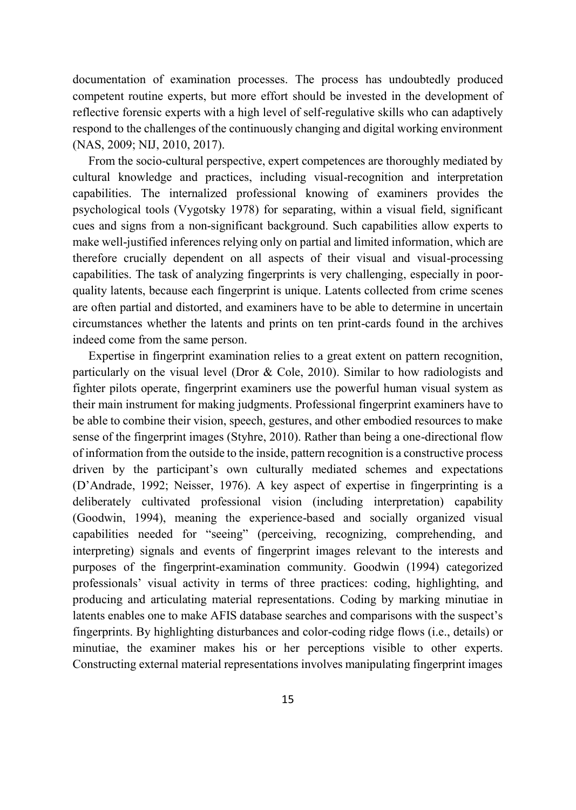documentation of examination processes. The process has undoubtedly produced competent routine experts, but more effort should be invested in the development of reflective forensic experts with a high level of self-regulative skills who can adaptively respond to the challenges of the continuously changing and digital working environment (NAS, 2009; NIJ, 2010, 2017).

From the socio-cultural perspective, expert competences are thoroughly mediated by cultural knowledge and practices, including visual-recognition and interpretation capabilities. The internalized professional knowing of examiners provides the psychological tools (Vygotsky 1978) for separating, within a visual field, significant cues and signs from a non-significant background. Such capabilities allow experts to make well-justified inferences relying only on partial and limited information, which are therefore crucially dependent on all aspects of their visual and visual-processing capabilities. The task of analyzing fingerprints is very challenging, especially in poorquality latents, because each fingerprint is unique. Latents collected from crime scenes are often partial and distorted, and examiners have to be able to determine in uncertain circumstances whether the latents and prints on ten print-cards found in the archives indeed come from the same person.

Expertise in fingerprint examination relies to a great extent on pattern recognition, particularly on the visual level (Dror & Cole, 2010). Similar to how radiologists and fighter pilots operate, fingerprint examiners use the powerful human visual system as their main instrument for making judgments. Professional fingerprint examiners have to be able to combine their vision, speech, gestures, and other embodied resources to make sense of the fingerprint images (Styhre, 2010). Rather than being a one-directional flow of information from the outside to the inside, pattern recognition is a constructive process driven by the participant's own culturally mediated schemes and expectations (D'Andrade, 1992; Neisser, 1976). A key aspect of expertise in fingerprinting is a deliberately cultivated professional vision (including interpretation) capability (Goodwin, 1994), meaning the experience-based and socially organized visual capabilities needed for "seeing" (perceiving, recognizing, comprehending, and interpreting) signals and events of fingerprint images relevant to the interests and purposes of the fingerprint-examination community. Goodwin (1994) categorized professionals' visual activity in terms of three practices: coding, highlighting, and producing and articulating material representations. Coding by marking minutiae in latents enables one to make AFIS database searches and comparisons with the suspect's fingerprints. By highlighting disturbances and color-coding ridge flows (i.e., details) or minutiae, the examiner makes his or her perceptions visible to other experts. Constructing external material representations involves manipulating fingerprint images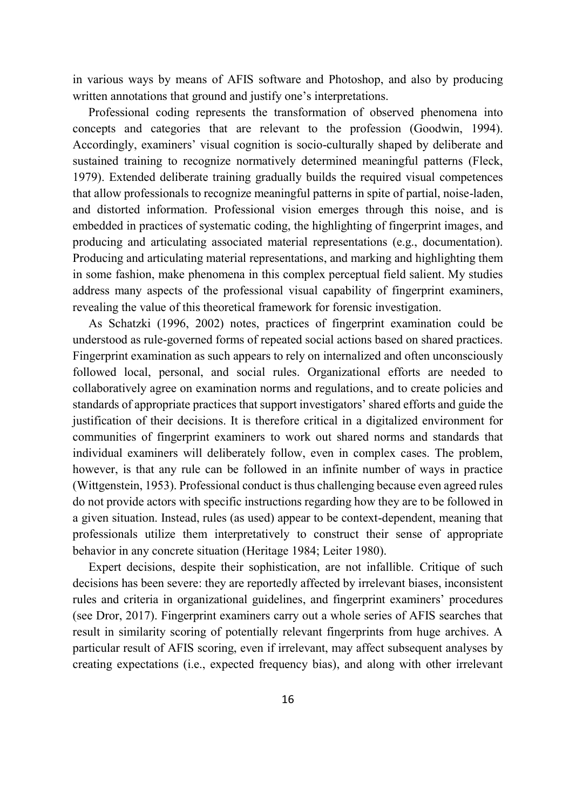in various ways by means of AFIS software and Photoshop, and also by producing written annotations that ground and justify one's interpretations.

Professional coding represents the transformation of observed phenomena into concepts and categories that are relevant to the profession (Goodwin, 1994). Accordingly, examiners' visual cognition is socio-culturally shaped by deliberate and sustained training to recognize normatively determined meaningful patterns (Fleck, 1979). Extended deliberate training gradually builds the required visual competences that allow professionals to recognize meaningful patterns in spite of partial, noise-laden, and distorted information. Professional vision emerges through this noise, and is embedded in practices of systematic coding, the highlighting of fingerprint images, and producing and articulating associated material representations (e.g., documentation). Producing and articulating material representations, and marking and highlighting them in some fashion, make phenomena in this complex perceptual field salient. My studies address many aspects of the professional visual capability of fingerprint examiners, revealing the value of this theoretical framework for forensic investigation.

As Schatzki (1996, 2002) notes, practices of fingerprint examination could be understood as rule-governed forms of repeated social actions based on shared practices. Fingerprint examination as such appears to rely on internalized and often unconsciously followed local, personal, and social rules. Organizational efforts are needed to collaboratively agree on examination norms and regulations, and to create policies and standards of appropriate practices that support investigators' shared efforts and guide the justification of their decisions. It is therefore critical in a digitalized environment for communities of fingerprint examiners to work out shared norms and standards that individual examiners will deliberately follow, even in complex cases. The problem, however, is that any rule can be followed in an infinite number of ways in practice (Wittgenstein, 1953). Professional conduct is thus challenging because even agreed rules do not provide actors with specific instructions regarding how they are to be followed in a given situation. Instead, rules (as used) appear to be context-dependent, meaning that professionals utilize them interpretatively to construct their sense of appropriate behavior in any concrete situation (Heritage 1984; Leiter 1980).

Expert decisions, despite their sophistication, are not infallible. Critique of such decisions has been severe: they are reportedly affected by irrelevant biases, inconsistent rules and criteria in organizational guidelines, and fingerprint examiners' procedures (see Dror, 2017). Fingerprint examiners carry out a whole series of AFIS searches that result in similarity scoring of potentially relevant fingerprints from huge archives. A particular result of AFIS scoring, even if irrelevant, may affect subsequent analyses by creating expectations (i.e., expected frequency bias), and along with other irrelevant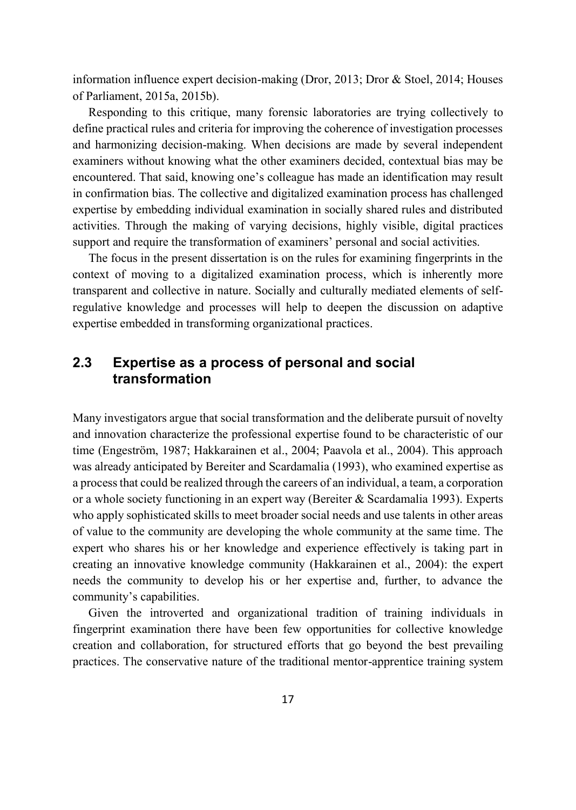information influence expert decision-making (Dror, 2013; Dror & Stoel, 2014; Houses of Parliament, 2015a, 2015b).

Responding to this critique, many forensic laboratories are trying collectively to define practical rules and criteria for improving the coherence of investigation processes and harmonizing decision-making. When decisions are made by several independent examiners without knowing what the other examiners decided, contextual bias may be encountered. That said, knowing one's colleague has made an identification may result in confirmation bias. The collective and digitalized examination process has challenged expertise by embedding individual examination in socially shared rules and distributed activities. Through the making of varying decisions, highly visible, digital practices support and require the transformation of examiners' personal and social activities.

The focus in the present dissertation is on the rules for examining fingerprints in the context of moving to a digitalized examination process, which is inherently more transparent and collective in nature. Socially and culturally mediated elements of selfregulative knowledge and processes will help to deepen the discussion on adaptive expertise embedded in transforming organizational practices.

## **2.3 Expertise as a process of personal and social transformation**

Many investigators argue that social transformation and the deliberate pursuit of novelty and innovation characterize the professional expertise found to be characteristic of our time (Engeström, 1987; Hakkarainen et al., 2004; Paavola et al., 2004). This approach was already anticipated by Bereiter and Scardamalia (1993), who examined expertise as a process that could be realized through the careers of an individual, a team, a corporation or a whole society functioning in an expert way (Bereiter & Scardamalia 1993). Experts who apply sophisticated skills to meet broader social needs and use talents in other areas of value to the community are developing the whole community at the same time. The expert who shares his or her knowledge and experience effectively is taking part in creating an innovative knowledge community (Hakkarainen et al., 2004): the expert needs the community to develop his or her expertise and, further, to advance the community's capabilities.

Given the introverted and organizational tradition of training individuals in fingerprint examination there have been few opportunities for collective knowledge creation and collaboration, for structured efforts that go beyond the best prevailing practices. The conservative nature of the traditional mentor-apprentice training system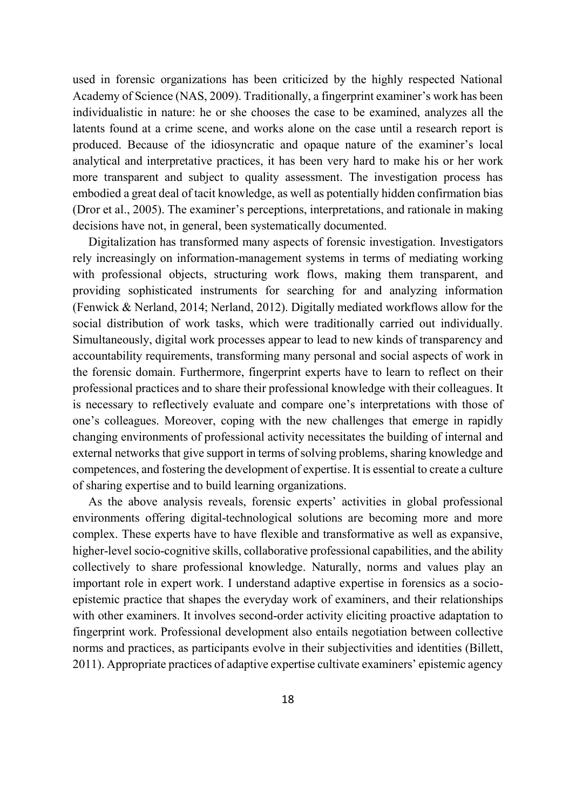used in forensic organizations has been criticized by the highly respected National Academy of Science (NAS, 2009). Traditionally, a fingerprint examiner's work has been individualistic in nature: he or she chooses the case to be examined, analyzes all the latents found at a crime scene, and works alone on the case until a research report is produced. Because of the idiosyncratic and opaque nature of the examiner's local analytical and interpretative practices, it has been very hard to make his or her work more transparent and subject to quality assessment. The investigation process has embodied a great deal of tacit knowledge, as well as potentially hidden confirmation bias (Dror et al., 2005). The examiner's perceptions, interpretations, and rationale in making decisions have not, in general, been systematically documented.

Digitalization has transformed many aspects of forensic investigation. Investigators rely increasingly on information-management systems in terms of mediating working with professional objects, structuring work flows, making them transparent, and providing sophisticated instruments for searching for and analyzing information (Fenwick & Nerland, 2014; Nerland, 2012). Digitally mediated workflows allow for the social distribution of work tasks, which were traditionally carried out individually. Simultaneously, digital work processes appear to lead to new kinds of transparency and accountability requirements, transforming many personal and social aspects of work in the forensic domain. Furthermore, fingerprint experts have to learn to reflect on their professional practices and to share their professional knowledge with their colleagues. It is necessary to reflectively evaluate and compare one's interpretations with those of one's colleagues. Moreover, coping with the new challenges that emerge in rapidly changing environments of professional activity necessitates the building of internal and external networks that give support in terms of solving problems, sharing knowledge and competences, and fostering the development of expertise. It is essential to create a culture of sharing expertise and to build learning organizations.

As the above analysis reveals, forensic experts' activities in global professional environments offering digital-technological solutions are becoming more and more complex. These experts have to have flexible and transformative as well as expansive, higher-level socio-cognitive skills, collaborative professional capabilities, and the ability collectively to share professional knowledge. Naturally, norms and values play an important role in expert work. I understand adaptive expertise in forensics as a socioepistemic practice that shapes the everyday work of examiners, and their relationships with other examiners. It involves second-order activity eliciting proactive adaptation to fingerprint work. Professional development also entails negotiation between collective norms and practices, as participants evolve in their subjectivities and identities (Billett, 2011). Appropriate practices of adaptive expertise cultivate examiners' epistemic agency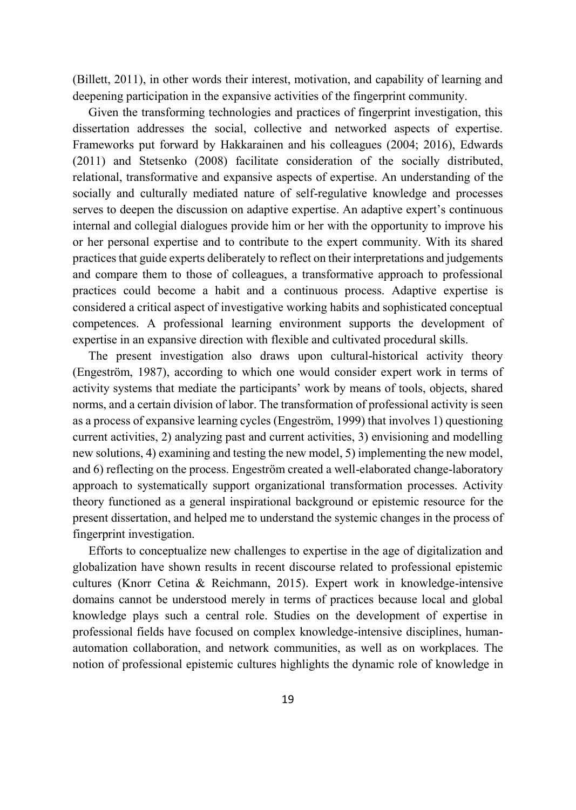(Billett, 2011), in other words their interest, motivation, and capability of learning and deepening participation in the expansive activities of the fingerprint community.

Given the transforming technologies and practices of fingerprint investigation, this dissertation addresses the social, collective and networked aspects of expertise. Frameworks put forward by Hakkarainen and his colleagues (2004; 2016), Edwards (2011) and Stetsenko (2008) facilitate consideration of the socially distributed, relational, transformative and expansive aspects of expertise. An understanding of the socially and culturally mediated nature of self-regulative knowledge and processes serves to deepen the discussion on adaptive expertise. An adaptive expert's continuous internal and collegial dialogues provide him or her with the opportunity to improve his or her personal expertise and to contribute to the expert community. With its shared practices that guide experts deliberately to reflect on their interpretations and judgements and compare them to those of colleagues, a transformative approach to professional practices could become a habit and a continuous process. Adaptive expertise is considered a critical aspect of investigative working habits and sophisticated conceptual competences. A professional learning environment supports the development of expertise in an expansive direction with flexible and cultivated procedural skills.

The present investigation also draws upon cultural-historical activity theory (Engeström, 1987), according to which one would consider expert work in terms of activity systems that mediate the participants' work by means of tools, objects, shared norms, and a certain division of labor. The transformation of professional activity is seen as a process of expansive learning cycles (Engeström, 1999) that involves 1) questioning current activities, 2) analyzing past and current activities, 3) envisioning and modelling new solutions, 4) examining and testing the new model, 5) implementing the new model, and 6) reflecting on the process. Engeström created a well-elaborated change-laboratory approach to systematically support organizational transformation processes. Activity theory functioned as a general inspirational background or epistemic resource for the present dissertation, and helped me to understand the systemic changes in the process of fingerprint investigation.

Efforts to conceptualize new challenges to expertise in the age of digitalization and globalization have shown results in recent discourse related to professional epistemic cultures (Knorr Cetina & Reichmann, 2015). Expert work in knowledge-intensive domains cannot be understood merely in terms of practices because local and global knowledge plays such a central role. Studies on the development of expertise in professional fields have focused on complex knowledge-intensive disciplines, humanautomation collaboration, and network communities, as well as on workplaces. The notion of professional epistemic cultures highlights the dynamic role of knowledge in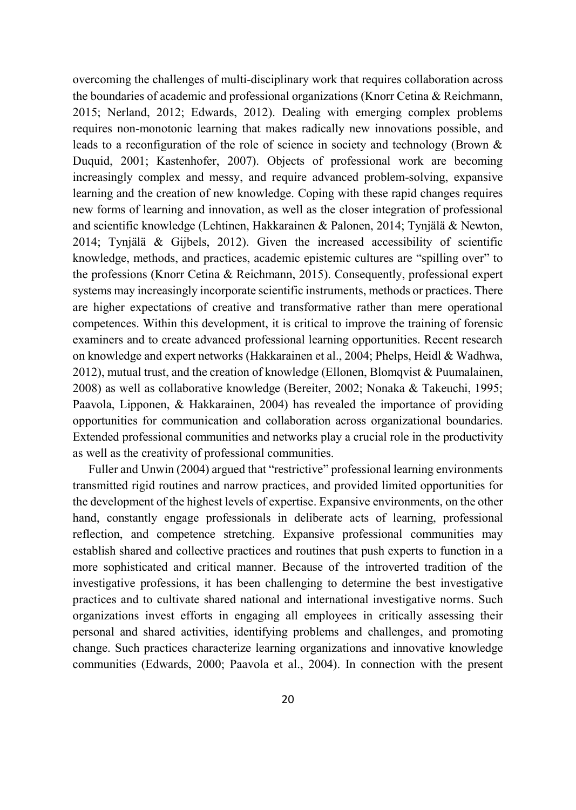overcoming the challenges of multi-disciplinary work that requires collaboration across the boundaries of academic and professional organizations (Knorr Cetina & Reichmann, 2015; Nerland, 2012; Edwards, 2012). Dealing with emerging complex problems requires non-monotonic learning that makes radically new innovations possible, and leads to a reconfiguration of the role of science in society and technology (Brown & Duquid, 2001; Kastenhofer, 2007). Objects of professional work are becoming increasingly complex and messy, and require advanced problem-solving, expansive learning and the creation of new knowledge. Coping with these rapid changes requires new forms of learning and innovation, as well as the closer integration of professional and scientific knowledge (Lehtinen, Hakkarainen & Palonen, 2014; Tynjälä & Newton, 2014; Tynjälä & Gijbels, 2012). Given the increased accessibility of scientific knowledge, methods, and practices, academic epistemic cultures are "spilling over" to the professions (Knorr Cetina & Reichmann, 2015). Consequently, professional expert systems may increasingly incorporate scientific instruments, methods or practices. There are higher expectations of creative and transformative rather than mere operational competences. Within this development, it is critical to improve the training of forensic examiners and to create advanced professional learning opportunities. Recent research on knowledge and expert networks (Hakkarainen et al., 2004; Phelps, Heidl & Wadhwa, 2012), mutual trust, and the creation of knowledge (Ellonen, Blomqvist & Puumalainen, 2008) as well as collaborative knowledge (Bereiter, 2002; Nonaka & Takeuchi, 1995; Paavola, Lipponen, & Hakkarainen, 2004) has revealed the importance of providing opportunities for communication and collaboration across organizational boundaries. Extended professional communities and networks play a crucial role in the productivity as well as the creativity of professional communities.

Fuller and Unwin (2004) argued that "restrictive" professional learning environments transmitted rigid routines and narrow practices, and provided limited opportunities for the development of the highest levels of expertise. Expansive environments, on the other hand, constantly engage professionals in deliberate acts of learning, professional reflection, and competence stretching. Expansive professional communities may establish shared and collective practices and routines that push experts to function in a more sophisticated and critical manner. Because of the introverted tradition of the investigative professions, it has been challenging to determine the best investigative practices and to cultivate shared national and international investigative norms. Such organizations invest efforts in engaging all employees in critically assessing their personal and shared activities, identifying problems and challenges, and promoting change. Such practices characterize learning organizations and innovative knowledge communities (Edwards, 2000; Paavola et al., 2004). In connection with the present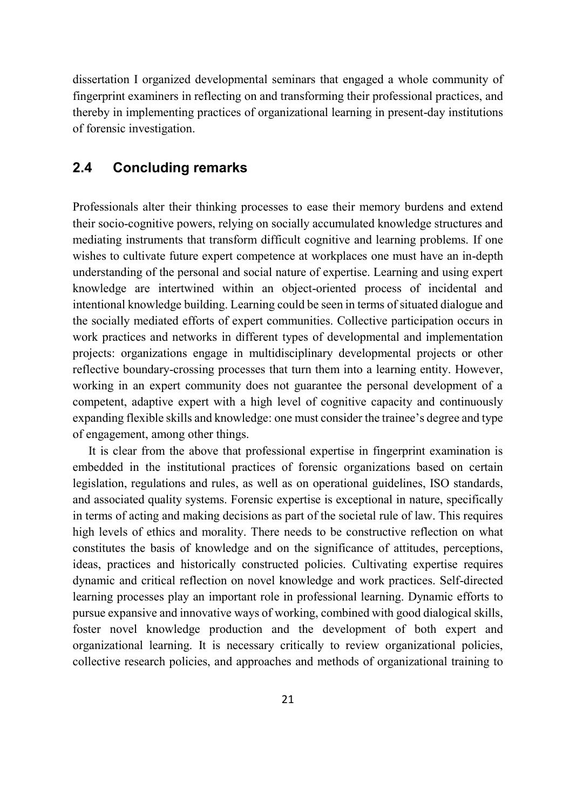dissertation I organized developmental seminars that engaged a whole community of fingerprint examiners in reflecting on and transforming their professional practices, and thereby in implementing practices of organizational learning in present-day institutions of forensic investigation.

## **2.4 Concluding remarks**

Professionals alter their thinking processes to ease their memory burdens and extend their socio-cognitive powers, relying on socially accumulated knowledge structures and mediating instruments that transform difficult cognitive and learning problems. If one wishes to cultivate future expert competence at workplaces one must have an in-depth understanding of the personal and social nature of expertise. Learning and using expert knowledge are intertwined within an object-oriented process of incidental and intentional knowledge building. Learning could be seen in terms of situated dialogue and the socially mediated efforts of expert communities. Collective participation occurs in work practices and networks in different types of developmental and implementation projects: organizations engage in multidisciplinary developmental projects or other reflective boundary-crossing processes that turn them into a learning entity. However, working in an expert community does not guarantee the personal development of a competent, adaptive expert with a high level of cognitive capacity and continuously expanding flexible skills and knowledge: one must consider the trainee's degree and type of engagement, among other things.

It is clear from the above that professional expertise in fingerprint examination is embedded in the institutional practices of forensic organizations based on certain legislation, regulations and rules, as well as on operational guidelines, ISO standards, and associated quality systems. Forensic expertise is exceptional in nature, specifically in terms of acting and making decisions as part of the societal rule of law. This requires high levels of ethics and morality. There needs to be constructive reflection on what constitutes the basis of knowledge and on the significance of attitudes, perceptions, ideas, practices and historically constructed policies. Cultivating expertise requires dynamic and critical reflection on novel knowledge and work practices. Self-directed learning processes play an important role in professional learning. Dynamic efforts to pursue expansive and innovative ways of working, combined with good dialogical skills, foster novel knowledge production and the development of both expert and organizational learning. It is necessary critically to review organizational policies, collective research policies, and approaches and methods of organizational training to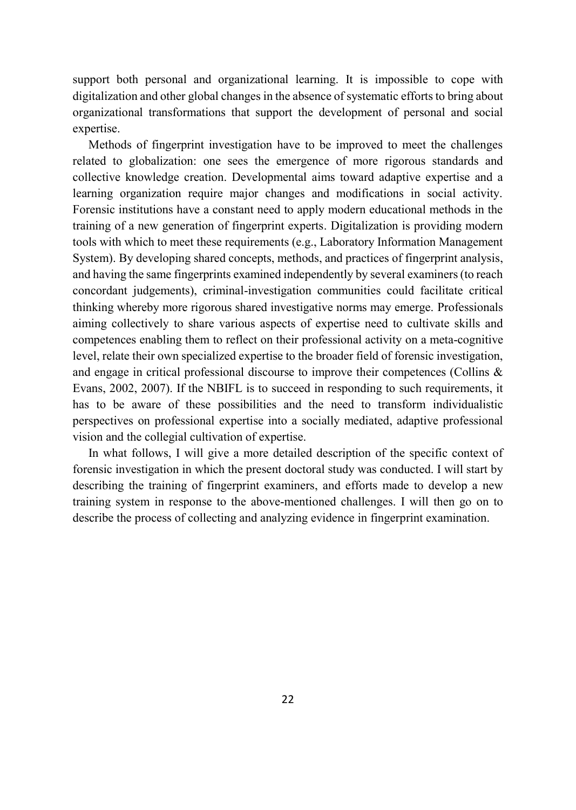support both personal and organizational learning. It is impossible to cope with digitalization and other global changes in the absence of systematic efforts to bring about organizational transformations that support the development of personal and social expertise.

Methods of fingerprint investigation have to be improved to meet the challenges related to globalization: one sees the emergence of more rigorous standards and collective knowledge creation. Developmental aims toward adaptive expertise and a learning organization require major changes and modifications in social activity. Forensic institutions have a constant need to apply modern educational methods in the training of a new generation of fingerprint experts. Digitalization is providing modern tools with which to meet these requirements (e.g., Laboratory Information Management System). By developing shared concepts, methods, and practices of fingerprint analysis, and having the same fingerprints examined independently by several examiners (to reach concordant judgements), criminal-investigation communities could facilitate critical thinking whereby more rigorous shared investigative norms may emerge. Professionals aiming collectively to share various aspects of expertise need to cultivate skills and competences enabling them to reflect on their professional activity on a meta-cognitive level, relate their own specialized expertise to the broader field of forensic investigation, and engage in critical professional discourse to improve their competences (Collins & Evans, 2002, 2007). If the NBIFL is to succeed in responding to such requirements, it has to be aware of these possibilities and the need to transform individualistic perspectives on professional expertise into a socially mediated, adaptive professional vision and the collegial cultivation of expertise.

In what follows, I will give a more detailed description of the specific context of forensic investigation in which the present doctoral study was conducted. I will start by describing the training of fingerprint examiners, and efforts made to develop a new training system in response to the above-mentioned challenges. I will then go on to describe the process of collecting and analyzing evidence in fingerprint examination.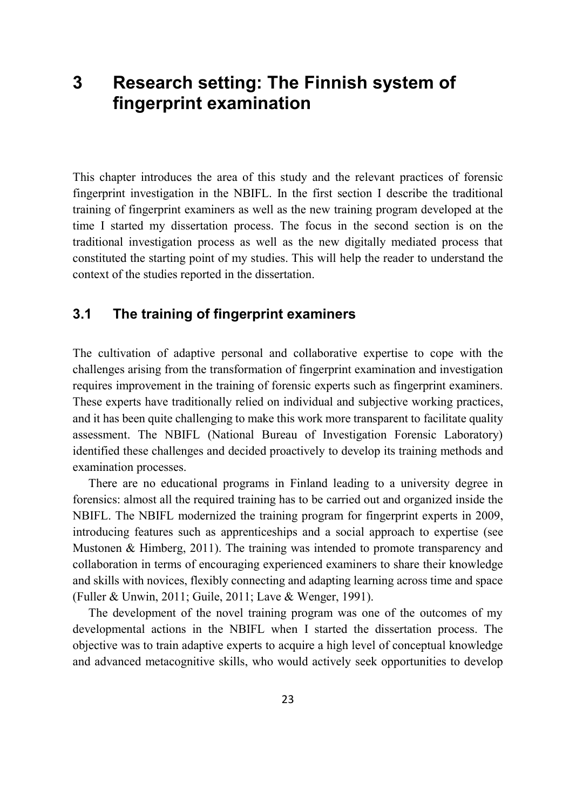# **3 Research setting: The Finnish system of fingerprint examination**

This chapter introduces the area of this study and the relevant practices of forensic fingerprint investigation in the NBIFL. In the first section I describe the traditional training of fingerprint examiners as well as the new training program developed at the time I started my dissertation process. The focus in the second section is on the traditional investigation process as well as the new digitally mediated process that constituted the starting point of my studies. This will help the reader to understand the context of the studies reported in the dissertation.

## **3.1 The training of fingerprint examiners**

The cultivation of adaptive personal and collaborative expertise to cope with the challenges arising from the transformation of fingerprint examination and investigation requires improvement in the training of forensic experts such as fingerprint examiners. These experts have traditionally relied on individual and subjective working practices, and it has been quite challenging to make this work more transparent to facilitate quality assessment. The NBIFL (National Bureau of Investigation Forensic Laboratory) identified these challenges and decided proactively to develop its training methods and examination processes.

There are no educational programs in Finland leading to a university degree in forensics: almost all the required training has to be carried out and organized inside the NBIFL. The NBIFL modernized the training program for fingerprint experts in 2009, introducing features such as apprenticeships and a social approach to expertise (see Mustonen & Himberg, 2011). The training was intended to promote transparency and collaboration in terms of encouraging experienced examiners to share their knowledge and skills with novices, flexibly connecting and adapting learning across time and space (Fuller & Unwin, 2011; Guile, 2011; Lave & Wenger, 1991).

The development of the novel training program was one of the outcomes of my developmental actions in the NBIFL when I started the dissertation process. The objective was to train adaptive experts to acquire a high level of conceptual knowledge and advanced metacognitive skills, who would actively seek opportunities to develop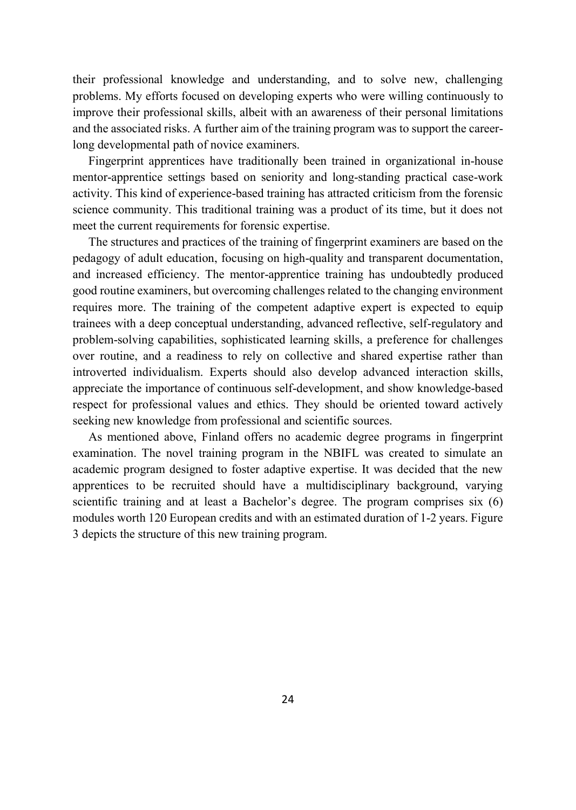their professional knowledge and understanding, and to solve new, challenging problems. My efforts focused on developing experts who were willing continuously to improve their professional skills, albeit with an awareness of their personal limitations and the associated risks. A further aim of the training program was to support the careerlong developmental path of novice examiners.

Fingerprint apprentices have traditionally been trained in organizational in-house mentor-apprentice settings based on seniority and long-standing practical case-work activity. This kind of experience-based training has attracted criticism from the forensic science community. This traditional training was a product of its time, but it does not meet the current requirements for forensic expertise.

The structures and practices of the training of fingerprint examiners are based on the pedagogy of adult education, focusing on high-quality and transparent documentation, and increased efficiency. The mentor-apprentice training has undoubtedly produced good routine examiners, but overcoming challenges related to the changing environment requires more. The training of the competent adaptive expert is expected to equip trainees with a deep conceptual understanding, advanced reflective, self-regulatory and problem-solving capabilities, sophisticated learning skills, a preference for challenges over routine, and a readiness to rely on collective and shared expertise rather than introverted individualism. Experts should also develop advanced interaction skills, appreciate the importance of continuous self-development, and show knowledge-based respect for professional values and ethics. They should be oriented toward actively seeking new knowledge from professional and scientific sources.

As mentioned above, Finland offers no academic degree programs in fingerprint examination. The novel training program in the NBIFL was created to simulate an academic program designed to foster adaptive expertise. It was decided that the new apprentices to be recruited should have a multidisciplinary background, varying scientific training and at least a Bachelor's degree. The program comprises six (6) modules worth 120 European credits and with an estimated duration of 1-2 years. Figure 3 depicts the structure of this new training program.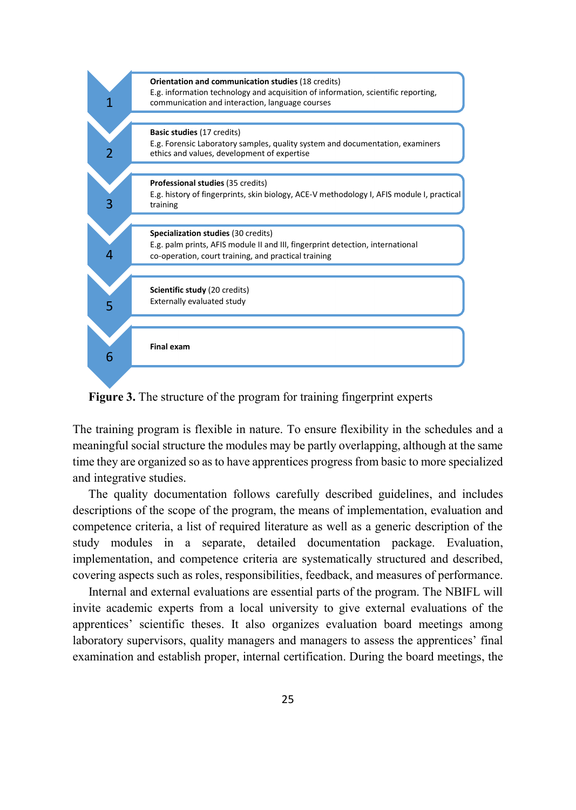

**Figure 3.** The structure of the program for training fingerprint experts

The training program is flexible in nature. To ensure flexibility in the schedules and a meaningful social structure the modules may be partly overlapping, although at the same time they are organized so as to have apprentices progress from basic to more specialized and integrative studies.

The quality documentation follows carefully described guidelines, and includes descriptions of the scope of the program, the means of implementation, evaluation and competence criteria, a list of required literature as well as a generic description of the study modules in a separate, detailed documentation package. Evaluation, implementation, and competence criteria are systematically structured and described, covering aspects such as roles, responsibilities, feedback, and measures of performance.

Internal and external evaluations are essential parts of the program. The NBIFL will invite academic experts from a local university to give external evaluations of the apprentices' scientific theses. It also organizes evaluation board meetings among laboratory supervisors, quality managers and managers to assess the apprentices' final examination and establish proper, internal certification. During the board meetings, the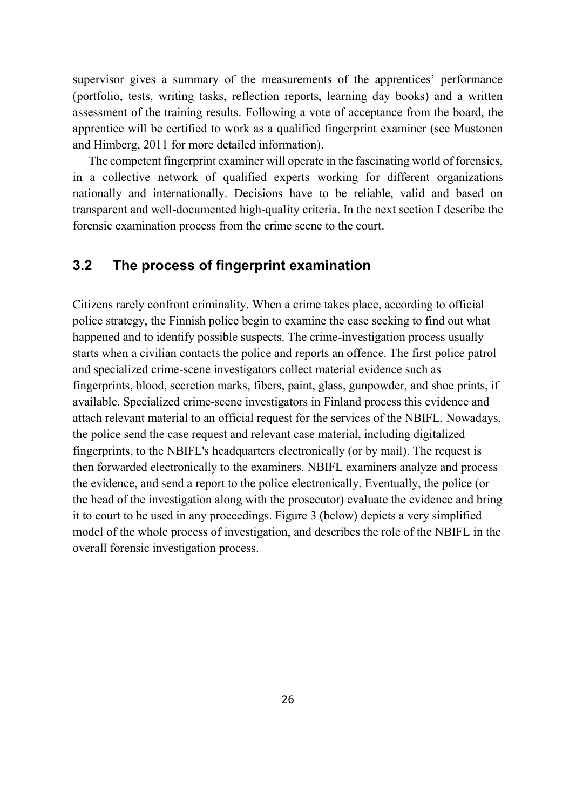supervisor gives a summary of the measurements of the apprentices' performance (portfolio, tests, writing tasks, reflection reports, learning day books) and a written assessment of the training results. Following a vote of acceptance from the board, the apprentice will be certified to work as a qualified fingerprint examiner (see Mustonen and Himberg, 2011 for more detailed information).

The competent fingerprint examiner will operate in the fascinating world of forensics, in a collective network of qualified experts working for different organizations nationally and internationally. Decisions have to be reliable, valid and based on transparent and well-documented high-quality criteria. In the next section I describe the forensic examination process from the crime scene to the court.

## **3.2 The process of fingerprint examination**

Citizens rarely confront criminality. When a crime takes place, according to official police strategy, the Finnish police begin to examine the case seeking to find out what happened and to identify possible suspects. The crime-investigation process usually starts when a civilian contacts the police and reports an offence. The first police patrol and specialized crime-scene investigators collect material evidence such as fingerprints, blood, secretion marks, fibers, paint, glass, gunpowder, and shoe prints, if available. Specialized crime-scene investigators in Finland process this evidence and attach relevant material to an official request for the services of the NBIFL. Nowadays, the police send the case request and relevant case material, including digitalized fingerprints, to the NBIFL's headquarters electronically (or by mail). The request is then forwarded electronically to the examiners. NBIFL examiners analyze and process the evidence, and send a report to the police electronically. Eventually, the police (or the head of the investigation along with the prosecutor) evaluate the evidence and bring it to court to be used in any proceedings. Figure 3 (below) depicts a very simplified model of the whole process of investigation, and describes the role of the NBIFL in the overall forensic investigation process.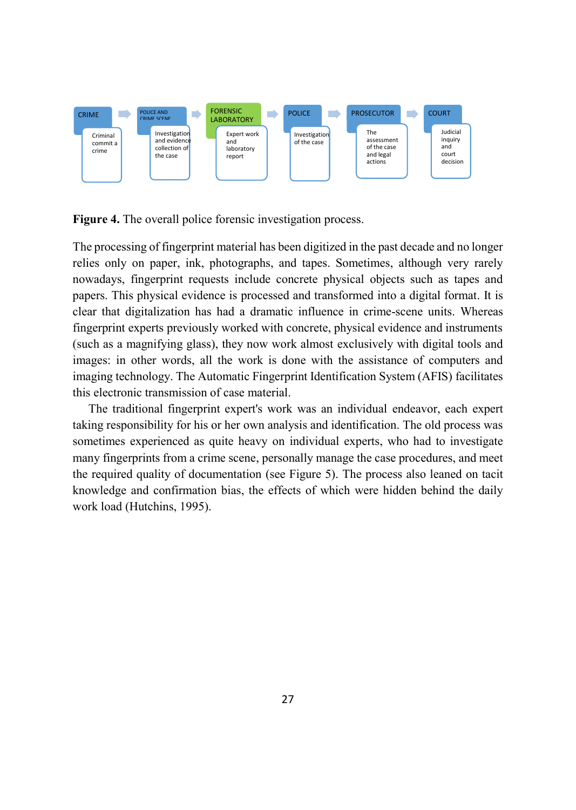

**Figure 4.** The overall police forensic investigation process.

The processing of fingerprint material has been digitized in the past decade and no longer relies only on paper, ink, photographs, and tapes. Sometimes, although very rarely nowadays, fingerprint requests include concrete physical objects such as tapes and papers. This physical evidence is processed and transformed into a digital format. It is clear that digitalization has had a dramatic influence in crime-scene units. Whereas fingerprint experts previously worked with concrete, physical evidence and instruments (such as a magnifying glass), they now work almost exclusively with digital tools and images: in other words, all the work is done with the assistance of computers and imaging technology. The Automatic Fingerprint Identification System (AFIS) facilitates this electronic transmission of case material.

The traditional fingerprint expert's work was an individual endeavor, each expert taking responsibility for his or her own analysis and identification. The old process was sometimes experienced as quite heavy on individual experts, who had to investigate many fingerprints from a crime scene, personally manage the case procedures, and meet the required quality of documentation (see Figure 5). The process also leaned on tacit knowledge and confirmation bias, the effects of which were hidden behind the daily work load (Hutchins, 1995).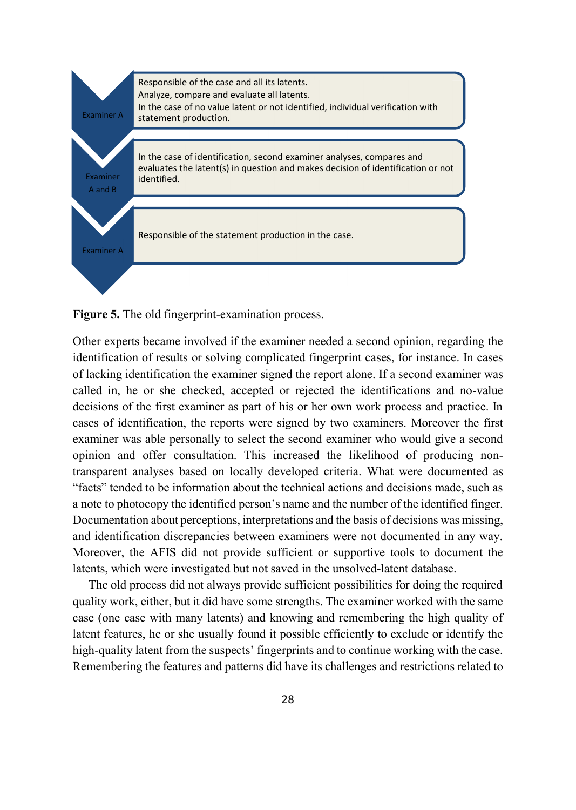

**Figure 5.** The old fingerprint-examination process.

Other experts became involved if the examiner needed a second opinion, regarding the identification of results or solving complicated fingerprint cases, for instance. In cases of lacking identification the examiner signed the report alone. If a second examiner was called in, he or she checked, accepted or rejected the identifications and no-value decisions of the first examiner as part of his or her own work process and practice. In cases of identification, the reports were signed by two examiners. Moreover the first examiner was able personally to select the second examiner who would give a second opinion and offer consultation. This increased the likelihood of producing nontransparent analyses based on locally developed criteria. What were documented as "facts" tended to be information about the technical actions and decisions made, such as a note to photocopy the identified person's name and the number of the identified finger. Documentation about perceptions, interpretations and the basis of decisions was missing, and identification discrepancies between examiners were not documented in any way. Moreover, the AFIS did not provide sufficient or supportive tools to document the latents, which were investigated but not saved in the unsolved-latent database.

The old process did not always provide sufficient possibilities for doing the required quality work, either, but it did have some strengths. The examiner worked with the same case (one case with many latents) and knowing and remembering the high quality of latent features, he or she usually found it possible efficiently to exclude or identify the high-quality latent from the suspects' fingerprints and to continue working with the case. Remembering the features and patterns did have its challenges and restrictions related to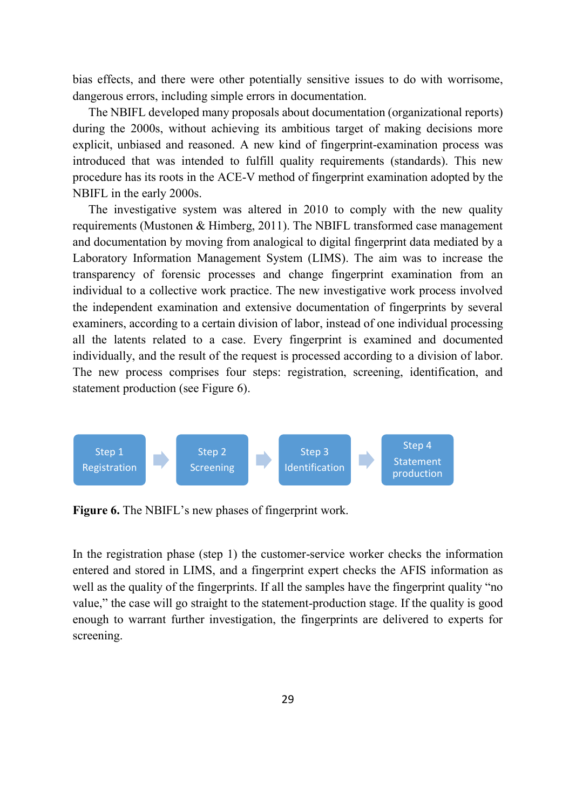bias effects, and there were other potentially sensitive issues to do with worrisome, dangerous errors, including simple errors in documentation.

The NBIFL developed many proposals about documentation (organizational reports) during the 2000s, without achieving its ambitious target of making decisions more explicit, unbiased and reasoned. A new kind of fingerprint-examination process was introduced that was intended to fulfill quality requirements (standards). This new procedure has its roots in the ACE-V method of fingerprint examination adopted by the NBIFL in the early 2000s.

The investigative system was altered in 2010 to comply with the new quality requirements (Mustonen & Himberg, 2011). The NBIFL transformed case management and documentation by moving from analogical to digital fingerprint data mediated by a Laboratory Information Management System (LIMS). The aim was to increase the transparency of forensic processes and change fingerprint examination from an individual to a collective work practice. The new investigative work process involved the independent examination and extensive documentation of fingerprints by several examiners, according to a certain division of labor, instead of one individual processing all the latents related to a case. Every fingerprint is examined and documented individually, and the result of the request is processed according to a division of labor. The new process comprises four steps: registration, screening, identification, and statement production (see Figure 6).



Figure 6. The NBIFL's new phases of fingerprint work.

In the registration phase (step 1) the customer-service worker checks the information entered and stored in LIMS, and a fingerprint expert checks the AFIS information as well as the quality of the fingerprints. If all the samples have the fingerprint quality "no value," the case will go straight to the statement-production stage. If the quality is good enough to warrant further investigation, the fingerprints are delivered to experts for screening.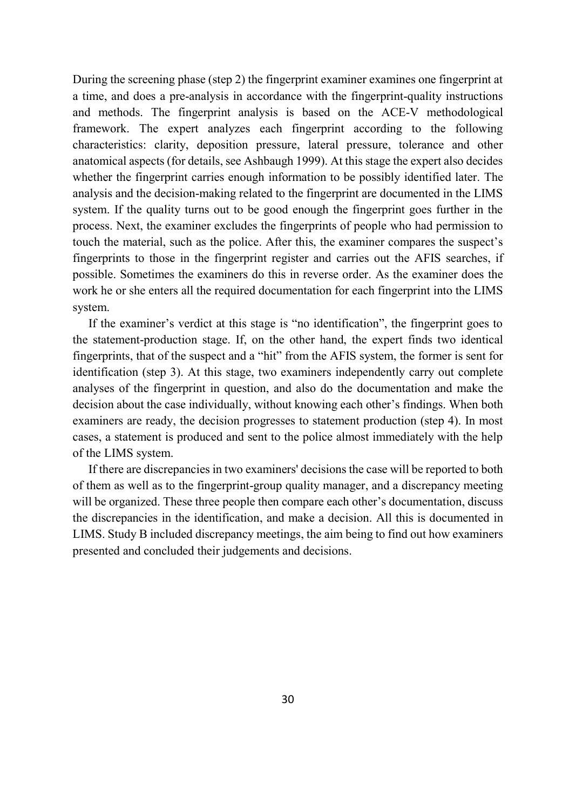During the screening phase (step 2) the fingerprint examiner examines one fingerprint at a time, and does a pre-analysis in accordance with the fingerprint-quality instructions and methods. The fingerprint analysis is based on the ACE-V methodological framework. The expert analyzes each fingerprint according to the following characteristics: clarity, deposition pressure, lateral pressure, tolerance and other anatomical aspects (for details, see Ashbaugh 1999). At this stage the expert also decides whether the fingerprint carries enough information to be possibly identified later. The analysis and the decision-making related to the fingerprint are documented in the LIMS system. If the quality turns out to be good enough the fingerprint goes further in the process. Next, the examiner excludes the fingerprints of people who had permission to touch the material, such as the police. After this, the examiner compares the suspect's fingerprints to those in the fingerprint register and carries out the AFIS searches, if possible. Sometimes the examiners do this in reverse order. As the examiner does the work he or she enters all the required documentation for each fingerprint into the LIMS system.

If the examiner's verdict at this stage is "no identification", the fingerprint goes to the statement-production stage. If, on the other hand, the expert finds two identical fingerprints, that of the suspect and a "hit" from the AFIS system, the former is sent for identification (step 3). At this stage, two examiners independently carry out complete analyses of the fingerprint in question, and also do the documentation and make the decision about the case individually, without knowing each other's findings. When both examiners are ready, the decision progresses to statement production (step 4). In most cases, a statement is produced and sent to the police almost immediately with the help of the LIMS system.

If there are discrepancies in two examiners' decisions the case will be reported to both of them as well as to the fingerprint-group quality manager, and a discrepancy meeting will be organized. These three people then compare each other's documentation, discuss the discrepancies in the identification, and make a decision. All this is documented in LIMS. Study B included discrepancy meetings, the aim being to find out how examiners presented and concluded their judgements and decisions.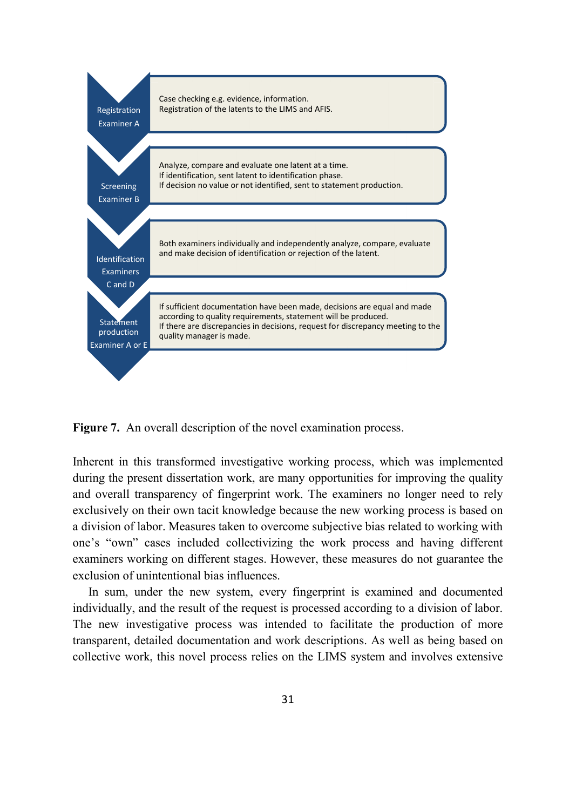

**Figure 7.** An overall description of the novel examination process.

Inherent in this transformed investigative working process, which was implemented during the present dissertation work, are many opportunities for improving the quality and overall transparency of fingerprint work. The examiners no longer need to rely exclusively on their own tacit knowledge because the new working process is based on a division of labor. Measures taken to overcome subjective bias related to working with one's "own" cases included collectivizing the work process and having different examiners working on different stages. However, these measures do not guarantee the exclusion of unintentional bias influences.

In sum, under the new system, every fingerprint is examined and documented individually, and the result of the request is processed according to a division of labor. The new investigative process was intended to facilitate the production of more transparent, detailed documentation and work descriptions. As well as being based on collective work, this novel process relies on the LIMS system and involves extensive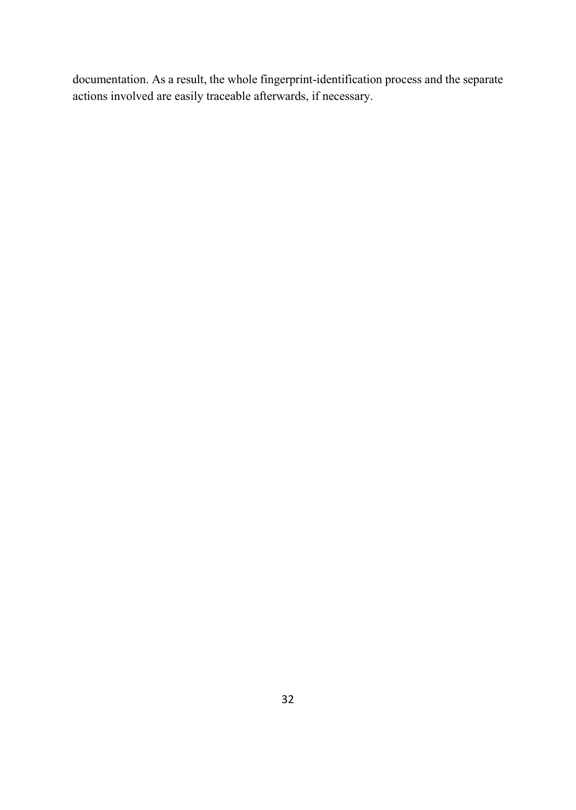documentation. As a result, the whole fingerprint-identification process and the separate actions involved are easily traceable afterwards, if necessary.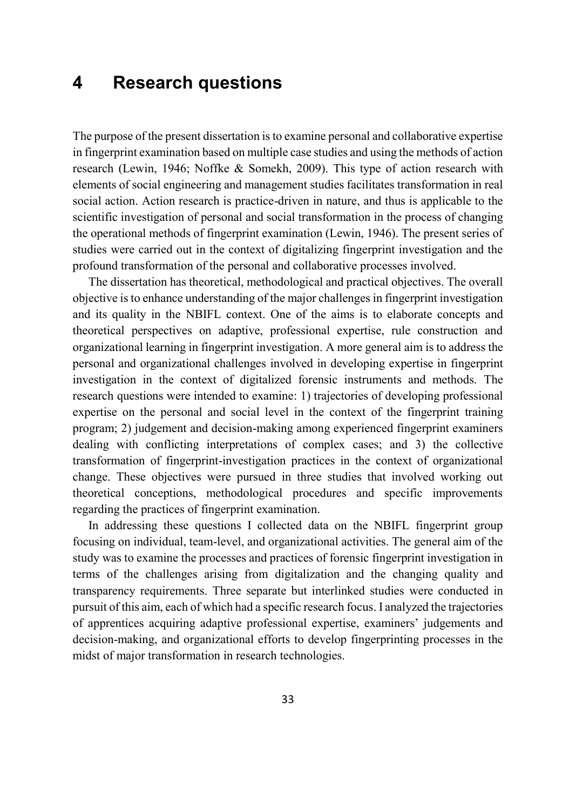# **4 Research questions**

The purpose of the present dissertation is to examine personal and collaborative expertise in fingerprint examination based on multiple case studies and using the methods of action research (Lewin, 1946; Noffke & Somekh, 2009). This type of action research with elements of social engineering and management studies facilitates transformation in real social action. Action research is practice-driven in nature, and thus is applicable to the scientific investigation of personal and social transformation in the process of changing the operational methods of fingerprint examination (Lewin, 1946). The present series of studies were carried out in the context of digitalizing fingerprint investigation and the profound transformation of the personal and collaborative processes involved.

The dissertation has theoretical, methodological and practical objectives. The overall objective is to enhance understanding of the major challenges in fingerprint investigation and its quality in the NBIFL context. One of the aims is to elaborate concepts and theoretical perspectives on adaptive, professional expertise, rule construction and organizational learning in fingerprint investigation. A more general aim is to address the personal and organizational challenges involved in developing expertise in fingerprint investigation in the context of digitalized forensic instruments and methods. The research questions were intended to examine: 1) trajectories of developing professional expertise on the personal and social level in the context of the fingerprint training program; 2) judgement and decision-making among experienced fingerprint examiners dealing with conflicting interpretations of complex cases; and 3) the collective transformation of fingerprint-investigation practices in the context of organizational change. These objectives were pursued in three studies that involved working out theoretical conceptions, methodological procedures and specific improvements regarding the practices of fingerprint examination.

In addressing these questions I collected data on the NBIFL fingerprint group focusing on individual, team-level, and organizational activities. The general aim of the study was to examine the processes and practices of forensic fingerprint investigation in terms of the challenges arising from digitalization and the changing quality and transparency requirements. Three separate but interlinked studies were conducted in pursuit of this aim, each of which had a specific research focus. I analyzed the trajectories of apprentices acquiring adaptive professional expertise, examiners' judgements and decision-making, and organizational efforts to develop fingerprinting processes in the midst of major transformation in research technologies.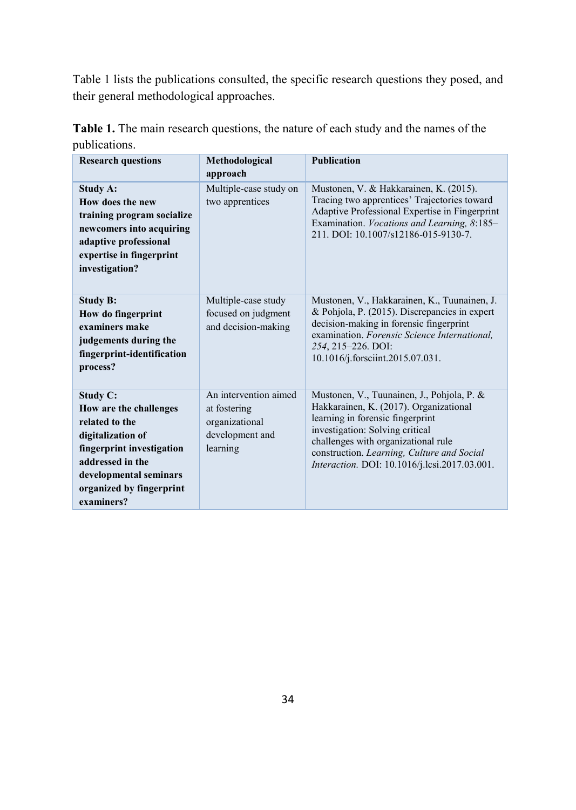Table 1 lists the publications consulted, the specific research questions they posed, and their general methodological approaches.

| <b>Research questions</b>                                                                                                                                                                             | Methodological<br>approach                                                             | <b>Publication</b>                                                                                                                                                                                                                                                                                |
|-------------------------------------------------------------------------------------------------------------------------------------------------------------------------------------------------------|----------------------------------------------------------------------------------------|---------------------------------------------------------------------------------------------------------------------------------------------------------------------------------------------------------------------------------------------------------------------------------------------------|
| <b>Study A:</b><br>How does the new<br>training program socialize<br>newcomers into acquiring<br>adaptive professional<br>expertise in fingerprint<br>investigation?                                  | Multiple-case study on<br>two apprentices                                              | Mustonen, V. & Hakkarainen, K. (2015).<br>Tracing two apprentices' Trajectories toward<br>Adaptive Professional Expertise in Fingerprint<br>Examination. Vocations and Learning, 8:185–<br>211. DOI: 10.1007/s12186-015-9130-7.                                                                   |
| <b>Study B:</b><br>How do fingerprint<br>examiners make<br>judgements during the<br>fingerprint-identification<br>process?                                                                            | Multiple-case study<br>focused on judgment<br>and decision-making                      | Mustonen, V., Hakkarainen, K., Tuunainen, J.<br>& Pohjola, P. (2015). Discrepancies in expert<br>decision-making in forensic fingerprint<br>examination. Forensic Science International.<br>254, 215-226. DOI:<br>10.1016/j.forsciint.2015.07.031.                                                |
| <b>Study C:</b><br>How are the challenges<br>related to the<br>digitalization of<br>fingerprint investigation<br>addressed in the<br>developmental seminars<br>organized by fingerprint<br>examiners? | An intervention aimed<br>at fostering<br>organizational<br>development and<br>learning | Mustonen, V., Tuunainen, J., Pohjola, P. &<br>Hakkarainen, K. (2017). Organizational<br>learning in forensic fingerprint<br>investigation: Solving critical<br>challenges with organizational rule<br>construction. Learning, Culture and Social<br>Interaction. DOI: 10.1016/j.lcsi.2017.03.001. |

**Table 1.** The main research questions, the nature of each study and the names of the publications.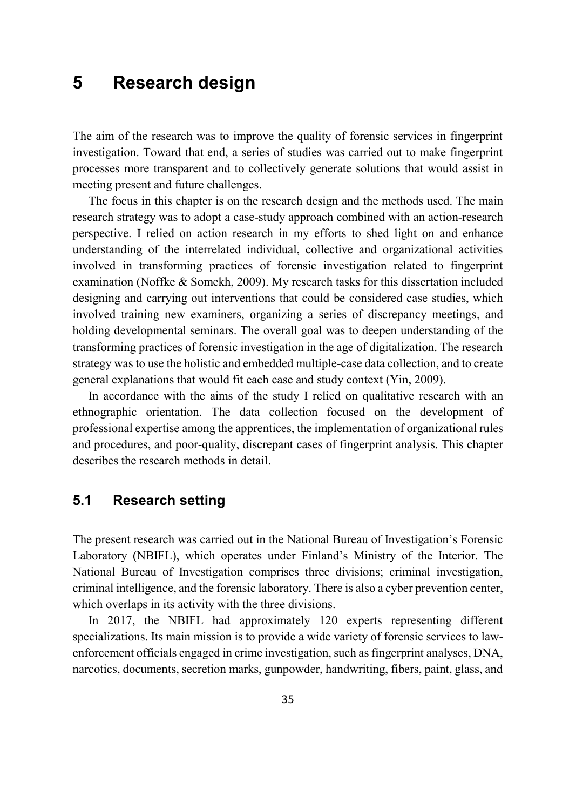# **5 Research design**

The aim of the research was to improve the quality of forensic services in fingerprint investigation. Toward that end, a series of studies was carried out to make fingerprint processes more transparent and to collectively generate solutions that would assist in meeting present and future challenges.

The focus in this chapter is on the research design and the methods used. The main research strategy was to adopt a case-study approach combined with an action-research perspective. I relied on action research in my efforts to shed light on and enhance understanding of the interrelated individual, collective and organizational activities involved in transforming practices of forensic investigation related to fingerprint examination (Noffke & Somekh, 2009). My research tasks for this dissertation included designing and carrying out interventions that could be considered case studies, which involved training new examiners, organizing a series of discrepancy meetings, and holding developmental seminars. The overall goal was to deepen understanding of the transforming practices of forensic investigation in the age of digitalization. The research strategy was to use the holistic and embedded multiple-case data collection, and to create general explanations that would fit each case and study context (Yin, 2009).

In accordance with the aims of the study I relied on qualitative research with an ethnographic orientation. The data collection focused on the development of professional expertise among the apprentices, the implementation of organizational rules and procedures, and poor-quality, discrepant cases of fingerprint analysis. This chapter describes the research methods in detail.

### **5.1 Research setting**

The present research was carried out in the National Bureau of Investigation's Forensic Laboratory (NBIFL), which operates under Finland's Ministry of the Interior. The National Bureau of Investigation comprises three divisions; criminal investigation, criminal intelligence, and the forensic laboratory. There is also a cyber prevention center, which overlaps in its activity with the three divisions.

In 2017, the NBIFL had approximately 120 experts representing different specializations. Its main mission is to provide a wide variety of forensic services to lawenforcement officials engaged in crime investigation, such as fingerprint analyses, DNA, narcotics, documents, secretion marks, gunpowder, handwriting, fibers, paint, glass, and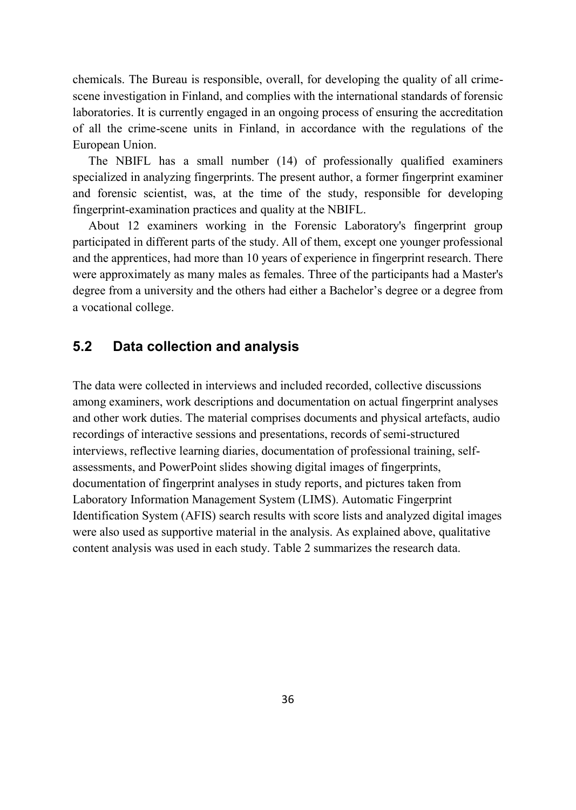chemicals. The Bureau is responsible, overall, for developing the quality of all crimescene investigation in Finland, and complies with the international standards of forensic laboratories. It is currently engaged in an ongoing process of ensuring the accreditation of all the crime-scene units in Finland, in accordance with the regulations of the European Union.

The NBIFL has a small number (14) of professionally qualified examiners specialized in analyzing fingerprints. The present author, a former fingerprint examiner and forensic scientist, was, at the time of the study, responsible for developing fingerprint-examination practices and quality at the NBIFL.

About 12 examiners working in the Forensic Laboratory's fingerprint group participated in different parts of the study. All of them, except one younger professional and the apprentices, had more than 10 years of experience in fingerprint research. There were approximately as many males as females. Three of the participants had a Master's degree from a university and the others had either a Bachelor's degree or a degree from a vocational college.

### **5.2 Data collection and analysis**

The data were collected in interviews and included recorded, collective discussions among examiners, work descriptions and documentation on actual fingerprint analyses and other work duties. The material comprises documents and physical artefacts, audio recordings of interactive sessions and presentations, records of semi-structured interviews, reflective learning diaries, documentation of professional training, selfassessments, and PowerPoint slides showing digital images of fingerprints, documentation of fingerprint analyses in study reports, and pictures taken from Laboratory Information Management System (LIMS). Automatic Fingerprint Identification System (AFIS) search results with score lists and analyzed digital images were also used as supportive material in the analysis. As explained above, qualitative content analysis was used in each study. Table 2 summarizes the research data.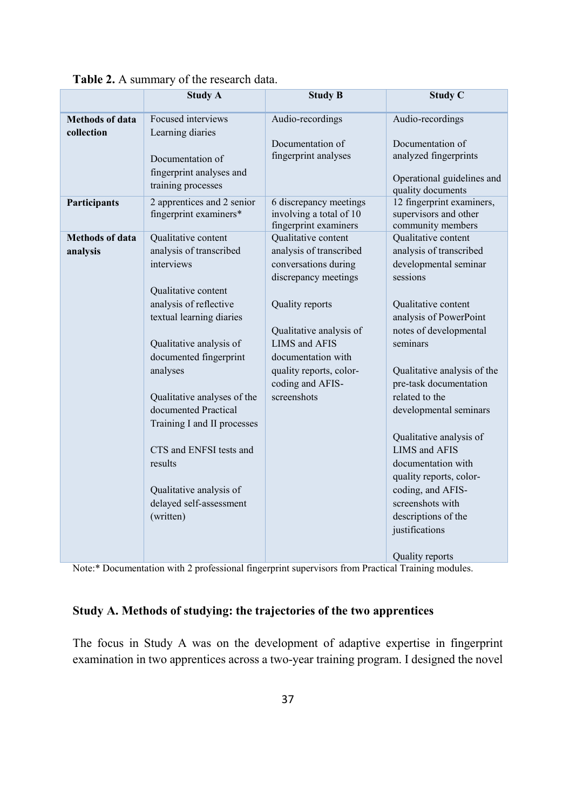|                                      | <b>Study A</b>                                                                                                                                                                                                                                                                                                                                                                                            | <b>Study B</b>                                                                                                                                                                                                                                           | <b>Study C</b>                                                                                                                                                                                                                                                                                                                                                                                                                                                        |
|--------------------------------------|-----------------------------------------------------------------------------------------------------------------------------------------------------------------------------------------------------------------------------------------------------------------------------------------------------------------------------------------------------------------------------------------------------------|----------------------------------------------------------------------------------------------------------------------------------------------------------------------------------------------------------------------------------------------------------|-----------------------------------------------------------------------------------------------------------------------------------------------------------------------------------------------------------------------------------------------------------------------------------------------------------------------------------------------------------------------------------------------------------------------------------------------------------------------|
| <b>Methods of data</b><br>collection | Focused interviews<br>Learning diaries                                                                                                                                                                                                                                                                                                                                                                    | Audio-recordings                                                                                                                                                                                                                                         | Audio-recordings                                                                                                                                                                                                                                                                                                                                                                                                                                                      |
|                                      | Documentation of<br>fingerprint analyses and<br>training processes                                                                                                                                                                                                                                                                                                                                        | Documentation of<br>fingerprint analyses                                                                                                                                                                                                                 | Documentation of<br>analyzed fingerprints<br>Operational guidelines and<br>quality documents                                                                                                                                                                                                                                                                                                                                                                          |
| Participants                         | 2 apprentices and 2 senior<br>fingerprint examiners*                                                                                                                                                                                                                                                                                                                                                      | 6 discrepancy meetings<br>involving a total of 10<br>fingerprint examiners                                                                                                                                                                               | 12 fingerprint examiners,<br>supervisors and other<br>community members                                                                                                                                                                                                                                                                                                                                                                                               |
| <b>Methods of data</b><br>analysis   | Qualitative content<br>analysis of transcribed<br>interviews<br>Qualitative content<br>analysis of reflective<br>textual learning diaries<br>Qualitative analysis of<br>documented fingerprint<br>analyses<br>Qualitative analyses of the<br>documented Practical<br>Training I and II processes<br>CTS and ENFSI tests and<br>results<br>Qualitative analysis of<br>delayed self-assessment<br>(written) | Qualitative content<br>analysis of transcribed<br>conversations during<br>discrepancy meetings<br>Quality reports<br>Qualitative analysis of<br><b>LIMS</b> and AFIS<br>documentation with<br>quality reports, color-<br>coding and AFIS-<br>screenshots | Qualitative content<br>analysis of transcribed<br>developmental seminar<br>sessions<br>Qualitative content<br>analysis of PowerPoint<br>notes of developmental<br>seminars<br>Qualitative analysis of the<br>pre-task documentation<br>related to the<br>developmental seminars<br>Qualitative analysis of<br><b>LIMS</b> and AFIS<br>documentation with<br>quality reports, color-<br>coding, and AFIS-<br>screenshots with<br>descriptions of the<br>justifications |
|                                      |                                                                                                                                                                                                                                                                                                                                                                                                           |                                                                                                                                                                                                                                                          | Quality reports                                                                                                                                                                                                                                                                                                                                                                                                                                                       |

#### **Table 2.** A summary of the research data.

Note:\* Documentation with 2 professional fingerprint supervisors from Practical Training modules.

### **Study A. Methods of studying: the trajectories of the two apprentices**

The focus in Study A was on the development of adaptive expertise in fingerprint examination in two apprentices across a two-year training program. I designed the novel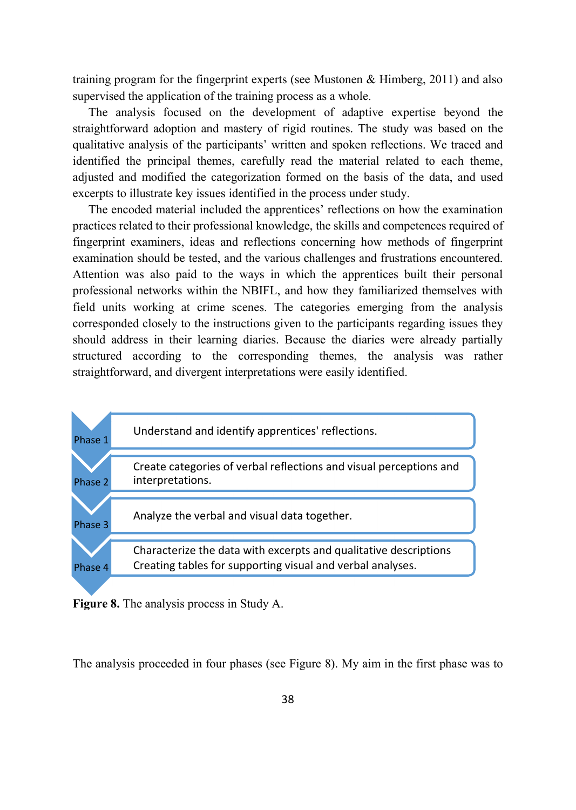training program for the fingerprint experts (see Mustonen & Himberg, 2011) and also supervised the application of the training process as a whole.

The analysis focused on the development of adaptive expertise beyond the straightforward adoption and mastery of rigid routines. The study was based on the qualitative analysis of the participants' written and spoken reflections. We traced and identified the principal themes, carefully read the material related to each theme, adjusted and modified the categorization formed on the basis of the data, and used excerpts to illustrate key issues identified in the process under study.

The encoded material included the apprentices' reflections on how the examination practices related to their professional knowledge, the skills and competences required of fingerprint examiners, ideas and reflections concerning how methods of fingerprint examination should be tested, and the various challenges and frustrations encountered. Attention was also paid to the ways in which the apprentices built their personal professional networks within the NBIFL, and how they familiarized themselves with field units working at crime scenes. The categories emerging from the analysis corresponded closely to the instructions given to the participants regarding issues they should address in their learning diaries. Because the diaries were already partially structured according to the corresponding themes, the analysis was rather straightforward, and divergent interpretations were easily identified.



**Figure 8.** The analysis process in Study A.

The analysis proceeded in four phases (see Figure 8). My aim in the first phase was to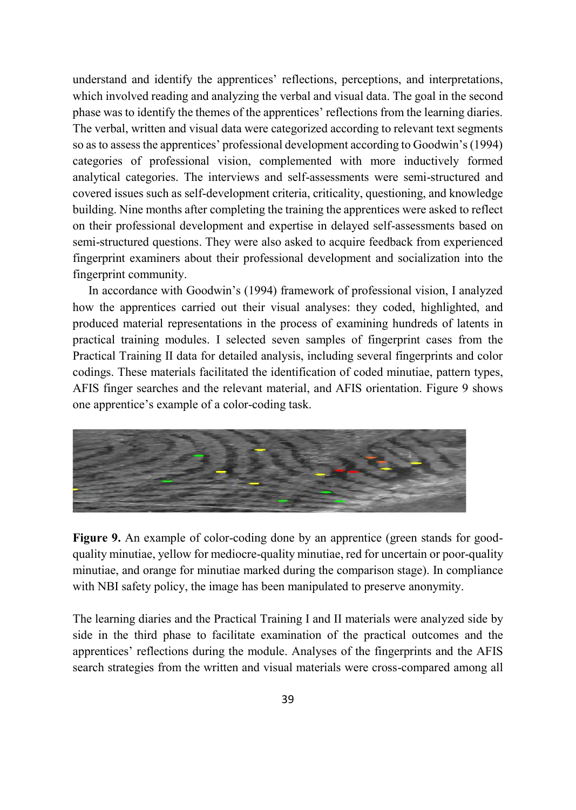understand and identify the apprentices' reflections, perceptions, and interpretations, which involved reading and analyzing the verbal and visual data. The goal in the second phase was to identify the themes of the apprentices' reflections from the learning diaries. The verbal, written and visual data were categorized according to relevant text segments so as to assess the apprentices' professional development according to Goodwin's (1994) categories of professional vision, complemented with more inductively formed analytical categories. The interviews and self-assessments were semi-structured and covered issues such as self-development criteria, criticality, questioning, and knowledge building. Nine months after completing the training the apprentices were asked to reflect on their professional development and expertise in delayed self-assessments based on semi-structured questions. They were also asked to acquire feedback from experienced fingerprint examiners about their professional development and socialization into the fingerprint community.

In accordance with Goodwin's (1994) framework of professional vision, I analyzed how the apprentices carried out their visual analyses: they coded, highlighted, and produced material representations in the process of examining hundreds of latents in practical training modules. I selected seven samples of fingerprint cases from the Practical Training II data for detailed analysis, including several fingerprints and color codings. These materials facilitated the identification of coded minutiae, pattern types, AFIS finger searches and the relevant material, and AFIS orientation. Figure 9 shows one apprentice's example of a color-coding task.



**Figure 9.** An example of color-coding done by an apprentice (green stands for goodquality minutiae, yellow for mediocre-quality minutiae, red for uncertain or poor-quality minutiae, and orange for minutiae marked during the comparison stage). In compliance with NBI safety policy, the image has been manipulated to preserve anonymity.

The learning diaries and the Practical Training I and II materials were analyzed side by side in the third phase to facilitate examination of the practical outcomes and the apprentices' reflections during the module. Analyses of the fingerprints and the AFIS search strategies from the written and visual materials were cross-compared among all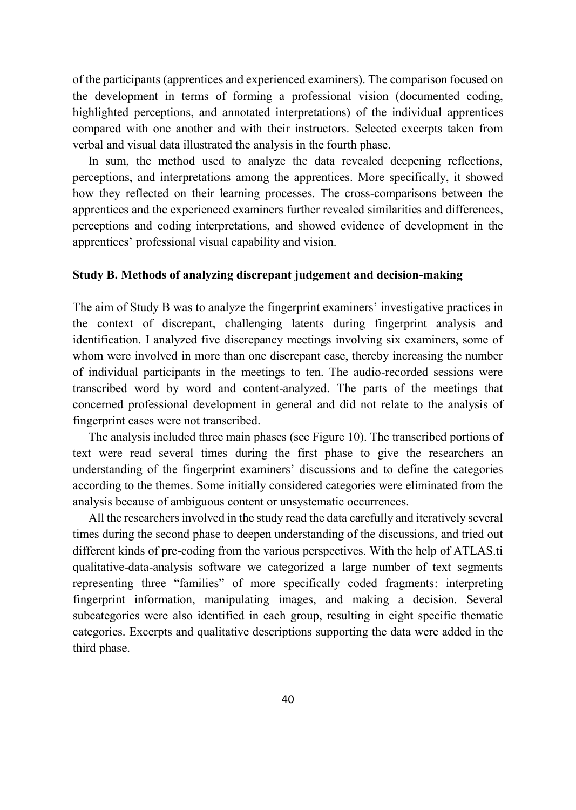of the participants (apprentices and experienced examiners). The comparison focused on the development in terms of forming a professional vision (documented coding, highlighted perceptions, and annotated interpretations) of the individual apprentices compared with one another and with their instructors. Selected excerpts taken from verbal and visual data illustrated the analysis in the fourth phase.

In sum, the method used to analyze the data revealed deepening reflections, perceptions, and interpretations among the apprentices. More specifically, it showed how they reflected on their learning processes. The cross-comparisons between the apprentices and the experienced examiners further revealed similarities and differences, perceptions and coding interpretations, and showed evidence of development in the apprentices' professional visual capability and vision.

#### **Study B. Methods of analyzing discrepant judgement and decision-making**

The aim of Study B was to analyze the fingerprint examiners' investigative practices in the context of discrepant, challenging latents during fingerprint analysis and identification. I analyzed five discrepancy meetings involving six examiners, some of whom were involved in more than one discrepant case, thereby increasing the number of individual participants in the meetings to ten. The audio-recorded sessions were transcribed word by word and content-analyzed. The parts of the meetings that concerned professional development in general and did not relate to the analysis of fingerprint cases were not transcribed.

The analysis included three main phases (see Figure 10). The transcribed portions of text were read several times during the first phase to give the researchers an understanding of the fingerprint examiners' discussions and to define the categories according to the themes. Some initially considered categories were eliminated from the analysis because of ambiguous content or unsystematic occurrences.

All the researchers involved in the study read the data carefully and iteratively several times during the second phase to deepen understanding of the discussions, and tried out different kinds of pre-coding from the various perspectives. With the help of ATLAS.ti qualitative-data-analysis software we categorized a large number of text segments representing three "families" of more specifically coded fragments: interpreting fingerprint information, manipulating images, and making a decision. Several subcategories were also identified in each group, resulting in eight specific thematic categories. Excerpts and qualitative descriptions supporting the data were added in the third phase.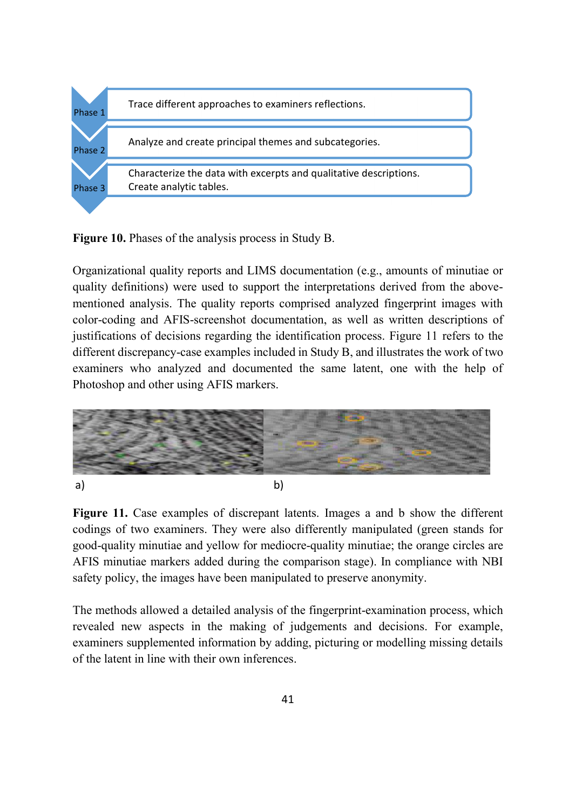

**Figure 10.** Phases of the analysis process in Study B.

Organizational quality reports and LIMS documentation (e.g., amounts of minutiae or quality definitions) were used to support the interpretations derived from the abovementioned analysis. The quality reports comprised analyzed fingerprint images with color-coding and AFIS-screenshot documentation, as well as written descriptions of justifications of decisions regarding the identification process. Figure 11 refers to the different discrepancy-case examples included in Study B, and illustrates the work of two examiners who analyzed and documented the same latent, one with the help of Photoshop and other using AFIS markers.



**Figure 11.** Case examples of discrepant latents. Images a and b show the different codings of two examiners. They were also differently manipulated (green stands for good-quality minutiae and yellow for mediocre-quality minutiae; the orange circles are AFIS minutiae markers added during the comparison stage). In compliance with NBI safety policy, the images have been manipulated to preserve anonymity.

The methods allowed a detailed analysis of the fingerprint-examination process, which revealed new aspects in the making of judgements and decisions. For example, examiners supplemented information by adding, picturing or modelling missing details of the latent in line with their own inferences.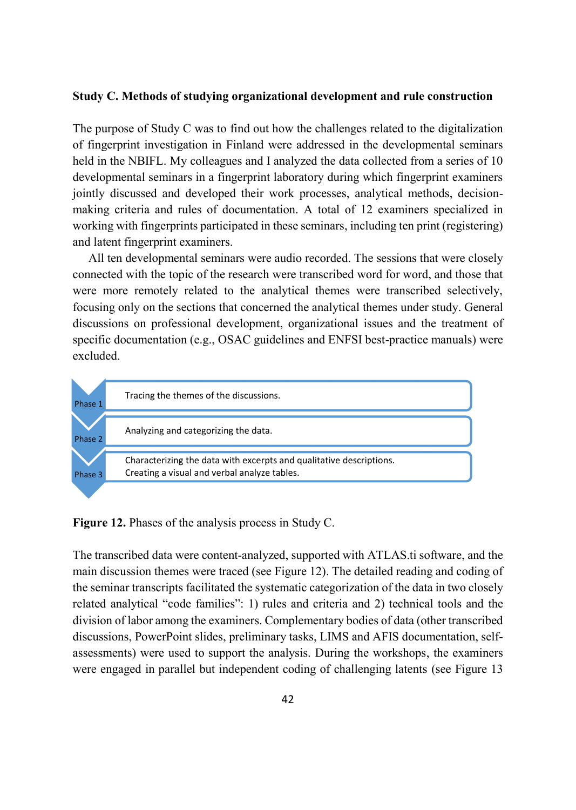#### **Study C. Methods of studying organizational development and rule construction**

The purpose of Study C was to find out how the challenges related to the digitalization of fingerprint investigation in Finland were addressed in the developmental seminars held in the NBIFL. My colleagues and I analyzed the data collected from a series of 10 developmental seminars in a fingerprint laboratory during which fingerprint examiners jointly discussed and developed their work processes, analytical methods, decisionmaking criteria and rules of documentation. A total of 12 examiners specialized in working with fingerprints participated in these seminars, including ten print (registering) and latent fingerprint examiners.

All ten developmental seminars were audio recorded. The sessions that were closely connected with the topic of the research were transcribed word for word, and those that were more remotely related to the analytical themes were transcribed selectively, focusing only on the sections that concerned the analytical themes under study. General discussions on professional development, organizational issues and the treatment of specific documentation (e.g., OSAC guidelines and ENFSI best-practice manuals) were excluded.



**Figure 12.** Phases of the analysis process in Study C.

The transcribed data were content-analyzed, supported with ATLAS.ti software, and the main discussion themes were traced (see Figure 12). The detailed reading and coding of the seminar transcripts facilitated the systematic categorization of the data in two closely related analytical "code families": 1) rules and criteria and 2) technical tools and the division of labor among the examiners. Complementary bodies of data (other transcribed discussions, PowerPoint slides, preliminary tasks, LIMS and AFIS documentation, selfassessments) were used to support the analysis. During the workshops, the examiners were engaged in parallel but independent coding of challenging latents (see Figure 13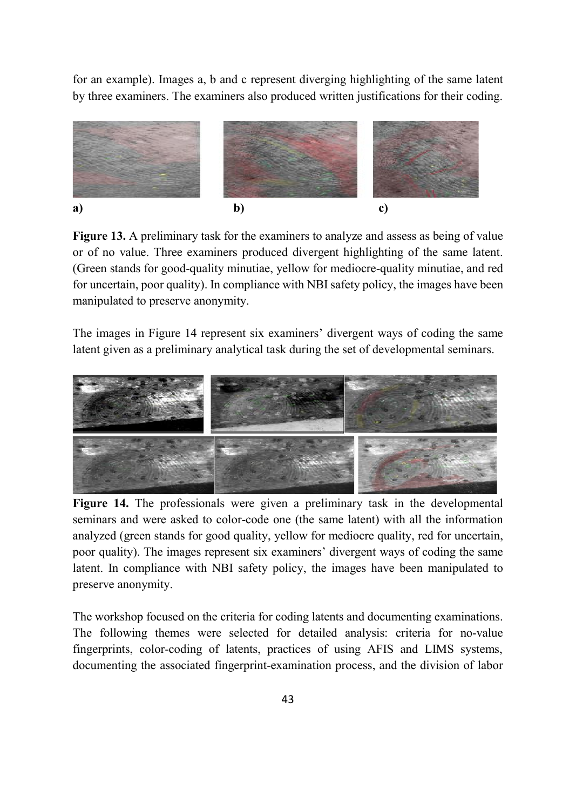for an example). Images a, b and c represent diverging highlighting of the same latent by three examiners. The examiners also produced written justifications for their coding.



**Figure 13.** A preliminary task for the examiners to analyze and assess as being of value or of no value. Three examiners produced divergent highlighting of the same latent. (Green stands for good-quality minutiae, yellow for mediocre-quality minutiae, and red for uncertain, poor quality). In compliance with NBI safety policy, the images have been manipulated to preserve anonymity.

The images in Figure 14 represent six examiners' divergent ways of coding the same latent given as a preliminary analytical task during the set of developmental seminars.



**Figure 14.** The professionals were given a preliminary task in the developmental seminars and were asked to color-code one (the same latent) with all the information analyzed (green stands for good quality, yellow for mediocre quality, red for uncertain, poor quality). The images represent six examiners' divergent ways of coding the same latent. In compliance with NBI safety policy, the images have been manipulated to preserve anonymity.

The workshop focused on the criteria for coding latents and documenting examinations. The following themes were selected for detailed analysis: criteria for no-value fingerprints, color-coding of latents, practices of using AFIS and LIMS systems, documenting the associated fingerprint-examination process, and the division of labor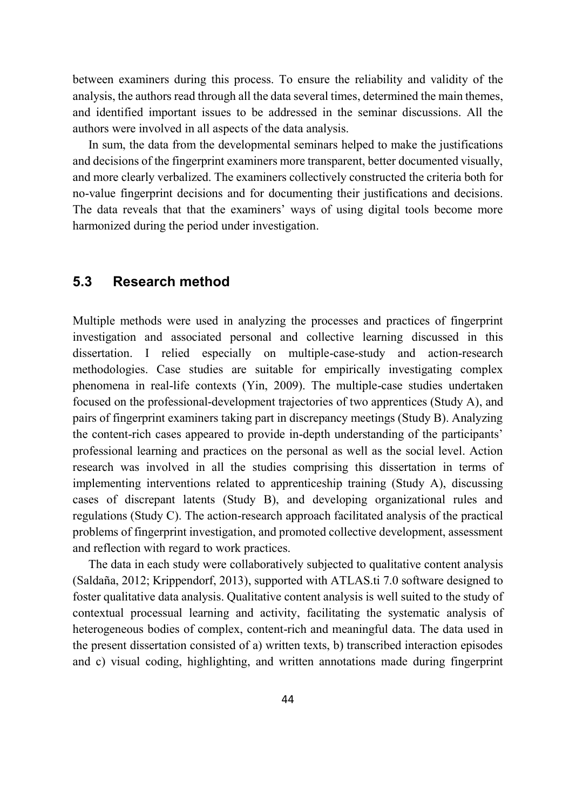between examiners during this process. To ensure the reliability and validity of the analysis, the authors read through all the data several times, determined the main themes, and identified important issues to be addressed in the seminar discussions. All the authors were involved in all aspects of the data analysis.

In sum, the data from the developmental seminars helped to make the justifications and decisions of the fingerprint examiners more transparent, better documented visually, and more clearly verbalized. The examiners collectively constructed the criteria both for no-value fingerprint decisions and for documenting their justifications and decisions. The data reveals that that the examiners' ways of using digital tools become more harmonized during the period under investigation.

### **5.3 Research method**

Multiple methods were used in analyzing the processes and practices of fingerprint investigation and associated personal and collective learning discussed in this dissertation. I relied especially on multiple-case-study and action-research methodologies. Case studies are suitable for empirically investigating complex phenomena in real-life contexts (Yin, 2009). The multiple-case studies undertaken focused on the professional-development trajectories of two apprentices (Study A), and pairs of fingerprint examiners taking part in discrepancy meetings (Study B). Analyzing the content-rich cases appeared to provide in-depth understanding of the participants' professional learning and practices on the personal as well as the social level. Action research was involved in all the studies comprising this dissertation in terms of implementing interventions related to apprenticeship training (Study A), discussing cases of discrepant latents (Study B), and developing organizational rules and regulations (Study C). The action-research approach facilitated analysis of the practical problems of fingerprint investigation, and promoted collective development, assessment and reflection with regard to work practices.

The data in each study were collaboratively subjected to qualitative content analysis (Saldaña, 2012; Krippendorf, 2013), supported with ATLAS.ti 7.0 software designed to foster qualitative data analysis. Qualitative content analysis is well suited to the study of contextual processual learning and activity, facilitating the systematic analysis of heterogeneous bodies of complex, content-rich and meaningful data. The data used in the present dissertation consisted of a) written texts, b) transcribed interaction episodes and c) visual coding, highlighting, and written annotations made during fingerprint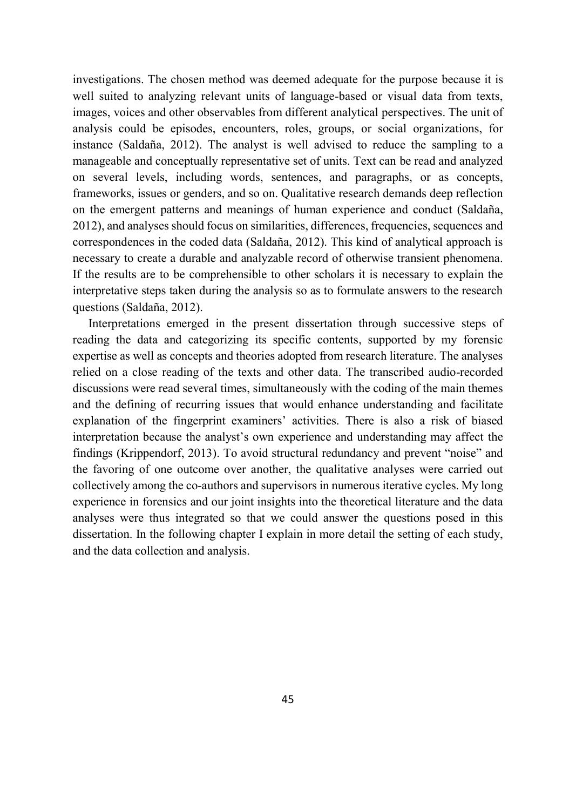investigations. The chosen method was deemed adequate for the purpose because it is well suited to analyzing relevant units of language-based or visual data from texts, images, voices and other observables from different analytical perspectives. The unit of analysis could be episodes, encounters, roles, groups, or social organizations, for instance (Saldaña, 2012). The analyst is well advised to reduce the sampling to a manageable and conceptually representative set of units. Text can be read and analyzed on several levels, including words, sentences, and paragraphs, or as concepts, frameworks, issues or genders, and so on. Qualitative research demands deep reflection on the emergent patterns and meanings of human experience and conduct (Saldaña, 2012), and analyses should focus on similarities, differences, frequencies, sequences and correspondences in the coded data (Saldaña, 2012). This kind of analytical approach is necessary to create a durable and analyzable record of otherwise transient phenomena. If the results are to be comprehensible to other scholars it is necessary to explain the interpretative steps taken during the analysis so as to formulate answers to the research questions (Saldaña, 2012).

Interpretations emerged in the present dissertation through successive steps of reading the data and categorizing its specific contents, supported by my forensic expertise as well as concepts and theories adopted from research literature. The analyses relied on a close reading of the texts and other data. The transcribed audio-recorded discussions were read several times, simultaneously with the coding of the main themes and the defining of recurring issues that would enhance understanding and facilitate explanation of the fingerprint examiners' activities. There is also a risk of biased interpretation because the analyst's own experience and understanding may affect the findings (Krippendorf, 2013). To avoid structural redundancy and prevent "noise" and the favoring of one outcome over another, the qualitative analyses were carried out collectively among the co-authors and supervisors in numerous iterative cycles. My long experience in forensics and our joint insights into the theoretical literature and the data analyses were thus integrated so that we could answer the questions posed in this dissertation. In the following chapter I explain in more detail the setting of each study, and the data collection and analysis.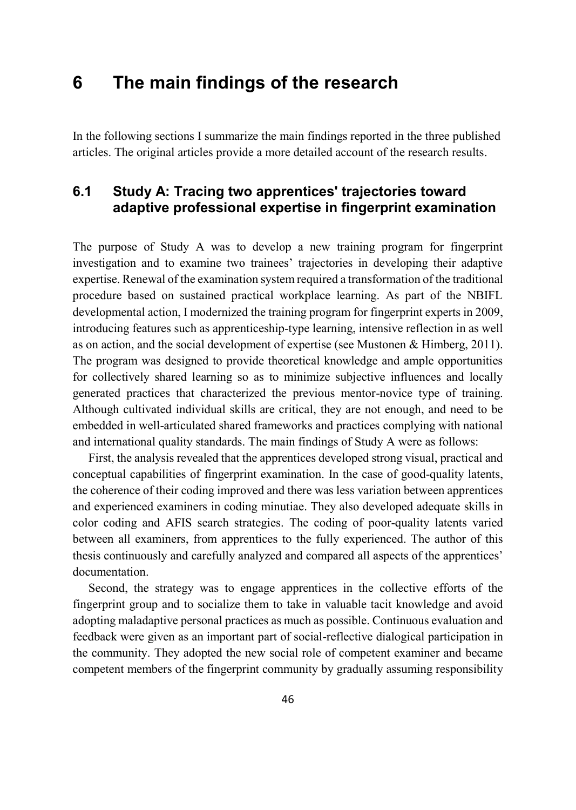# **6 The main findings of the research**

In the following sections I summarize the main findings reported in the three published articles. The original articles provide a more detailed account of the research results.

# **6.1 Study A: Tracing two apprentices' trajectories toward adaptive professional expertise in fingerprint examination**

The purpose of Study A was to develop a new training program for fingerprint investigation and to examine two trainees' trajectories in developing their adaptive expertise. Renewal of the examination system required a transformation of the traditional procedure based on sustained practical workplace learning. As part of the NBIFL developmental action, I modernized the training program for fingerprint experts in 2009, introducing features such as apprenticeship-type learning, intensive reflection in as well as on action, and the social development of expertise (see Mustonen & Himberg, 2011). The program was designed to provide theoretical knowledge and ample opportunities for collectively shared learning so as to minimize subjective influences and locally generated practices that characterized the previous mentor-novice type of training. Although cultivated individual skills are critical, they are not enough, and need to be embedded in well-articulated shared frameworks and practices complying with national and international quality standards. The main findings of Study A were as follows:

First, the analysis revealed that the apprentices developed strong visual, practical and conceptual capabilities of fingerprint examination. In the case of good-quality latents, the coherence of their coding improved and there was less variation between apprentices and experienced examiners in coding minutiae. They also developed adequate skills in color coding and AFIS search strategies. The coding of poor-quality latents varied between all examiners, from apprentices to the fully experienced. The author of this thesis continuously and carefully analyzed and compared all aspects of the apprentices' documentation.

Second, the strategy was to engage apprentices in the collective efforts of the fingerprint group and to socialize them to take in valuable tacit knowledge and avoid adopting maladaptive personal practices as much as possible. Continuous evaluation and feedback were given as an important part of social-reflective dialogical participation in the community. They adopted the new social role of competent examiner and became competent members of the fingerprint community by gradually assuming responsibility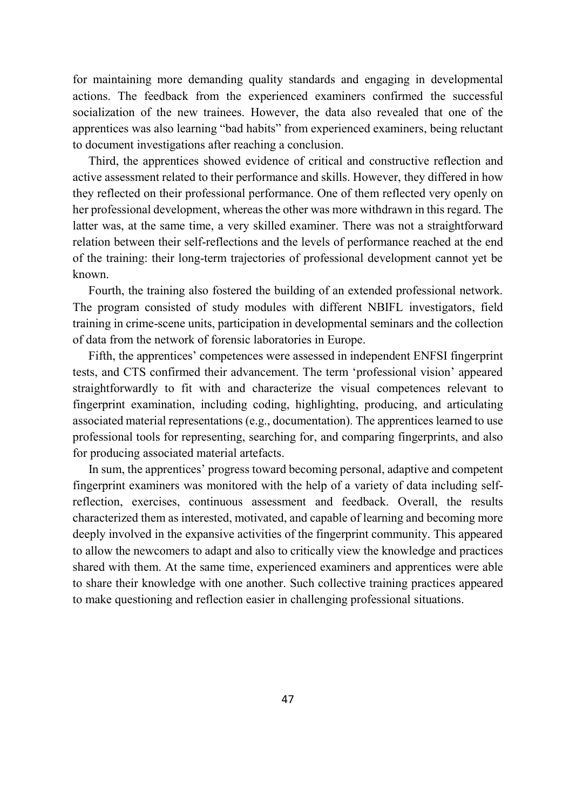for maintaining more demanding quality standards and engaging in developmental actions. The feedback from the experienced examiners confirmed the successful socialization of the new trainees. However, the data also revealed that one of the apprentices was also learning "bad habits" from experienced examiners, being reluctant to document investigations after reaching a conclusion.

Third, the apprentices showed evidence of critical and constructive reflection and active assessment related to their performance and skills. However, they differed in how they reflected on their professional performance. One of them reflected very openly on her professional development, whereas the other was more withdrawn in this regard. The latter was, at the same time, a very skilled examiner. There was not a straightforward relation between their self-reflections and the levels of performance reached at the end of the training: their long-term trajectories of professional development cannot yet be known.

Fourth, the training also fostered the building of an extended professional network. The program consisted of study modules with different NBIFL investigators, field training in crime-scene units, participation in developmental seminars and the collection of data from the network of forensic laboratories in Europe.

Fifth, the apprentices' competences were assessed in independent ENFSI fingerprint tests, and CTS confirmed their advancement. The term 'professional vision' appeared straightforwardly to fit with and characterize the visual competences relevant to fingerprint examination, including coding, highlighting, producing, and articulating associated material representations (e.g., documentation). The apprentices learned to use professional tools for representing, searching for, and comparing fingerprints, and also for producing associated material artefacts.

In sum, the apprentices' progress toward becoming personal, adaptive and competent fingerprint examiners was monitored with the help of a variety of data including selfreflection, exercises, continuous assessment and feedback. Overall, the results characterized them as interested, motivated, and capable of learning and becoming more deeply involved in the expansive activities of the fingerprint community. This appeared to allow the newcomers to adapt and also to critically view the knowledge and practices shared with them. At the same time, experienced examiners and apprentices were able to share their knowledge with one another. Such collective training practices appeared to make questioning and reflection easier in challenging professional situations.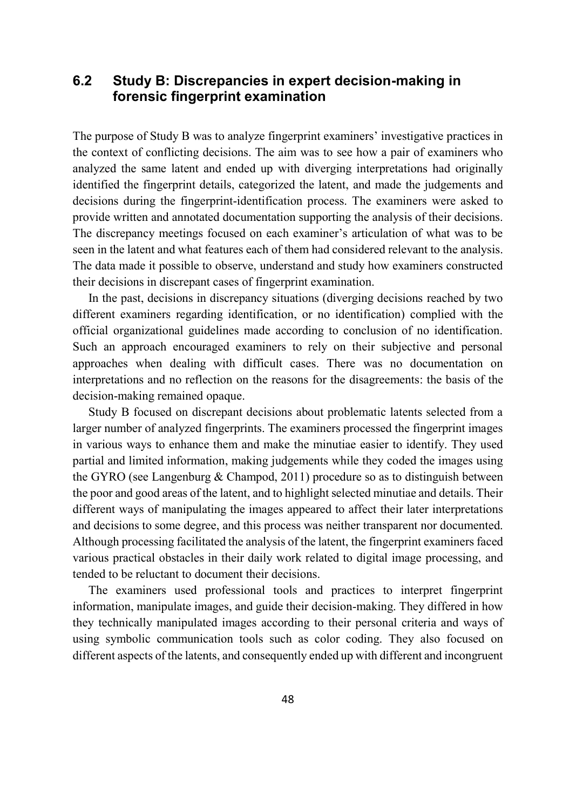## **6.2 Study B: Discrepancies in expert decision-making in forensic fingerprint examination**

The purpose of Study B was to analyze fingerprint examiners' investigative practices in the context of conflicting decisions. The aim was to see how a pair of examiners who analyzed the same latent and ended up with diverging interpretations had originally identified the fingerprint details, categorized the latent, and made the judgements and decisions during the fingerprint-identification process. The examiners were asked to provide written and annotated documentation supporting the analysis of their decisions. The discrepancy meetings focused on each examiner's articulation of what was to be seen in the latent and what features each of them had considered relevant to the analysis. The data made it possible to observe, understand and study how examiners constructed their decisions in discrepant cases of fingerprint examination.

In the past, decisions in discrepancy situations (diverging decisions reached by two different examiners regarding identification, or no identification) complied with the official organizational guidelines made according to conclusion of no identification. Such an approach encouraged examiners to rely on their subjective and personal approaches when dealing with difficult cases. There was no documentation on interpretations and no reflection on the reasons for the disagreements: the basis of the decision-making remained opaque.

Study B focused on discrepant decisions about problematic latents selected from a larger number of analyzed fingerprints. The examiners processed the fingerprint images in various ways to enhance them and make the minutiae easier to identify. They used partial and limited information, making judgements while they coded the images using the GYRO (see Langenburg & Champod, 2011) procedure so as to distinguish between the poor and good areas of the latent, and to highlight selected minutiae and details. Their different ways of manipulating the images appeared to affect their later interpretations and decisions to some degree, and this process was neither transparent nor documented. Although processing facilitated the analysis of the latent, the fingerprint examiners faced various practical obstacles in their daily work related to digital image processing, and tended to be reluctant to document their decisions.

The examiners used professional tools and practices to interpret fingerprint information, manipulate images, and guide their decision-making. They differed in how they technically manipulated images according to their personal criteria and ways of using symbolic communication tools such as color coding. They also focused on different aspects of the latents, and consequently ended up with different and incongruent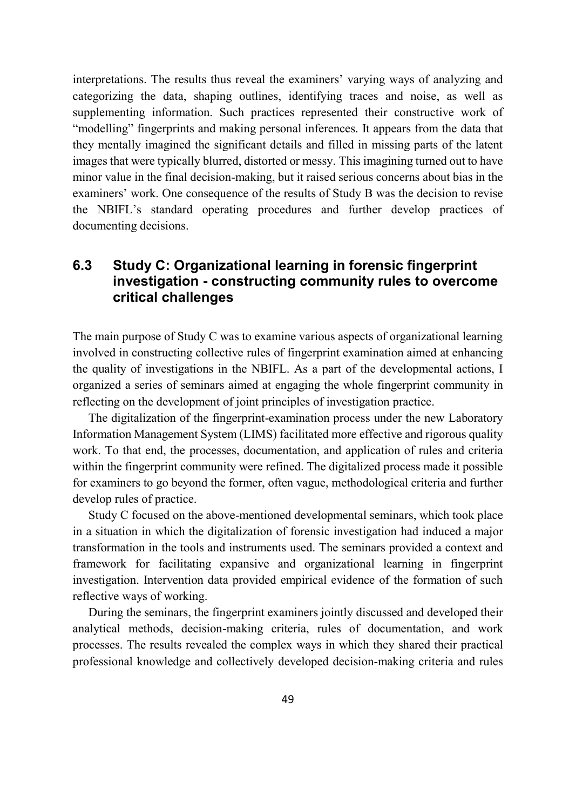interpretations. The results thus reveal the examiners' varying ways of analyzing and categorizing the data, shaping outlines, identifying traces and noise, as well as supplementing information. Such practices represented their constructive work of "modelling" fingerprints and making personal inferences. It appears from the data that they mentally imagined the significant details and filled in missing parts of the latent images that were typically blurred, distorted or messy. This imagining turned out to have minor value in the final decision-making, but it raised serious concerns about bias in the examiners' work. One consequence of the results of Study B was the decision to revise the NBIFL's standard operating procedures and further develop practices of documenting decisions.

## **6.3 Study C: Organizational learning in forensic fingerprint investigation - constructing community rules to overcome critical challenges**

The main purpose of Study C was to examine various aspects of organizational learning involved in constructing collective rules of fingerprint examination aimed at enhancing the quality of investigations in the NBIFL. As a part of the developmental actions, I organized a series of seminars aimed at engaging the whole fingerprint community in reflecting on the development of joint principles of investigation practice.

The digitalization of the fingerprint-examination process under the new Laboratory Information Management System (LIMS) facilitated more effective and rigorous quality work. To that end, the processes, documentation, and application of rules and criteria within the fingerprint community were refined. The digitalized process made it possible for examiners to go beyond the former, often vague, methodological criteria and further develop rules of practice.

Study C focused on the above-mentioned developmental seminars, which took place in a situation in which the digitalization of forensic investigation had induced a major transformation in the tools and instruments used. The seminars provided a context and framework for facilitating expansive and organizational learning in fingerprint investigation. Intervention data provided empirical evidence of the formation of such reflective ways of working.

During the seminars, the fingerprint examiners jointly discussed and developed their analytical methods, decision-making criteria, rules of documentation, and work processes. The results revealed the complex ways in which they shared their practical professional knowledge and collectively developed decision-making criteria and rules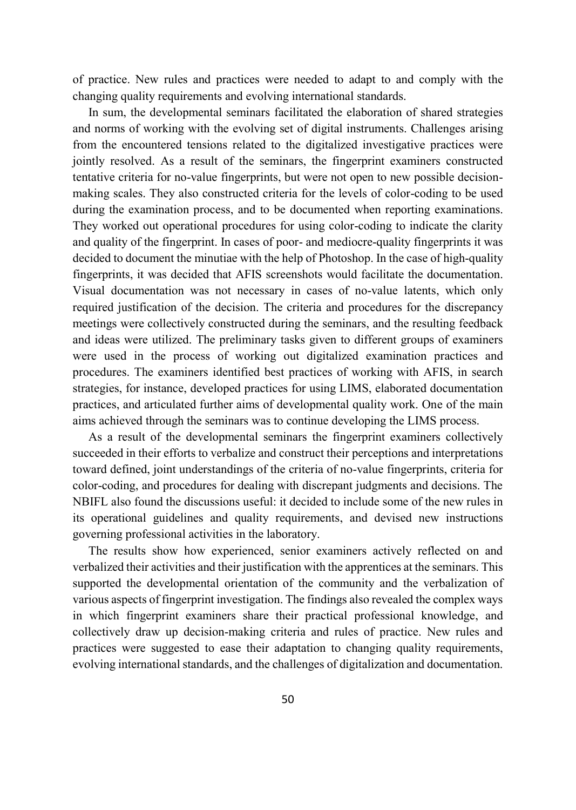of practice. New rules and practices were needed to adapt to and comply with the changing quality requirements and evolving international standards.

In sum, the developmental seminars facilitated the elaboration of shared strategies and norms of working with the evolving set of digital instruments. Challenges arising from the encountered tensions related to the digitalized investigative practices were jointly resolved. As a result of the seminars, the fingerprint examiners constructed tentative criteria for no-value fingerprints, but were not open to new possible decisionmaking scales. They also constructed criteria for the levels of color-coding to be used during the examination process, and to be documented when reporting examinations. They worked out operational procedures for using color-coding to indicate the clarity and quality of the fingerprint. In cases of poor- and mediocre-quality fingerprints it was decided to document the minutiae with the help of Photoshop. In the case of high-quality fingerprints, it was decided that AFIS screenshots would facilitate the documentation. Visual documentation was not necessary in cases of no-value latents, which only required justification of the decision. The criteria and procedures for the discrepancy meetings were collectively constructed during the seminars, and the resulting feedback and ideas were utilized. The preliminary tasks given to different groups of examiners were used in the process of working out digitalized examination practices and procedures. The examiners identified best practices of working with AFIS, in search strategies, for instance, developed practices for using LIMS, elaborated documentation practices, and articulated further aims of developmental quality work. One of the main aims achieved through the seminars was to continue developing the LIMS process.

As a result of the developmental seminars the fingerprint examiners collectively succeeded in their efforts to verbalize and construct their perceptions and interpretations toward defined, joint understandings of the criteria of no-value fingerprints, criteria for color-coding, and procedures for dealing with discrepant judgments and decisions. The NBIFL also found the discussions useful: it decided to include some of the new rules in its operational guidelines and quality requirements, and devised new instructions governing professional activities in the laboratory.

The results show how experienced, senior examiners actively reflected on and verbalized their activities and their justification with the apprentices at the seminars. This supported the developmental orientation of the community and the verbalization of various aspects of fingerprint investigation. The findings also revealed the complex ways in which fingerprint examiners share their practical professional knowledge, and collectively draw up decision-making criteria and rules of practice. New rules and practices were suggested to ease their adaptation to changing quality requirements, evolving international standards, and the challenges of digitalization and documentation.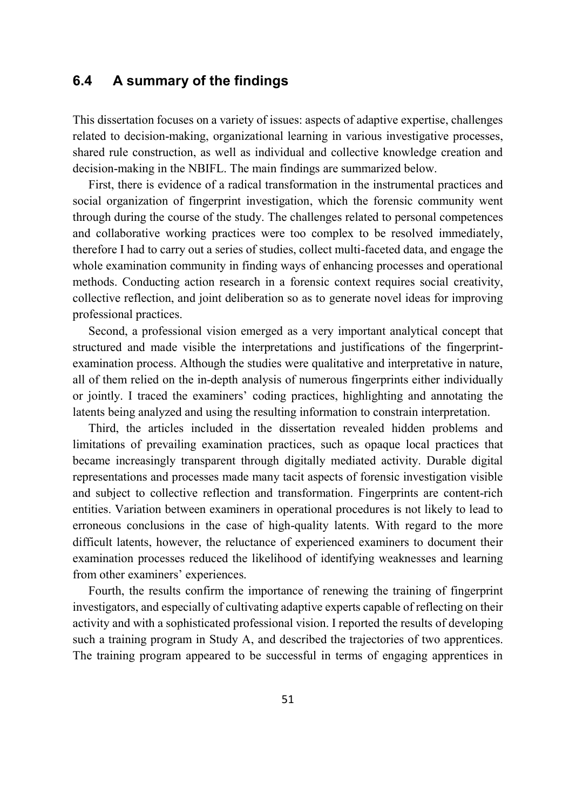## **6.4 A summary of the findings**

This dissertation focuses on a variety of issues: aspects of adaptive expertise, challenges related to decision-making, organizational learning in various investigative processes, shared rule construction, as well as individual and collective knowledge creation and decision-making in the NBIFL. The main findings are summarized below.

First, there is evidence of a radical transformation in the instrumental practices and social organization of fingerprint investigation, which the forensic community went through during the course of the study. The challenges related to personal competences and collaborative working practices were too complex to be resolved immediately, therefore I had to carry out a series of studies, collect multi-faceted data, and engage the whole examination community in finding ways of enhancing processes and operational methods. Conducting action research in a forensic context requires social creativity, collective reflection, and joint deliberation so as to generate novel ideas for improving professional practices.

Second, a professional vision emerged as a very important analytical concept that structured and made visible the interpretations and justifications of the fingerprintexamination process. Although the studies were qualitative and interpretative in nature, all of them relied on the in-depth analysis of numerous fingerprints either individually or jointly. I traced the examiners' coding practices, highlighting and annotating the latents being analyzed and using the resulting information to constrain interpretation.

Third, the articles included in the dissertation revealed hidden problems and limitations of prevailing examination practices, such as opaque local practices that became increasingly transparent through digitally mediated activity. Durable digital representations and processes made many tacit aspects of forensic investigation visible and subject to collective reflection and transformation. Fingerprints are content-rich entities. Variation between examiners in operational procedures is not likely to lead to erroneous conclusions in the case of high-quality latents. With regard to the more difficult latents, however, the reluctance of experienced examiners to document their examination processes reduced the likelihood of identifying weaknesses and learning from other examiners' experiences.

Fourth, the results confirm the importance of renewing the training of fingerprint investigators, and especially of cultivating adaptive experts capable of reflecting on their activity and with a sophisticated professional vision. I reported the results of developing such a training program in Study A, and described the trajectories of two apprentices. The training program appeared to be successful in terms of engaging apprentices in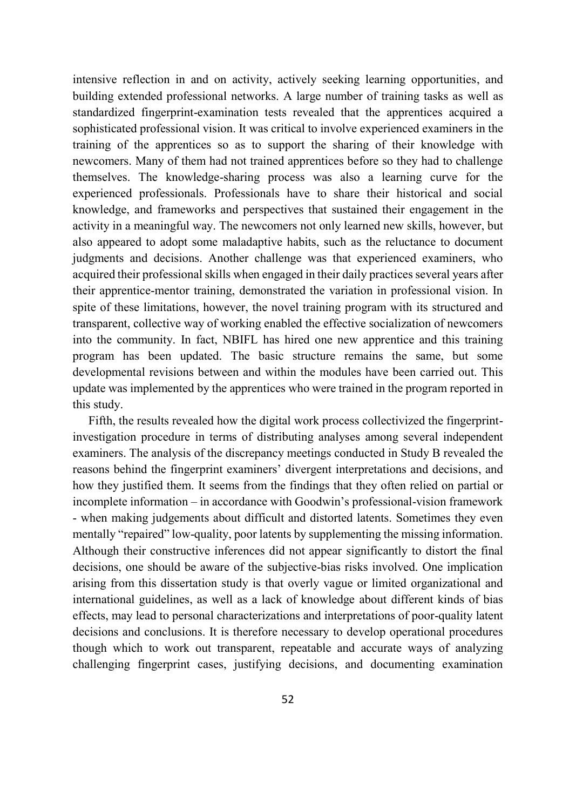intensive reflection in and on activity, actively seeking learning opportunities, and building extended professional networks. A large number of training tasks as well as standardized fingerprint-examination tests revealed that the apprentices acquired a sophisticated professional vision. It was critical to involve experienced examiners in the training of the apprentices so as to support the sharing of their knowledge with newcomers. Many of them had not trained apprentices before so they had to challenge themselves. The knowledge-sharing process was also a learning curve for the experienced professionals. Professionals have to share their historical and social knowledge, and frameworks and perspectives that sustained their engagement in the activity in a meaningful way. The newcomers not only learned new skills, however, but also appeared to adopt some maladaptive habits, such as the reluctance to document judgments and decisions. Another challenge was that experienced examiners, who acquired their professional skills when engaged in their daily practices several years after their apprentice-mentor training, demonstrated the variation in professional vision. In spite of these limitations, however, the novel training program with its structured and transparent, collective way of working enabled the effective socialization of newcomers into the community. In fact, NBIFL has hired one new apprentice and this training program has been updated. The basic structure remains the same, but some developmental revisions between and within the modules have been carried out. This update was implemented by the apprentices who were trained in the program reported in this study.

Fifth, the results revealed how the digital work process collectivized the fingerprintinvestigation procedure in terms of distributing analyses among several independent examiners. The analysis of the discrepancy meetings conducted in Study B revealed the reasons behind the fingerprint examiners' divergent interpretations and decisions, and how they justified them. It seems from the findings that they often relied on partial or incomplete information – in accordance with Goodwin's professional-vision framework - when making judgements about difficult and distorted latents. Sometimes they even mentally "repaired" low-quality, poor latents by supplementing the missing information. Although their constructive inferences did not appear significantly to distort the final decisions, one should be aware of the subjective-bias risks involved. One implication arising from this dissertation study is that overly vague or limited organizational and international guidelines, as well as a lack of knowledge about different kinds of bias effects, may lead to personal characterizations and interpretations of poor-quality latent decisions and conclusions. It is therefore necessary to develop operational procedures though which to work out transparent, repeatable and accurate ways of analyzing challenging fingerprint cases, justifying decisions, and documenting examination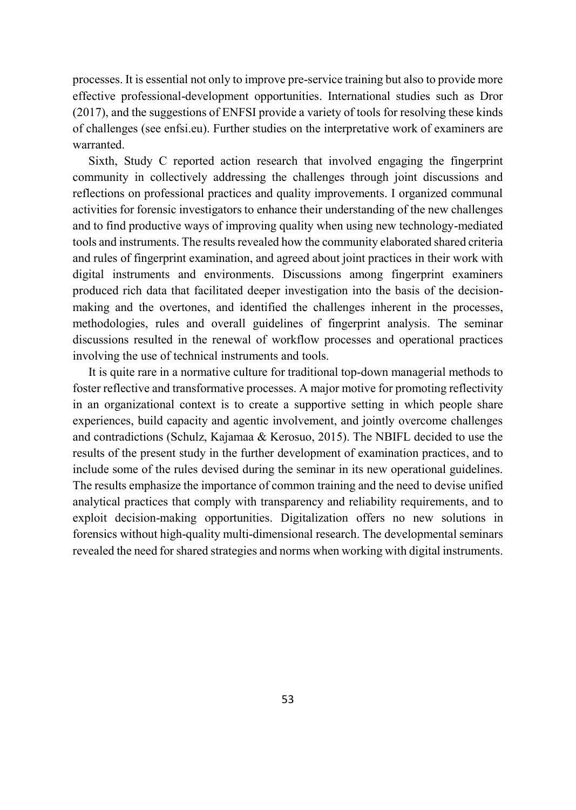processes. It is essential not only to improve pre-service training but also to provide more effective professional-development opportunities. International studies such as Dror (2017), and the suggestions of ENFSI provide a variety of tools for resolving these kinds of challenges (see enfsi.eu). Further studies on the interpretative work of examiners are warranted.

Sixth, Study C reported action research that involved engaging the fingerprint community in collectively addressing the challenges through joint discussions and reflections on professional practices and quality improvements. I organized communal activities for forensic investigators to enhance their understanding of the new challenges and to find productive ways of improving quality when using new technology-mediated tools and instruments. The results revealed how the community elaborated shared criteria and rules of fingerprint examination, and agreed about joint practices in their work with digital instruments and environments. Discussions among fingerprint examiners produced rich data that facilitated deeper investigation into the basis of the decisionmaking and the overtones, and identified the challenges inherent in the processes, methodologies, rules and overall guidelines of fingerprint analysis. The seminar discussions resulted in the renewal of workflow processes and operational practices involving the use of technical instruments and tools.

It is quite rare in a normative culture for traditional top-down managerial methods to foster reflective and transformative processes. A major motive for promoting reflectivity in an organizational context is to create a supportive setting in which people share experiences, build capacity and agentic involvement, and jointly overcome challenges and contradictions (Schulz, Kajamaa & Kerosuo, 2015). The NBIFL decided to use the results of the present study in the further development of examination practices, and to include some of the rules devised during the seminar in its new operational guidelines. The results emphasize the importance of common training and the need to devise unified analytical practices that comply with transparency and reliability requirements, and to exploit decision-making opportunities. Digitalization offers no new solutions in forensics without high-quality multi-dimensional research. The developmental seminars revealed the need for shared strategies and norms when working with digital instruments.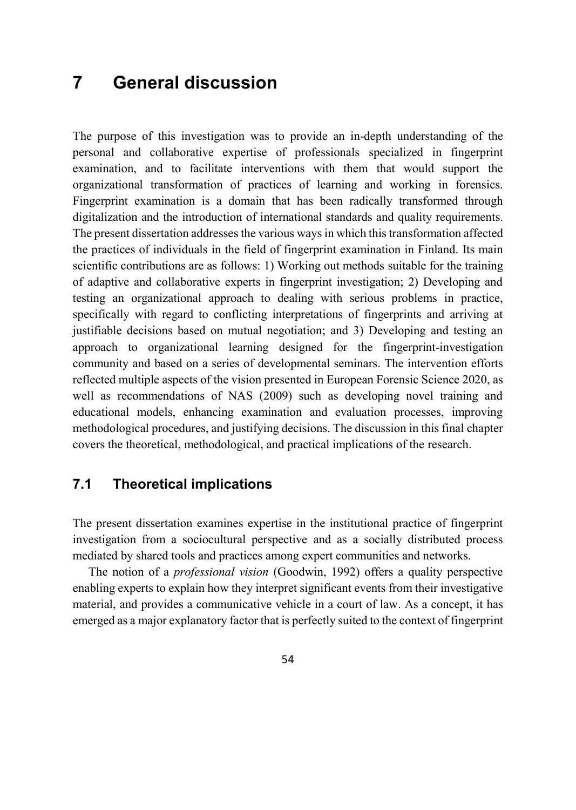# **7 General discussion**

The purpose of this investigation was to provide an in-depth understanding of the personal and collaborative expertise of professionals specialized in fingerprint examination, and to facilitate interventions with them that would support the organizational transformation of practices of learning and working in forensics. Fingerprint examination is a domain that has been radically transformed through digitalization and the introduction of international standards and quality requirements. The present dissertation addresses the various ways in which this transformation affected the practices of individuals in the field of fingerprint examination in Finland. Its main scientific contributions are as follows: 1) Working out methods suitable for the training of adaptive and collaborative experts in fingerprint investigation; 2) Developing and testing an organizational approach to dealing with serious problems in practice, specifically with regard to conflicting interpretations of fingerprints and arriving at justifiable decisions based on mutual negotiation; and 3) Developing and testing an approach to organizational learning designed for the fingerprint-investigation community and based on a series of developmental seminars. The intervention efforts reflected multiple aspects of the vision presented in European Forensic Science 2020, as well as recommendations of NAS (2009) such as developing novel training and educational models, enhancing examination and evaluation processes, improving methodological procedures, and justifying decisions. The discussion in this final chapter covers the theoretical, methodological, and practical implications of the research.

# **7.1 Theoretical implications**

The present dissertation examines expertise in the institutional practice of fingerprint investigation from a sociocultural perspective and as a socially distributed process mediated by shared tools and practices among expert communities and networks.

The notion of a *professional vision* (Goodwin, 1992) offers a quality perspective enabling experts to explain how they interpret significant events from their investigative material, and provides a communicative vehicle in a court of law. As a concept, it has emerged as a major explanatory factor that is perfectly suited to the context of fingerprint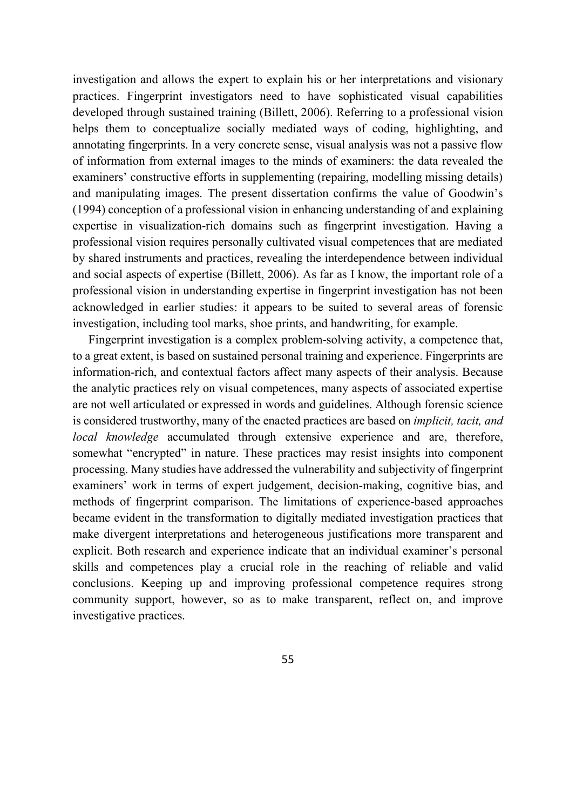investigation and allows the expert to explain his or her interpretations and visionary practices. Fingerprint investigators need to have sophisticated visual capabilities developed through sustained training (Billett, 2006). Referring to a professional vision helps them to conceptualize socially mediated ways of coding, highlighting, and annotating fingerprints. In a very concrete sense, visual analysis was not a passive flow of information from external images to the minds of examiners: the data revealed the examiners' constructive efforts in supplementing (repairing, modelling missing details) and manipulating images. The present dissertation confirms the value of Goodwin's (1994) conception of a professional vision in enhancing understanding of and explaining expertise in visualization-rich domains such as fingerprint investigation. Having a professional vision requires personally cultivated visual competences that are mediated by shared instruments and practices, revealing the interdependence between individual and social aspects of expertise (Billett, 2006). As far as I know, the important role of a professional vision in understanding expertise in fingerprint investigation has not been acknowledged in earlier studies: it appears to be suited to several areas of forensic investigation, including tool marks, shoe prints, and handwriting, for example.

Fingerprint investigation is a complex problem-solving activity, a competence that, to a great extent, is based on sustained personal training and experience. Fingerprints are information-rich, and contextual factors affect many aspects of their analysis. Because the analytic practices rely on visual competences, many aspects of associated expertise are not well articulated or expressed in words and guidelines. Although forensic science is considered trustworthy, many of the enacted practices are based on *implicit, tacit, and local knowledge* accumulated through extensive experience and are, therefore, somewhat "encrypted" in nature. These practices may resist insights into component processing. Many studies have addressed the vulnerability and subjectivity of fingerprint examiners' work in terms of expert judgement, decision-making, cognitive bias, and methods of fingerprint comparison. The limitations of experience-based approaches became evident in the transformation to digitally mediated investigation practices that make divergent interpretations and heterogeneous justifications more transparent and explicit. Both research and experience indicate that an individual examiner's personal skills and competences play a crucial role in the reaching of reliable and valid conclusions. Keeping up and improving professional competence requires strong community support, however, so as to make transparent, reflect on, and improve investigative practices.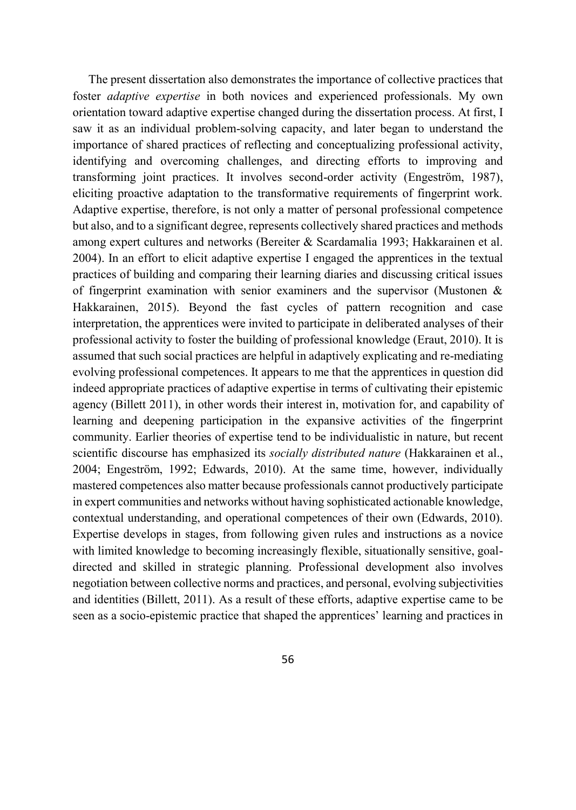The present dissertation also demonstrates the importance of collective practices that foster *adaptive expertise* in both novices and experienced professionals. My own orientation toward adaptive expertise changed during the dissertation process. At first, I saw it as an individual problem-solving capacity, and later began to understand the importance of shared practices of reflecting and conceptualizing professional activity, identifying and overcoming challenges, and directing efforts to improving and transforming joint practices. It involves second-order activity (Engeström, 1987), eliciting proactive adaptation to the transformative requirements of fingerprint work. Adaptive expertise, therefore, is not only a matter of personal professional competence but also, and to a significant degree, represents collectively shared practices and methods among expert cultures and networks (Bereiter & Scardamalia 1993; Hakkarainen et al. 2004). In an effort to elicit adaptive expertise I engaged the apprentices in the textual practices of building and comparing their learning diaries and discussing critical issues of fingerprint examination with senior examiners and the supervisor (Mustonen  $\&$ Hakkarainen, 2015). Beyond the fast cycles of pattern recognition and case interpretation, the apprentices were invited to participate in deliberated analyses of their professional activity to foster the building of professional knowledge (Eraut, 2010). It is assumed that such social practices are helpful in adaptively explicating and re-mediating evolving professional competences. It appears to me that the apprentices in question did indeed appropriate practices of adaptive expertise in terms of cultivating their epistemic agency (Billett 2011), in other words their interest in, motivation for, and capability of learning and deepening participation in the expansive activities of the fingerprint community. Earlier theories of expertise tend to be individualistic in nature, but recent scientific discourse has emphasized its *socially distributed nature* (Hakkarainen et al., 2004; Engeström, 1992; Edwards, 2010). At the same time, however, individually mastered competences also matter because professionals cannot productively participate in expert communities and networks without having sophisticated actionable knowledge, contextual understanding, and operational competences of their own (Edwards, 2010). Expertise develops in stages, from following given rules and instructions as a novice with limited knowledge to becoming increasingly flexible, situationally sensitive, goaldirected and skilled in strategic planning. Professional development also involves negotiation between collective norms and practices, and personal, evolving subjectivities and identities (Billett, 2011). As a result of these efforts, adaptive expertise came to be seen as a socio-epistemic practice that shaped the apprentices' learning and practices in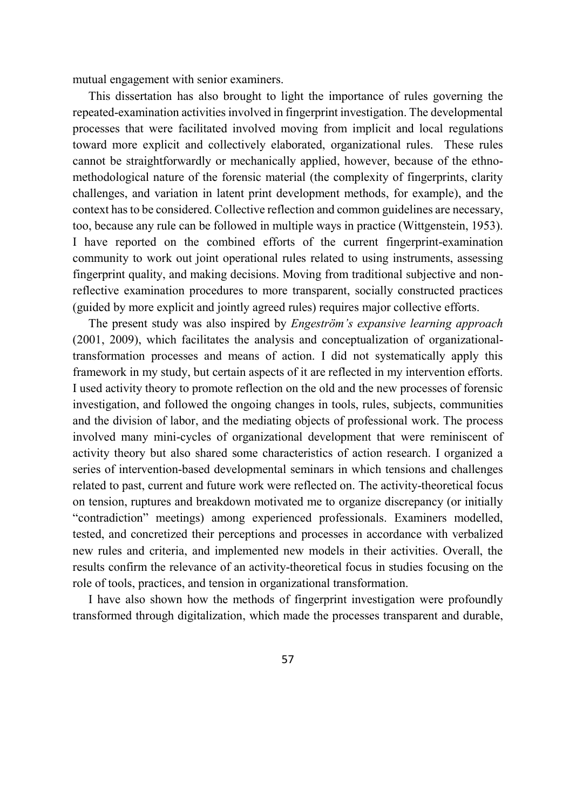mutual engagement with senior examiners.

This dissertation has also brought to light the importance of rules governing the repeated-examination activities involved in fingerprint investigation. The developmental processes that were facilitated involved moving from implicit and local regulations toward more explicit and collectively elaborated, organizational rules. These rules cannot be straightforwardly or mechanically applied, however, because of the ethnomethodological nature of the forensic material (the complexity of fingerprints, clarity challenges, and variation in latent print development methods, for example), and the context has to be considered. Collective reflection and common guidelines are necessary, too, because any rule can be followed in multiple ways in practice (Wittgenstein, 1953). I have reported on the combined efforts of the current fingerprint-examination community to work out joint operational rules related to using instruments, assessing fingerprint quality, and making decisions. Moving from traditional subjective and nonreflective examination procedures to more transparent, socially constructed practices (guided by more explicit and jointly agreed rules) requires major collective efforts.

The present study was also inspired by *Engeström's expansive learning approach* (2001, 2009), which facilitates the analysis and conceptualization of organizationaltransformation processes and means of action. I did not systematically apply this framework in my study, but certain aspects of it are reflected in my intervention efforts. I used activity theory to promote reflection on the old and the new processes of forensic investigation, and followed the ongoing changes in tools, rules, subjects, communities and the division of labor, and the mediating objects of professional work. The process involved many mini-cycles of organizational development that were reminiscent of activity theory but also shared some characteristics of action research. I organized a series of intervention-based developmental seminars in which tensions and challenges related to past, current and future work were reflected on. The activity-theoretical focus on tension, ruptures and breakdown motivated me to organize discrepancy (or initially "contradiction" meetings) among experienced professionals. Examiners modelled, tested, and concretized their perceptions and processes in accordance with verbalized new rules and criteria, and implemented new models in their activities. Overall, the results confirm the relevance of an activity-theoretical focus in studies focusing on the role of tools, practices, and tension in organizational transformation.

I have also shown how the methods of fingerprint investigation were profoundly transformed through digitalization, which made the processes transparent and durable,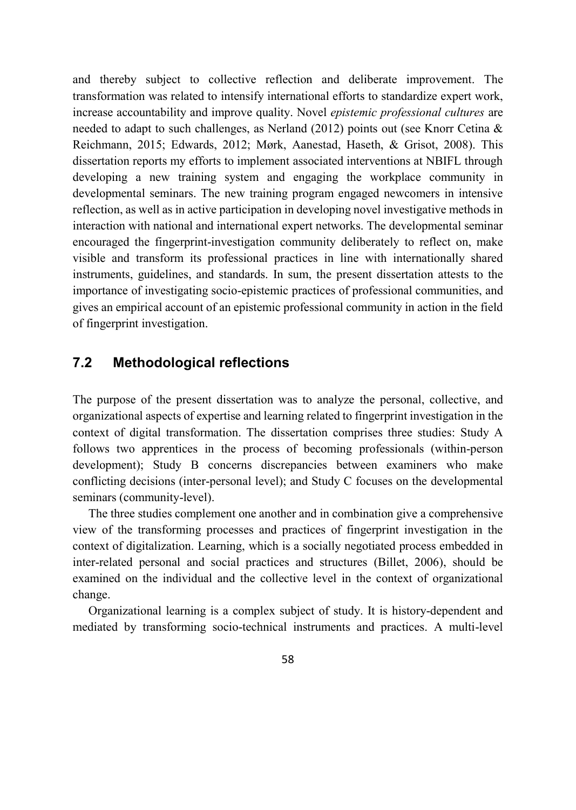and thereby subject to collective reflection and deliberate improvement. The transformation was related to intensify international efforts to standardize expert work, increase accountability and improve quality. Novel *epistemic professional cultures* are needed to adapt to such challenges, as Nerland (2012) points out (see Knorr Cetina & Reichmann, 2015; Edwards, 2012; Mørk, Aanestad, Haseth, & Grisot, 2008). This dissertation reports my efforts to implement associated interventions at NBIFL through developing a new training system and engaging the workplace community in developmental seminars. The new training program engaged newcomers in intensive reflection, as well as in active participation in developing novel investigative methods in interaction with national and international expert networks. The developmental seminar encouraged the fingerprint-investigation community deliberately to reflect on, make visible and transform its professional practices in line with internationally shared instruments, guidelines, and standards. In sum, the present dissertation attests to the importance of investigating socio-epistemic practices of professional communities, and gives an empirical account of an epistemic professional community in action in the field of fingerprint investigation.

# **7.2 Methodological reflections**

The purpose of the present dissertation was to analyze the personal, collective, and organizational aspects of expertise and learning related to fingerprint investigation in the context of digital transformation. The dissertation comprises three studies: Study A follows two apprentices in the process of becoming professionals (within-person development); Study B concerns discrepancies between examiners who make conflicting decisions (inter-personal level); and Study C focuses on the developmental seminars (community-level).

The three studies complement one another and in combination give a comprehensive view of the transforming processes and practices of fingerprint investigation in the context of digitalization. Learning, which is a socially negotiated process embedded in inter-related personal and social practices and structures (Billet, 2006), should be examined on the individual and the collective level in the context of organizational change.

Organizational learning is a complex subject of study. It is history-dependent and mediated by transforming socio-technical instruments and practices. A multi-level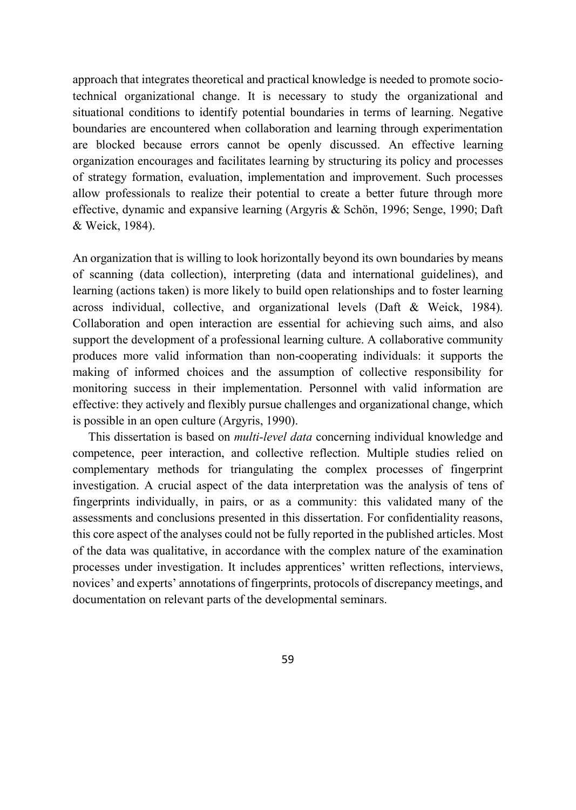approach that integrates theoretical and practical knowledge is needed to promote sociotechnical organizational change. It is necessary to study the organizational and situational conditions to identify potential boundaries in terms of learning. Negative boundaries are encountered when collaboration and learning through experimentation are blocked because errors cannot be openly discussed. An effective learning organization encourages and facilitates learning by structuring its policy and processes of strategy formation, evaluation, implementation and improvement. Such processes allow professionals to realize their potential to create a better future through more effective, dynamic and expansive learning (Argyris & Schön, 1996; Senge, 1990; Daft & Weick, 1984).

An organization that is willing to look horizontally beyond its own boundaries by means of scanning (data collection), interpreting (data and international guidelines), and learning (actions taken) is more likely to build open relationships and to foster learning across individual, collective, and organizational levels (Daft & Weick, 1984). Collaboration and open interaction are essential for achieving such aims, and also support the development of a professional learning culture. A collaborative community produces more valid information than non-cooperating individuals: it supports the making of informed choices and the assumption of collective responsibility for monitoring success in their implementation. Personnel with valid information are effective: they actively and flexibly pursue challenges and organizational change, which is possible in an open culture (Argyris, 1990).

This dissertation is based on *multi-level data* concerning individual knowledge and competence, peer interaction, and collective reflection. Multiple studies relied on complementary methods for triangulating the complex processes of fingerprint investigation. A crucial aspect of the data interpretation was the analysis of tens of fingerprints individually, in pairs, or as a community: this validated many of the assessments and conclusions presented in this dissertation. For confidentiality reasons, this core aspect of the analyses could not be fully reported in the published articles. Most of the data was qualitative, in accordance with the complex nature of the examination processes under investigation. It includes apprentices' written reflections, interviews, novices' and experts' annotations of fingerprints, protocols of discrepancy meetings, and documentation on relevant parts of the developmental seminars.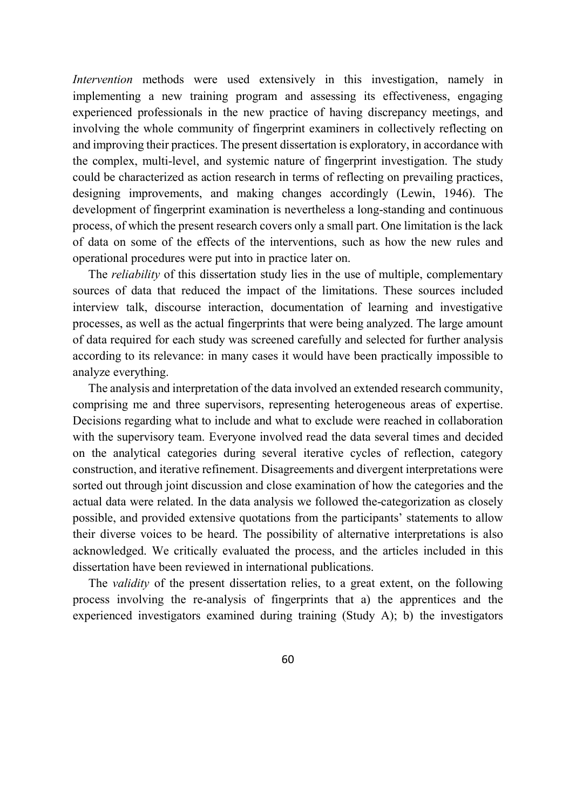*Intervention* methods were used extensively in this investigation, namely in implementing a new training program and assessing its effectiveness, engaging experienced professionals in the new practice of having discrepancy meetings, and involving the whole community of fingerprint examiners in collectively reflecting on and improving their practices. The present dissertation is exploratory, in accordance with the complex, multi-level, and systemic nature of fingerprint investigation. The study could be characterized as action research in terms of reflecting on prevailing practices, designing improvements, and making changes accordingly (Lewin, 1946). The development of fingerprint examination is nevertheless a long-standing and continuous process, of which the present research covers only a small part. One limitation is the lack of data on some of the effects of the interventions, such as how the new rules and operational procedures were put into in practice later on.

The *reliability* of this dissertation study lies in the use of multiple, complementary sources of data that reduced the impact of the limitations. These sources included interview talk, discourse interaction, documentation of learning and investigative processes, as well as the actual fingerprints that were being analyzed. The large amount of data required for each study was screened carefully and selected for further analysis according to its relevance: in many cases it would have been practically impossible to analyze everything.

The analysis and interpretation of the data involved an extended research community, comprising me and three supervisors, representing heterogeneous areas of expertise. Decisions regarding what to include and what to exclude were reached in collaboration with the supervisory team. Everyone involved read the data several times and decided on the analytical categories during several iterative cycles of reflection, category construction, and iterative refinement. Disagreements and divergent interpretations were sorted out through joint discussion and close examination of how the categories and the actual data were related. In the data analysis we followed the-categorization as closely possible, and provided extensive quotations from the participants' statements to allow their diverse voices to be heard. The possibility of alternative interpretations is also acknowledged. We critically evaluated the process, and the articles included in this dissertation have been reviewed in international publications.

The *validity* of the present dissertation relies, to a great extent, on the following process involving the re-analysis of fingerprints that a) the apprentices and the experienced investigators examined during training (Study A); b) the investigators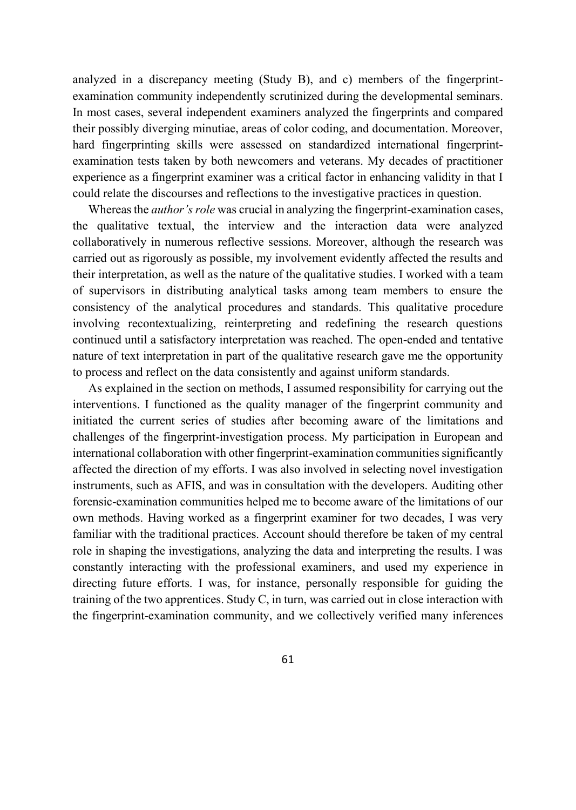analyzed in a discrepancy meeting (Study B), and c) members of the fingerprintexamination community independently scrutinized during the developmental seminars. In most cases, several independent examiners analyzed the fingerprints and compared their possibly diverging minutiae, areas of color coding, and documentation. Moreover, hard fingerprinting skills were assessed on standardized international fingerprintexamination tests taken by both newcomers and veterans. My decades of practitioner experience as a fingerprint examiner was a critical factor in enhancing validity in that I could relate the discourses and reflections to the investigative practices in question.

Whereas the *author's role* was crucial in analyzing the fingerprint-examination cases, the qualitative textual, the interview and the interaction data were analyzed collaboratively in numerous reflective sessions. Moreover, although the research was carried out as rigorously as possible, my involvement evidently affected the results and their interpretation, as well as the nature of the qualitative studies. I worked with a team of supervisors in distributing analytical tasks among team members to ensure the consistency of the analytical procedures and standards. This qualitative procedure involving recontextualizing, reinterpreting and redefining the research questions continued until a satisfactory interpretation was reached. The open-ended and tentative nature of text interpretation in part of the qualitative research gave me the opportunity to process and reflect on the data consistently and against uniform standards.

As explained in the section on methods, I assumed responsibility for carrying out the interventions. I functioned as the quality manager of the fingerprint community and initiated the current series of studies after becoming aware of the limitations and challenges of the fingerprint-investigation process. My participation in European and international collaboration with other fingerprint-examination communities significantly affected the direction of my efforts. I was also involved in selecting novel investigation instruments, such as AFIS, and was in consultation with the developers. Auditing other forensic-examination communities helped me to become aware of the limitations of our own methods. Having worked as a fingerprint examiner for two decades, I was very familiar with the traditional practices. Account should therefore be taken of my central role in shaping the investigations, analyzing the data and interpreting the results. I was constantly interacting with the professional examiners, and used my experience in directing future efforts. I was, for instance, personally responsible for guiding the training of the two apprentices. Study C, in turn, was carried out in close interaction with the fingerprint-examination community, and we collectively verified many inferences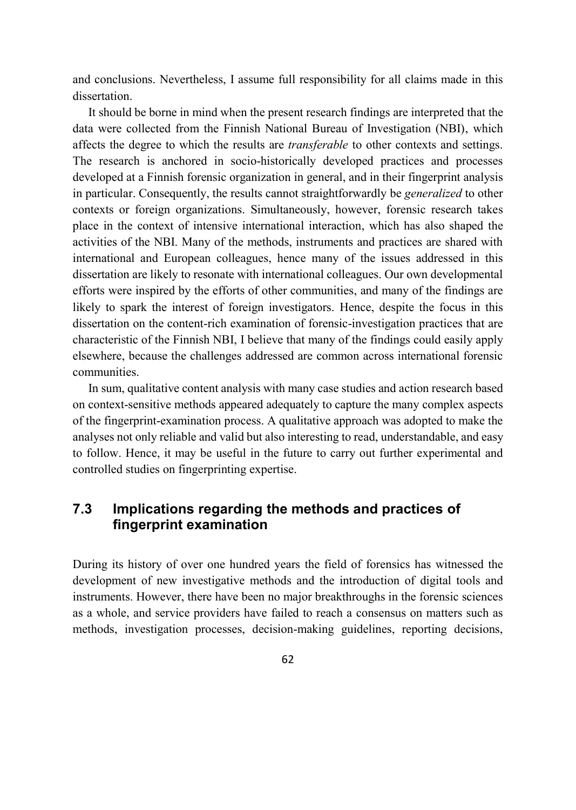and conclusions. Nevertheless, I assume full responsibility for all claims made in this dissertation.

It should be borne in mind when the present research findings are interpreted that the data were collected from the Finnish National Bureau of Investigation (NBI), which affects the degree to which the results are *transferable* to other contexts and settings. The research is anchored in socio-historically developed practices and processes developed at a Finnish forensic organization in general, and in their fingerprint analysis in particular. Consequently, the results cannot straightforwardly be *generalized* to other contexts or foreign organizations. Simultaneously, however, forensic research takes place in the context of intensive international interaction, which has also shaped the activities of the NBI. Many of the methods, instruments and practices are shared with international and European colleagues, hence many of the issues addressed in this dissertation are likely to resonate with international colleagues. Our own developmental efforts were inspired by the efforts of other communities, and many of the findings are likely to spark the interest of foreign investigators. Hence, despite the focus in this dissertation on the content-rich examination of forensic-investigation practices that are characteristic of the Finnish NBI, I believe that many of the findings could easily apply elsewhere, because the challenges addressed are common across international forensic communities.

In sum, qualitative content analysis with many case studies and action research based on context-sensitive methods appeared adequately to capture the many complex aspects of the fingerprint-examination process. A qualitative approach was adopted to make the analyses not only reliable and valid but also interesting to read, understandable, and easy to follow. Hence, it may be useful in the future to carry out further experimental and controlled studies on fingerprinting expertise.

# **7.3 Implications regarding the methods and practices of fingerprint examination**

During its history of over one hundred years the field of forensics has witnessed the development of new investigative methods and the introduction of digital tools and instruments. However, there have been no major breakthroughs in the forensic sciences as a whole, and service providers have failed to reach a consensus on matters such as methods, investigation processes, decision-making guidelines, reporting decisions,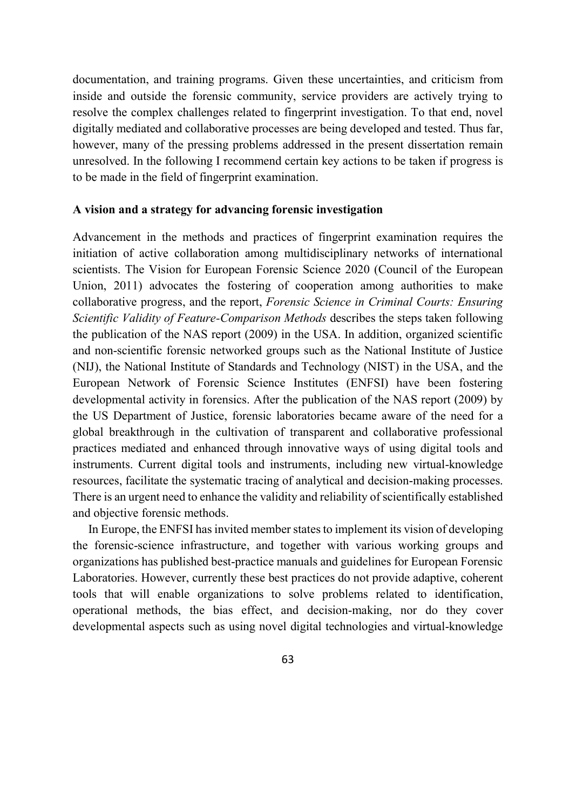documentation, and training programs. Given these uncertainties, and criticism from inside and outside the forensic community, service providers are actively trying to resolve the complex challenges related to fingerprint investigation. To that end, novel digitally mediated and collaborative processes are being developed and tested. Thus far, however, many of the pressing problems addressed in the present dissertation remain unresolved. In the following I recommend certain key actions to be taken if progress is to be made in the field of fingerprint examination.

#### **A vision and a strategy for advancing forensic investigation**

Advancement in the methods and practices of fingerprint examination requires the initiation of active collaboration among multidisciplinary networks of international scientists. The Vision for European Forensic Science 2020 (Council of the European Union, 2011) advocates the fostering of cooperation among authorities to make collaborative progress, and the report, *Forensic Science in Criminal Courts: Ensuring Scientific Validity of Feature-Comparison Methods* describes the steps taken following the publication of the NAS report (2009) in the USA. In addition, organized scientific and non-scientific forensic networked groups such as the National Institute of Justice (NIJ), the National Institute of Standards and Technology (NIST) in the USA, and the European Network of Forensic Science Institutes (ENFSI) have been fostering developmental activity in forensics. After the publication of the NAS report (2009) by the US Department of Justice, forensic laboratories became aware of the need for a global breakthrough in the cultivation of transparent and collaborative professional practices mediated and enhanced through innovative ways of using digital tools and instruments. Current digital tools and instruments, including new virtual-knowledge resources, facilitate the systematic tracing of analytical and decision-making processes. There is an urgent need to enhance the validity and reliability of scientifically established and objective forensic methods.

In Europe, the ENFSI has invited member states to implement its vision of developing the forensic-science infrastructure, and together with various working groups and organizations has published best-practice manuals and guidelines for European Forensic Laboratories. However, currently these best practices do not provide adaptive, coherent tools that will enable organizations to solve problems related to identification, operational methods, the bias effect, and decision-making, nor do they cover developmental aspects such as using novel digital technologies and virtual-knowledge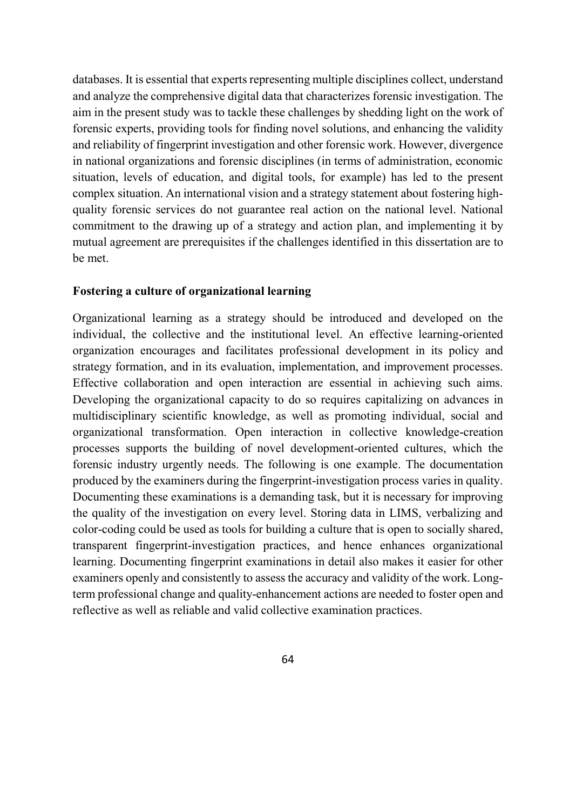databases. It is essential that experts representing multiple disciplines collect, understand and analyze the comprehensive digital data that characterizes forensic investigation. The aim in the present study was to tackle these challenges by shedding light on the work of forensic experts, providing tools for finding novel solutions, and enhancing the validity and reliability of fingerprint investigation and other forensic work. However, divergence in national organizations and forensic disciplines (in terms of administration, economic situation, levels of education, and digital tools, for example) has led to the present complex situation. An international vision and a strategy statement about fostering highquality forensic services do not guarantee real action on the national level. National commitment to the drawing up of a strategy and action plan, and implementing it by mutual agreement are prerequisites if the challenges identified in this dissertation are to be met.

### **Fostering a culture of organizational learning**

Organizational learning as a strategy should be introduced and developed on the individual, the collective and the institutional level. An effective learning-oriented organization encourages and facilitates professional development in its policy and strategy formation, and in its evaluation, implementation, and improvement processes. Effective collaboration and open interaction are essential in achieving such aims. Developing the organizational capacity to do so requires capitalizing on advances in multidisciplinary scientific knowledge, as well as promoting individual, social and organizational transformation. Open interaction in collective knowledge-creation processes supports the building of novel development-oriented cultures, which the forensic industry urgently needs. The following is one example. The documentation produced by the examiners during the fingerprint-investigation process varies in quality. Documenting these examinations is a demanding task, but it is necessary for improving the quality of the investigation on every level. Storing data in LIMS, verbalizing and color-coding could be used as tools for building a culture that is open to socially shared, transparent fingerprint-investigation practices, and hence enhances organizational learning. Documenting fingerprint examinations in detail also makes it easier for other examiners openly and consistently to assess the accuracy and validity of the work. Longterm professional change and quality-enhancement actions are needed to foster open and reflective as well as reliable and valid collective examination practices.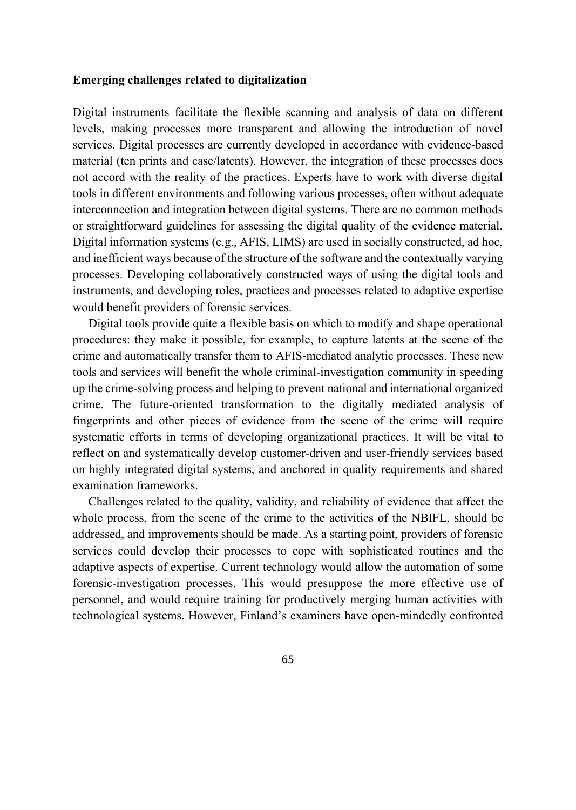## **Emerging challenges related to digitalization**

Digital instruments facilitate the flexible scanning and analysis of data on different levels, making processes more transparent and allowing the introduction of novel services. Digital processes are currently developed in accordance with evidence-based material (ten prints and case/latents). However, the integration of these processes does not accord with the reality of the practices. Experts have to work with diverse digital tools in different environments and following various processes, often without adequate interconnection and integration between digital systems. There are no common methods or straightforward guidelines for assessing the digital quality of the evidence material. Digital information systems (e.g., AFIS, LIMS) are used in socially constructed, ad hoc, and inefficient ways because of the structure of the software and the contextually varying processes. Developing collaboratively constructed ways of using the digital tools and instruments, and developing roles, practices and processes related to adaptive expertise would benefit providers of forensic services.

Digital tools provide quite a flexible basis on which to modify and shape operational procedures: they make it possible, for example, to capture latents at the scene of the crime and automatically transfer them to AFIS-mediated analytic processes. These new tools and services will benefit the whole criminal-investigation community in speeding up the crime-solving process and helping to prevent national and international organized crime. The future-oriented transformation to the digitally mediated analysis of fingerprints and other pieces of evidence from the scene of the crime will require systematic efforts in terms of developing organizational practices. It will be vital to reflect on and systematically develop customer-driven and user-friendly services based on highly integrated digital systems, and anchored in quality requirements and shared examination frameworks.

Challenges related to the quality, validity, and reliability of evidence that affect the whole process, from the scene of the crime to the activities of the NBIFL, should be addressed, and improvements should be made. As a starting point, providers of forensic services could develop their processes to cope with sophisticated routines and the adaptive aspects of expertise. Current technology would allow the automation of some forensic-investigation processes. This would presuppose the more effective use of personnel, and would require training for productively merging human activities with technological systems. However, Finland's examiners have open-mindedly confronted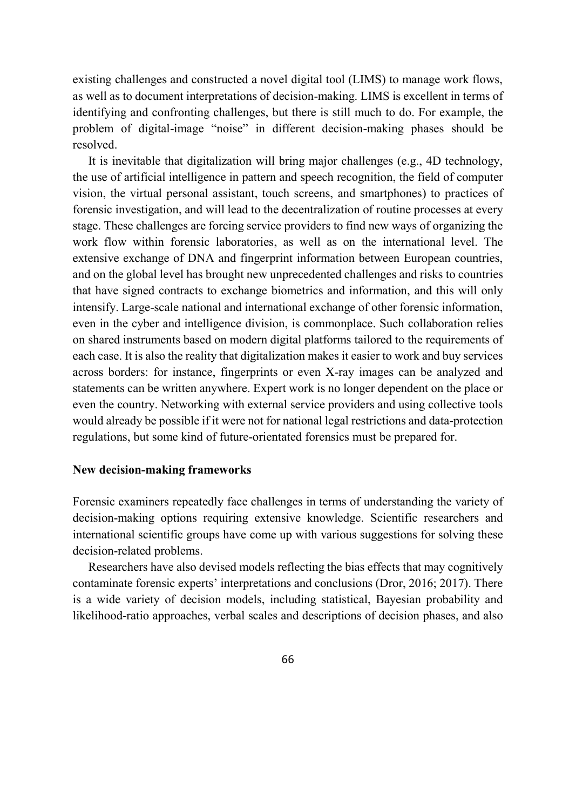existing challenges and constructed a novel digital tool (LIMS) to manage work flows, as well as to document interpretations of decision-making. LIMS is excellent in terms of identifying and confronting challenges, but there is still much to do. For example, the problem of digital-image "noise" in different decision-making phases should be resolved.

It is inevitable that digitalization will bring major challenges (e.g., 4D technology, the use of artificial intelligence in pattern and speech recognition, the field of computer vision, the virtual personal assistant, touch screens, and smartphones) to practices of forensic investigation, and will lead to the decentralization of routine processes at every stage. These challenges are forcing service providers to find new ways of organizing the work flow within forensic laboratories, as well as on the international level. The extensive exchange of DNA and fingerprint information between European countries, and on the global level has brought new unprecedented challenges and risks to countries that have signed contracts to exchange biometrics and information, and this will only intensify. Large-scale national and international exchange of other forensic information, even in the cyber and intelligence division, is commonplace. Such collaboration relies on shared instruments based on modern digital platforms tailored to the requirements of each case. It is also the reality that digitalization makes it easier to work and buy services across borders: for instance, fingerprints or even X-ray images can be analyzed and statements can be written anywhere. Expert work is no longer dependent on the place or even the country. Networking with external service providers and using collective tools would already be possible if it were not for national legal restrictions and data-protection regulations, but some kind of future-orientated forensics must be prepared for.

#### **New decision-making frameworks**

Forensic examiners repeatedly face challenges in terms of understanding the variety of decision-making options requiring extensive knowledge. Scientific researchers and international scientific groups have come up with various suggestions for solving these decision-related problems.

Researchers have also devised models reflecting the bias effects that may cognitively contaminate forensic experts' interpretations and conclusions (Dror, 2016; 2017). There is a wide variety of decision models, including statistical, Bayesian probability and likelihood-ratio approaches, verbal scales and descriptions of decision phases, and also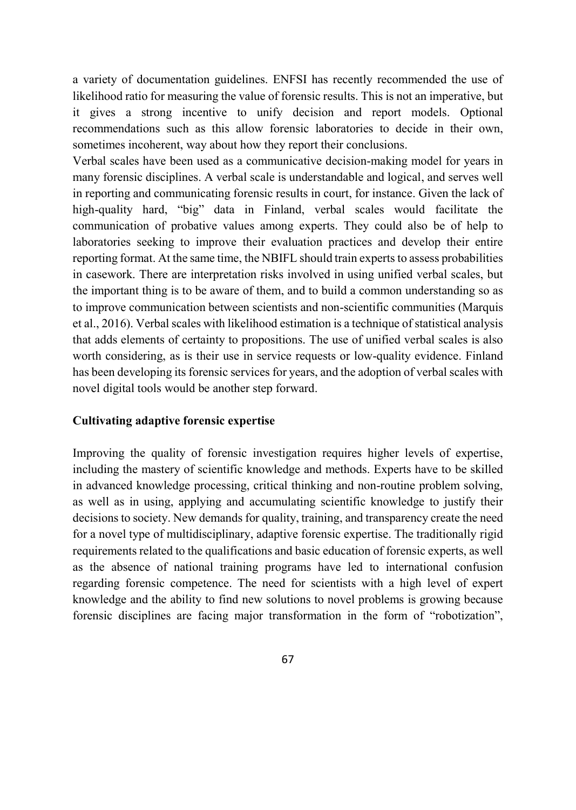a variety of documentation guidelines. ENFSI has recently recommended the use of likelihood ratio for measuring the value of forensic results. This is not an imperative, but it gives a strong incentive to unify decision and report models. Optional recommendations such as this allow forensic laboratories to decide in their own, sometimes incoherent, way about how they report their conclusions.

Verbal scales have been used as a communicative decision-making model for years in many forensic disciplines. A verbal scale is understandable and logical, and serves well in reporting and communicating forensic results in court, for instance. Given the lack of high-quality hard, "big" data in Finland, verbal scales would facilitate the communication of probative values among experts. They could also be of help to laboratories seeking to improve their evaluation practices and develop their entire reporting format. At the same time, the NBIFL should train experts to assess probabilities in casework. There are interpretation risks involved in using unified verbal scales, but the important thing is to be aware of them, and to build a common understanding so as to improve communication between scientists and non-scientific communities (Marquis et al., 2016). Verbal scales with likelihood estimation is a technique of statistical analysis that adds elements of certainty to propositions. The use of unified verbal scales is also worth considering, as is their use in service requests or low-quality evidence. Finland has been developing its forensic services for years, and the adoption of verbal scales with novel digital tools would be another step forward.

## **Cultivating adaptive forensic expertise**

Improving the quality of forensic investigation requires higher levels of expertise, including the mastery of scientific knowledge and methods. Experts have to be skilled in advanced knowledge processing, critical thinking and non-routine problem solving, as well as in using, applying and accumulating scientific knowledge to justify their decisions to society. New demands for quality, training, and transparency create the need for a novel type of multidisciplinary, adaptive forensic expertise. The traditionally rigid requirements related to the qualifications and basic education of forensic experts, as well as the absence of national training programs have led to international confusion regarding forensic competence. The need for scientists with a high level of expert knowledge and the ability to find new solutions to novel problems is growing because forensic disciplines are facing major transformation in the form of "robotization",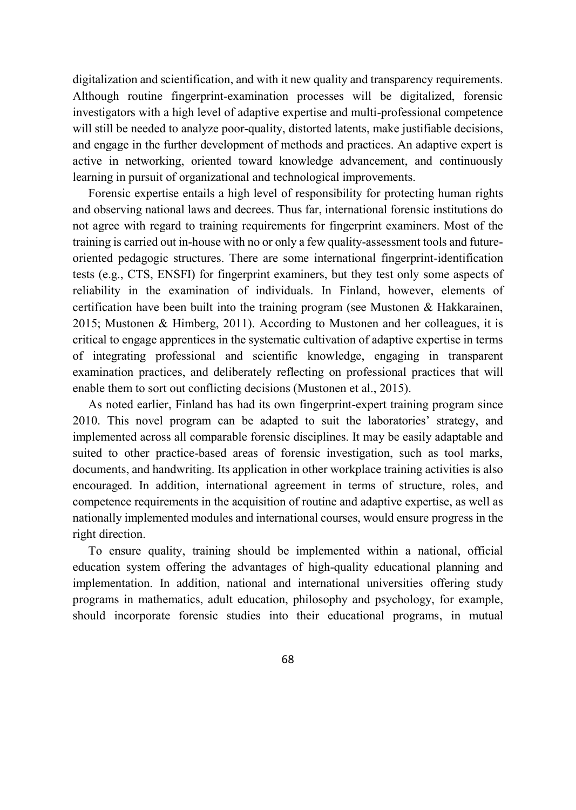digitalization and scientification, and with it new quality and transparency requirements. Although routine fingerprint-examination processes will be digitalized, forensic investigators with a high level of adaptive expertise and multi-professional competence will still be needed to analyze poor-quality, distorted latents, make justifiable decisions, and engage in the further development of methods and practices. An adaptive expert is active in networking, oriented toward knowledge advancement, and continuously learning in pursuit of organizational and technological improvements.

Forensic expertise entails a high level of responsibility for protecting human rights and observing national laws and decrees. Thus far, international forensic institutions do not agree with regard to training requirements for fingerprint examiners. Most of the training is carried out in-house with no or only a few quality-assessment tools and futureoriented pedagogic structures. There are some international fingerprint-identification tests (e.g., CTS, ENSFI) for fingerprint examiners, but they test only some aspects of reliability in the examination of individuals. In Finland, however, elements of certification have been built into the training program (see Mustonen & Hakkarainen, 2015; Mustonen & Himberg, 2011). According to Mustonen and her colleagues, it is critical to engage apprentices in the systematic cultivation of adaptive expertise in terms of integrating professional and scientific knowledge, engaging in transparent examination practices, and deliberately reflecting on professional practices that will enable them to sort out conflicting decisions (Mustonen et al., 2015).

As noted earlier, Finland has had its own fingerprint-expert training program since 2010. This novel program can be adapted to suit the laboratories' strategy, and implemented across all comparable forensic disciplines. It may be easily adaptable and suited to other practice-based areas of forensic investigation, such as tool marks, documents, and handwriting. Its application in other workplace training activities is also encouraged. In addition, international agreement in terms of structure, roles, and competence requirements in the acquisition of routine and adaptive expertise, as well as nationally implemented modules and international courses, would ensure progress in the right direction.

To ensure quality, training should be implemented within a national, official education system offering the advantages of high-quality educational planning and implementation. In addition, national and international universities offering study programs in mathematics, adult education, philosophy and psychology, for example, should incorporate forensic studies into their educational programs, in mutual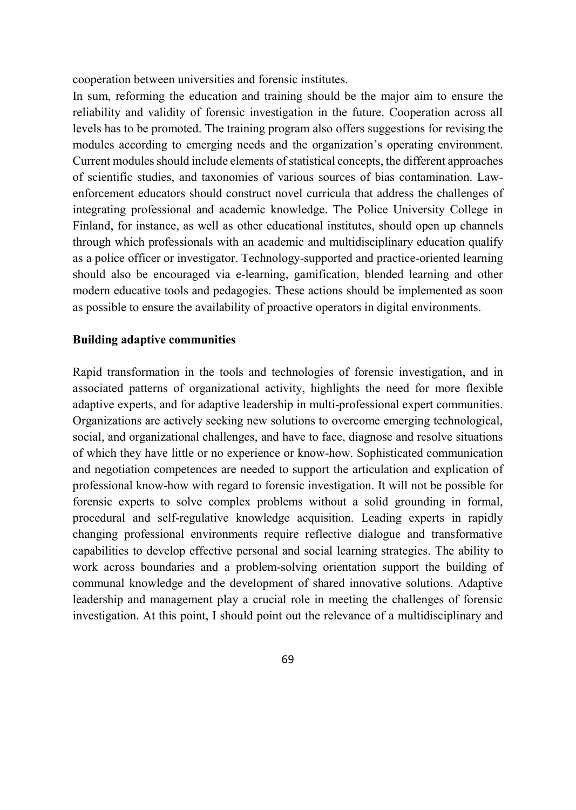cooperation between universities and forensic institutes.

In sum, reforming the education and training should be the major aim to ensure the reliability and validity of forensic investigation in the future. Cooperation across all levels has to be promoted. The training program also offers suggestions for revising the modules according to emerging needs and the organization's operating environment. Current modules should include elements of statistical concepts, the different approaches of scientific studies, and taxonomies of various sources of bias contamination. Lawenforcement educators should construct novel curricula that address the challenges of integrating professional and academic knowledge. The Police University College in Finland, for instance, as well as other educational institutes, should open up channels through which professionals with an academic and multidisciplinary education qualify as a police officer or investigator. Technology-supported and practice-oriented learning should also be encouraged via e-learning, gamification, blended learning and other modern educative tools and pedagogies. These actions should be implemented as soon as possible to ensure the availability of proactive operators in digital environments.

#### **Building adaptive communities**

Rapid transformation in the tools and technologies of forensic investigation, and in associated patterns of organizational activity, highlights the need for more flexible adaptive experts, and for adaptive leadership in multi-professional expert communities. Organizations are actively seeking new solutions to overcome emerging technological, social, and organizational challenges, and have to face, diagnose and resolve situations of which they have little or no experience or know-how. Sophisticated communication and negotiation competences are needed to support the articulation and explication of professional know-how with regard to forensic investigation. It will not be possible for forensic experts to solve complex problems without a solid grounding in formal, procedural and self-regulative knowledge acquisition. Leading experts in rapidly changing professional environments require reflective dialogue and transformative capabilities to develop effective personal and social learning strategies. The ability to work across boundaries and a problem-solving orientation support the building of communal knowledge and the development of shared innovative solutions. Adaptive leadership and management play a crucial role in meeting the challenges of forensic investigation. At this point, I should point out the relevance of a multidisciplinary and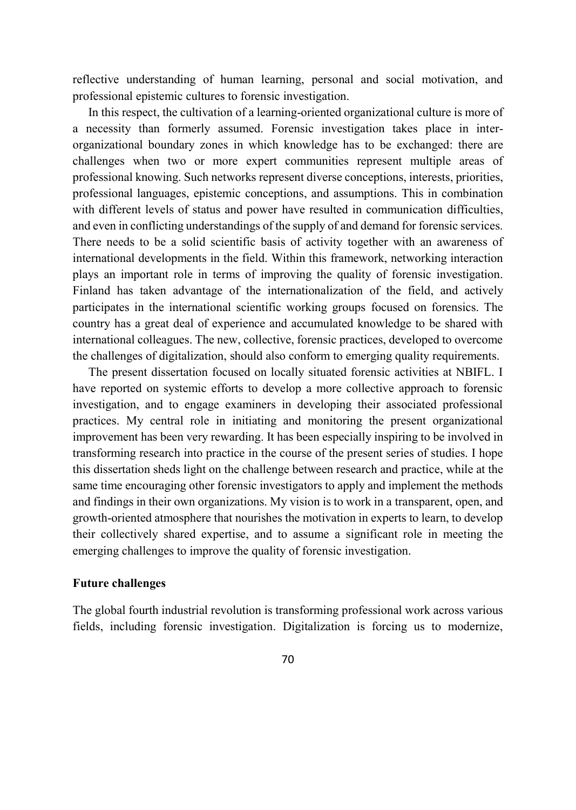reflective understanding of human learning, personal and social motivation, and professional epistemic cultures to forensic investigation.

In this respect, the cultivation of a learning-oriented organizational culture is more of a necessity than formerly assumed. Forensic investigation takes place in interorganizational boundary zones in which knowledge has to be exchanged: there are challenges when two or more expert communities represent multiple areas of professional knowing. Such networks represent diverse conceptions, interests, priorities, professional languages, epistemic conceptions, and assumptions. This in combination with different levels of status and power have resulted in communication difficulties, and even in conflicting understandings of the supply of and demand for forensic services. There needs to be a solid scientific basis of activity together with an awareness of international developments in the field. Within this framework, networking interaction plays an important role in terms of improving the quality of forensic investigation. Finland has taken advantage of the internationalization of the field, and actively participates in the international scientific working groups focused on forensics. The country has a great deal of experience and accumulated knowledge to be shared with international colleagues. The new, collective, forensic practices, developed to overcome the challenges of digitalization, should also conform to emerging quality requirements.

The present dissertation focused on locally situated forensic activities at NBIFL. I have reported on systemic efforts to develop a more collective approach to forensic investigation, and to engage examiners in developing their associated professional practices. My central role in initiating and monitoring the present organizational improvement has been very rewarding. It has been especially inspiring to be involved in transforming research into practice in the course of the present series of studies. I hope this dissertation sheds light on the challenge between research and practice, while at the same time encouraging other forensic investigators to apply and implement the methods and findings in their own organizations. My vision is to work in a transparent, open, and growth-oriented atmosphere that nourishes the motivation in experts to learn, to develop their collectively shared expertise, and to assume a significant role in meeting the emerging challenges to improve the quality of forensic investigation.

#### **Future challenges**

The global fourth industrial revolution is transforming professional work across various fields, including forensic investigation. Digitalization is forcing us to modernize,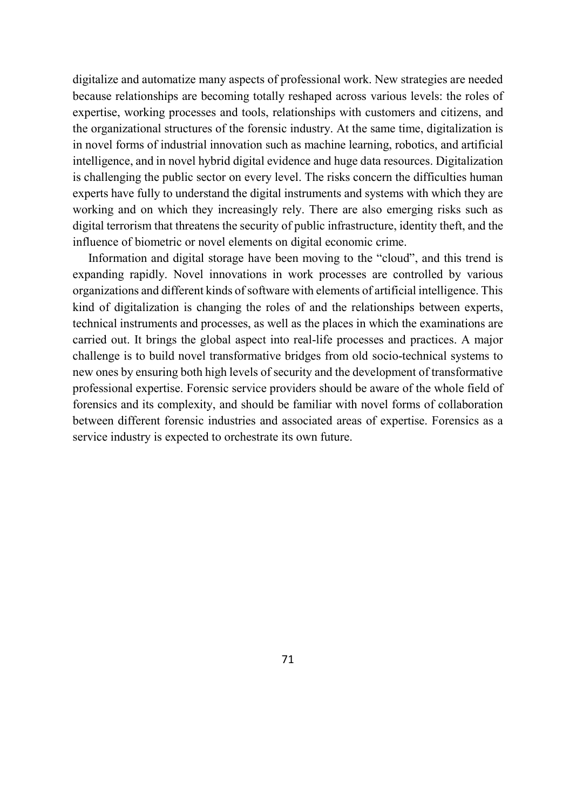digitalize and automatize many aspects of professional work. New strategies are needed because relationships are becoming totally reshaped across various levels: the roles of expertise, working processes and tools, relationships with customers and citizens, and the organizational structures of the forensic industry. At the same time, digitalization is in novel forms of industrial innovation such as machine learning, robotics, and artificial intelligence, and in novel hybrid digital evidence and huge data resources. Digitalization is challenging the public sector on every level. The risks concern the difficulties human experts have fully to understand the digital instruments and systems with which they are working and on which they increasingly rely. There are also emerging risks such as digital terrorism that threatens the security of public infrastructure, identity theft, and the influence of biometric or novel elements on digital economic crime.

Information and digital storage have been moving to the "cloud", and this trend is expanding rapidly. Novel innovations in work processes are controlled by various organizations and different kinds of software with elements of artificial intelligence. This kind of digitalization is changing the roles of and the relationships between experts, technical instruments and processes, as well as the places in which the examinations are carried out. It brings the global aspect into real-life processes and practices. A major challenge is to build novel transformative bridges from old socio-technical systems to new ones by ensuring both high levels of security and the development of transformative professional expertise. Forensic service providers should be aware of the whole field of forensics and its complexity, and should be familiar with novel forms of collaboration between different forensic industries and associated areas of expertise. Forensics as a service industry is expected to orchestrate its own future.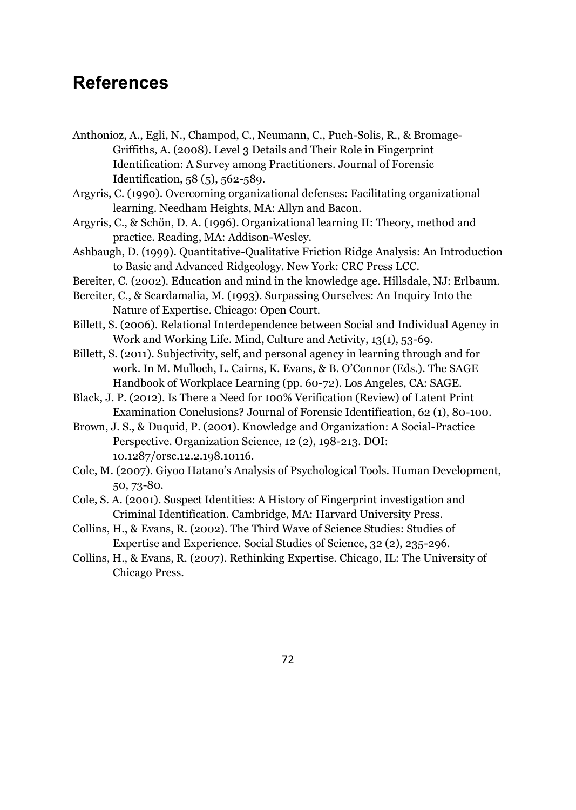# **References**

Anthonioz, A., Egli, N., Champod, C., Neumann, C., Puch-Solis, R., & Bromage-Griffiths, A. (2008). Level 3 Details and Their Role in Fingerprint Identification: A Survey among Practitioners. Journal of Forensic Identification, 58 (5), 562-589.

Argyris, C. (1990). Overcoming organizational defenses: Facilitating organizational learning. Needham Heights, MA: Allyn and Bacon.

- Argyris, C., & Schön, D. A. (1996). Organizational learning II: Theory, method and practice. Reading, MA: Addison-Wesley.
- Ashbaugh, D. (1999). Quantitative-Qualitative Friction Ridge Analysis: An Introduction to Basic and Advanced Ridgeology. New York: CRC Press LCC.
- Bereiter, C. (2002). Education and mind in the knowledge age. Hillsdale, NJ: Erlbaum.
- Bereiter, C., & Scardamalia, M. (1993). Surpassing Ourselves: An Inquiry Into the Nature of Expertise. Chicago: Open Court.
- Billett, S. (2006). Relational Interdependence between Social and Individual Agency in Work and Working Life. Mind, Culture and Activity, 13(1), 53-69.
- Billett, S. (2011). Subjectivity, self, and personal agency in learning through and for work. In M. Mulloch, L. Cairns, K. Evans, & B. O'Connor (Eds.). The SAGE Handbook of Workplace Learning (pp. 60-72). Los Angeles, CA: SAGE.
- Black, J. P. (2012). Is There a Need for 100% Verification (Review) of Latent Print Examination Conclusions? Journal of Forensic Identification, 62 (1), 80-100.
- Brown, J. S., & Duquid, P. (2001). Knowledge and Organization: A Social-Practice Perspective. Organization Science, 12 (2), 198-213. DOI: 10.1287/orsc.12.2.198.10116.
- Cole, M. (2007). Giyoo Hatano's Analysis of Psychological Tools. Human Development, 50, 73-80.
- Cole, S. A. (2001). Suspect Identities: A History of Fingerprint investigation and Criminal Identification. Cambridge, MA: Harvard University Press.
- Collins, H., & Evans, R. (2002). The Third Wave of Science Studies: Studies of Expertise and Experience. Social Studies of Science, 32 (2), 235-296.
- Collins, H., & Evans, R. (2007). Rethinking Expertise. Chicago, IL: The University of Chicago Press.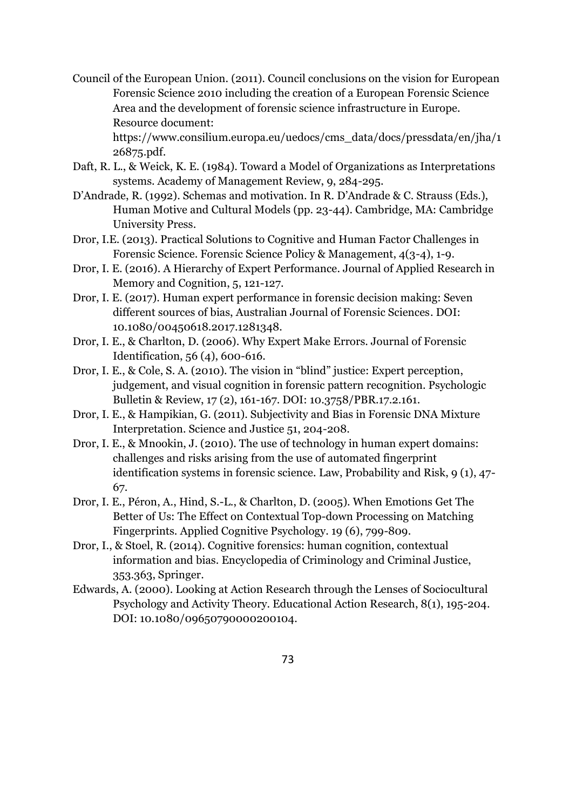Council of the European Union. (2011). Council conclusions on the vision for European Forensic Science 2010 including the creation of a European Forensic Science Area and the development of forensic science infrastructure in Europe. Resource document:

https://www.consilium.europa.eu/uedocs/cms\_data/docs/pressdata/en/jha/1 26875.pdf.

- Daft, R. L., & Weick, K. E. (1984). Toward a Model of Organizations as Interpretations systems. Academy of Management Review, 9, 284-295.
- D'Andrade, R. (1992). Schemas and motivation. In R. D'Andrade & C. Strauss (Eds.), Human Motive and Cultural Models (pp. 23-44). Cambridge, MA: Cambridge University Press.
- Dror, I.E. (2013). Practical Solutions to Cognitive and Human Factor Challenges in Forensic Science. Forensic Science Policy & Management, 4(3-4), 1-9.
- Dror, I. E. (2016). A Hierarchy of Expert Performance. Journal of Applied Research in Memory and Cognition, 5, 121-127.
- Dror, I. E. (2017). Human expert performance in forensic decision making: Seven different sources of bias, Australian Journal of Forensic Sciences. DOI: 10.1080/00450618.2017.1281348.
- Dror, I. E., & Charlton, D. (2006). Why Expert Make Errors. Journal of Forensic Identification, 56 (4), 600-616.
- Dror, I. E., & Cole, S. A. (2010). The vision in "blind" justice: Expert perception, judgement, and visual cognition in forensic pattern recognition. Psychologic Bulletin & Review, 17 (2), 161-167. DOI: 10.3758/PBR.17.2.161.
- Dror, I. E., & Hampikian, G. (2011). Subjectivity and Bias in Forensic DNA Mixture Interpretation. Science and Justice 51, 204-208.
- Dror, I. E., & Mnookin, J. (2010). The use of technology in human expert domains: challenges and risks arising from the use of automated fingerprint identification systems in forensic science. Law, Probability and Risk, 9 (1), 47- 67.
- Dror, I. E., Péron, A., Hind, S.-L., & Charlton, D. (2005). When Emotions Get The Better of Us: The Effect on Contextual Top-down Processing on Matching Fingerprints. Applied Cognitive Psychology. 19 (6), 799-809.
- Dror, I., & Stoel, R. (2014). Cognitive forensics: human cognition, contextual information and bias. Encyclopedia of Criminology and Criminal Justice, 353.363, Springer.
- Edwards, A. (2000). Looking at Action Research through the Lenses of Sociocultural Psychology and Activity Theory. Educational Action Research, 8(1), 195-204. DOI: 10.1080/09650790000200104.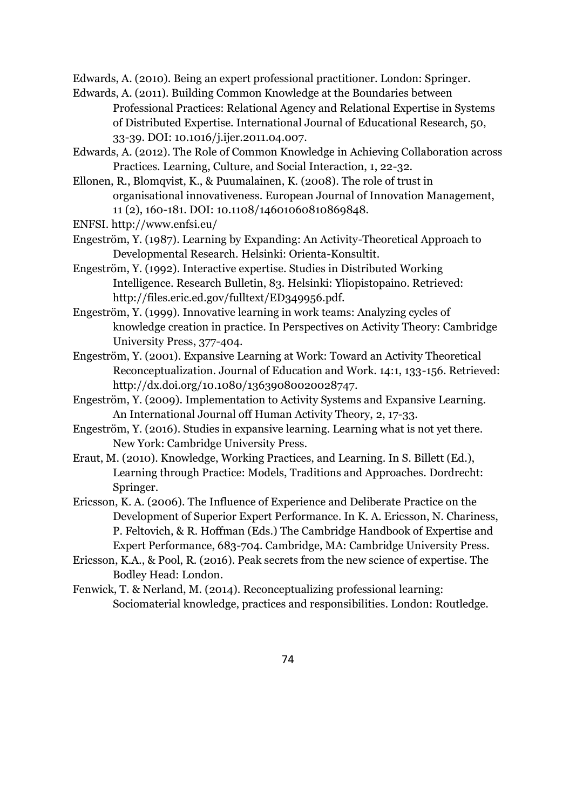Edwards, A. (2010). Being an expert professional practitioner. London: Springer.

- Edwards, A. (2011). Building Common Knowledge at the Boundaries between Professional Practices: Relational Agency and Relational Expertise in Systems of Distributed Expertise. International Journal of Educational Research, 50, 33-39. DOI: 10.1016/j.ijer.2011.04.007.
- Edwards, A. (2012). The Role of Common Knowledge in Achieving Collaboration across Practices. Learning, Culture, and Social Interaction, 1, 22-32.
- Ellonen, R., Blomqvist, K., & Puumalainen, K. (2008). The role of trust in organisational innovativeness. European Journal of Innovation Management, 11 (2), 160-181. DOI: 10.1108/14601060810869848.
- ENFSI. http://www.enfsi.eu/
- Engeström, Y. (1987). Learning by Expanding: An Activity-Theoretical Approach to Developmental Research. Helsinki: Orienta-Konsultit.
- Engeström, Y. (1992). Interactive expertise. Studies in Distributed Working Intelligence. Research Bulletin, 83. Helsinki: Yliopistopaino. Retrieved: http://files.eric.ed.gov/fulltext/ED349956.pdf.
- Engeström, Y. (1999). Innovative learning in work teams: Analyzing cycles of knowledge creation in practice. In Perspectives on Activity Theory: Cambridge University Press, 377-404.
- Engeström, Y. (2001). Expansive Learning at Work: Toward an Activity Theoretical Reconceptualization. Journal of Education and Work. 14:1, 133-156. Retrieved: http://dx.doi.org/10.1080/13639080020028747.
- Engeström, Y. (2009). Implementation to Activity Systems and Expansive Learning. An International Journal off Human Activity Theory, 2, 17-33.
- Engeström, Y. (2016). Studies in expansive learning. Learning what is not yet there. New York: Cambridge University Press.
- Eraut, M. (2010). Knowledge, Working Practices, and Learning. In S. Billett (Ed.), Learning through Practice: Models, Traditions and Approaches. Dordrecht: Springer.
- Ericsson, K. A. (2006). The Influence of Experience and Deliberate Practice on the Development of Superior Expert Performance. In K. A. Ericsson, N. Chariness, P. Feltovich, & R. Hoffman (Eds.) The Cambridge Handbook of Expertise and Expert Performance, 683-704. Cambridge, MA: Cambridge University Press.
- Ericsson, K.A., & Pool, R. (2016). Peak secrets from the new science of expertise. The Bodley Head: London.
- Fenwick, T. & Nerland, M. (2014). Reconceptualizing professional learning: Sociomaterial knowledge, practices and responsibilities. London: Routledge.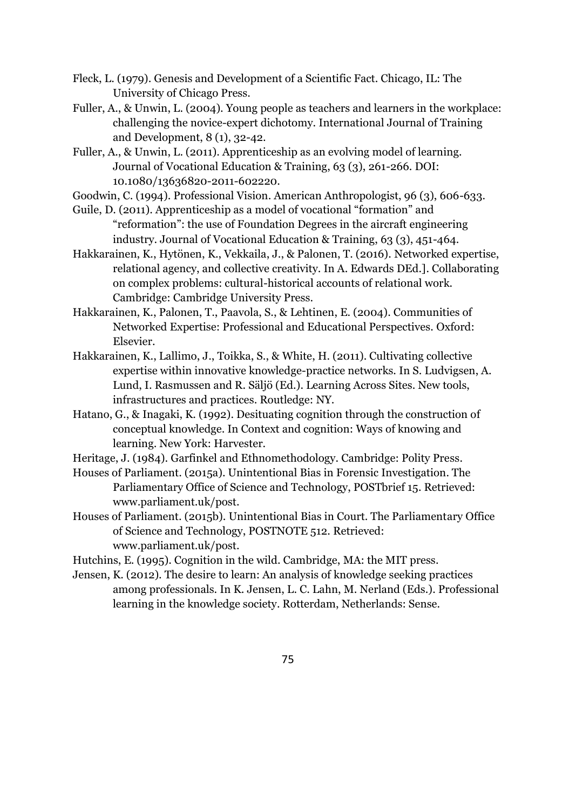Fleck, L. (1979). Genesis and Development of a Scientific Fact. Chicago, IL: The University of Chicago Press.

- Fuller, A., & Unwin, L. (2004). Young people as teachers and learners in the workplace: challenging the novice-expert dichotomy. International Journal of Training and Development, 8 (1), 32-42.
- Fuller, A., & Unwin, L. (2011). Apprenticeship as an evolving model of learning. Journal of Vocational Education & Training, 63 (3), 261-266. DOI: 10.1080/13636820-2011-602220.

Goodwin, C. (1994). Professional Vision. American Anthropologist, 96 (3), 606-633.

- Guile, D. (2011). Apprenticeship as a model of vocational "formation" and "reformation": the use of Foundation Degrees in the aircraft engineering industry. Journal of Vocational Education & Training, 63 (3), 451-464.
- Hakkarainen, K., Hytönen, K., Vekkaila, J., & Palonen, T. (2016). Networked expertise, relational agency, and collective creativity. In A. Edwards DEd.]. Collaborating on complex problems: cultural-historical accounts of relational work. Cambridge: Cambridge University Press.
- Hakkarainen, K., Palonen, T., Paavola, S., & Lehtinen, E. (2004). Communities of Networked Expertise: Professional and Educational Perspectives. Oxford: Elsevier.
- Hakkarainen, K., Lallimo, J., Toikka, S., & White, H. (2011). Cultivating collective expertise within innovative knowledge-practice networks. In S. Ludvigsen, A. Lund, I. Rasmussen and R. Säljö (Ed.). Learning Across Sites. New tools, infrastructures and practices. Routledge: NY.
- Hatano, G., & Inagaki, K. (1992). Desituating cognition through the construction of conceptual knowledge. In Context and cognition: Ways of knowing and learning. New York: Harvester.
- Heritage, J. (1984). Garfinkel and Ethnomethodology. Cambridge: Polity Press.
- Houses of Parliament. (2015a). Unintentional Bias in Forensic Investigation. The Parliamentary Office of Science and Technology, POSTbrief 15. Retrieved: www.parliament.uk/post.
- Houses of Parliament. (2015b). Unintentional Bias in Court. The Parliamentary Office of Science and Technology, POSTNOTE 512. Retrieved: www.parliament.uk/post.

Hutchins, E. (1995). Cognition in the wild. Cambridge, MA: the MIT press.

Jensen, K. (2012). The desire to learn: An analysis of knowledge seeking practices among professionals. In K. Jensen, L. C. Lahn, M. Nerland (Eds.). Professional learning in the knowledge society. Rotterdam, Netherlands: Sense.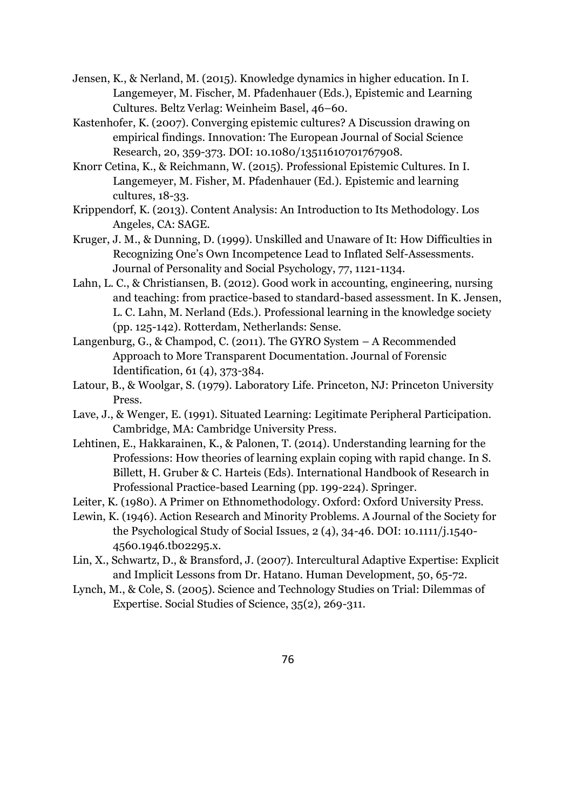- Jensen, K., & Nerland, M. (2015). Knowledge dynamics in higher education. In I. Langemeyer, M. Fischer, M. Pfadenhauer (Eds.), Epistemic and Learning Cultures. Beltz Verlag: Weinheim Basel, 46–60.
- Kastenhofer, K. (2007). Converging epistemic cultures? A Discussion drawing on empirical findings. Innovation: The European Journal of Social Science Research, 20, 359-373. DOI: 10.1080/13511610701767908.
- Knorr Cetina, K., & Reichmann, W. (2015). Professional Epistemic Cultures. In I. Langemeyer, M. Fisher, M. Pfadenhauer (Ed.). Epistemic and learning cultures, 18-33.
- Krippendorf, K. (2013). Content Analysis: An Introduction to Its Methodology. Los Angeles, CA: SAGE.
- Kruger, J. M., & Dunning, D. (1999). Unskilled and Unaware of It: How Difficulties in Recognizing One's Own Incompetence Lead to Inflated Self-Assessments. Journal of Personality and Social Psychology, 77, 1121-1134.
- Lahn, L. C., & Christiansen, B. (2012). Good work in accounting, engineering, nursing and teaching: from practice-based to standard-based assessment. In K. Jensen, L. C. Lahn, M. Nerland (Eds.). Professional learning in the knowledge society (pp. 125-142). Rotterdam, Netherlands: Sense.
- Langenburg, G., & Champod, C. (2011). The GYRO System A Recommended Approach to More Transparent Documentation. Journal of Forensic Identification, 61 (4), 373-384.
- Latour, B., & Woolgar, S. (1979). Laboratory Life. Princeton, NJ: Princeton University Press.
- Lave, J., & Wenger, E. (1991). Situated Learning: Legitimate Peripheral Participation. Cambridge, MA: Cambridge University Press.
- Lehtinen, E., Hakkarainen, K., & Palonen, T. (2014). Understanding learning for the Professions: How theories of learning explain coping with rapid change. In S. Billett, H. Gruber & C. Harteis (Eds). International Handbook of Research in Professional Practice-based Learning (pp. 199-224). Springer.
- Leiter, K. (1980). A Primer on Ethnomethodology. Oxford: Oxford University Press.
- Lewin, K. (1946). Action Research and Minority Problems. A Journal of the Society for the Psychological Study of Social Issues, 2 (4), 34-46. DOI: 10.1111/j.1540- 4560.1946.tb02295.x.
- Lin, X., Schwartz, D., & Bransford, J. (2007). Intercultural Adaptive Expertise: Explicit and Implicit Lessons from Dr. Hatano. Human Development, 50, 65-72.
- Lynch, M., & Cole, S. (2005). Science and Technology Studies on Trial: Dilemmas of Expertise. Social Studies of Science, 35(2), 269-311.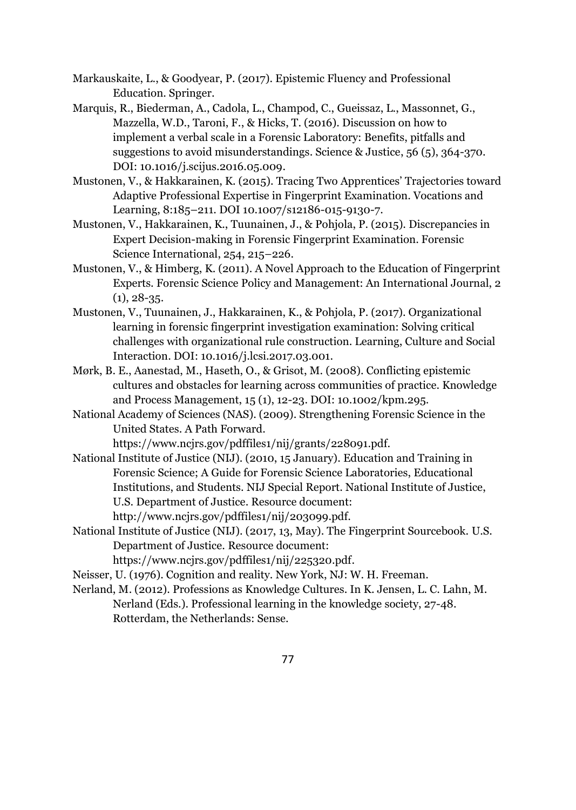Markauskaite, L., & Goodyear, P. (2017). Epistemic Fluency and Professional Education. Springer.

- Marquis, R., Biederman, A., Cadola, L., Champod, C., Gueissaz, L., Massonnet, G., Mazzella, W.D., Taroni, F., & Hicks, T. (2016). Discussion on how to implement a verbal scale in a Forensic Laboratory: Benefits, pitfalls and suggestions to avoid misunderstandings. Science & Justice, 56 (5), 364-370. DOI: 10.1016/j.scijus.2016.05.009.
- Mustonen, V., & Hakkarainen, K. (2015). Tracing Two Apprentices' Trajectories toward Adaptive Professional Expertise in Fingerprint Examination. Vocations and Learning, 8:185–211. DOI 10.1007/s12186-015-9130-7.
- Mustonen, V., Hakkarainen, K., Tuunainen, J., & Pohjola, P. (2015). Discrepancies in Expert Decision-making in Forensic Fingerprint Examination. Forensic Science International, 254, 215–226.
- Mustonen, V., & Himberg, K. (2011). A Novel Approach to the Education of Fingerprint Experts. Forensic Science Policy and Management: An International Journal, 2  $(1), 28-35.$
- Mustonen, V., Tuunainen, J., Hakkarainen, K., & Pohjola, P. (2017). Organizational learning in forensic fingerprint investigation examination: Solving critical challenges with organizational rule construction. Learning, Culture and Social Interaction. DOI: 10.1016/j.lcsi.2017.03.001.
- Mørk, B. E., Aanestad, M., Haseth, O., & Grisot, M. (2008). Conflicting epistemic cultures and obstacles for learning across communities of practice. Knowledge and Process Management, 15 (1), 12-23. DOI: 10.1002/kpm.295.
- National Academy of Sciences (NAS). (2009). Strengthening Forensic Science in the United States. A Path Forward.

https://www.ncjrs.gov/pdffiles1/nij/grants/228091.pdf.

- National Institute of Justice (NIJ). (2010, 15 January). Education and Training in Forensic Science; A Guide for Forensic Science Laboratories, Educational Institutions, and Students. NIJ Special Report. National Institute of Justice, U.S. Department of Justice. Resource document: http://www.ncjrs.gov/pdffiles1/nij/203099.pdf.
- National Institute of Justice (NIJ). (2017, 13, May). The Fingerprint Sourcebook. U.S. Department of Justice. Resource document:

https://www.ncjrs.gov/pdffiles1/nij/225320.pdf.

- Neisser, U. (1976). Cognition and reality. New York, NJ: W. H. Freeman.
- Nerland, M. (2012). Professions as Knowledge Cultures. In K. Jensen, L. C. Lahn, M. Nerland (Eds.). Professional learning in the knowledge society, 27-48. Rotterdam, the Netherlands: Sense.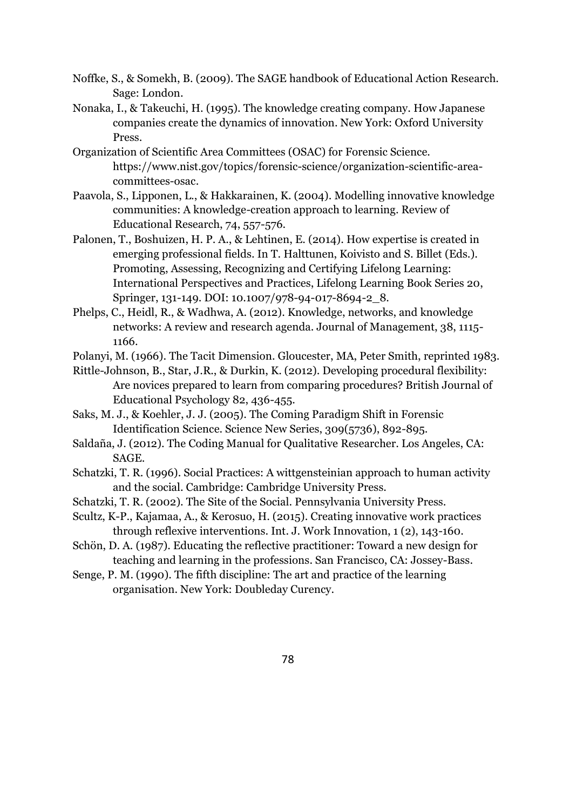- Noffke, S., & Somekh, B. (2009). The SAGE handbook of Educational Action Research. Sage: London.
- Nonaka, I., & Takeuchi, H. (1995). The knowledge creating company. How Japanese companies create the dynamics of innovation. New York: Oxford University Press.
- Organization of Scientific Area Committees (OSAC) for Forensic Science. https://www.nist.gov/topics/forensic-science/organization-scientific-areacommittees-osac.
- Paavola, S., Lipponen, L., & Hakkarainen, K. (2004). Modelling innovative knowledge communities: A knowledge-creation approach to learning. Review of Educational Research, 74, 557-576.
- Palonen, T., Boshuizen, H. P. A., & Lehtinen, E. (2014). How expertise is created in emerging professional fields. In T. Halttunen, Koivisto and S. Billet (Eds.). Promoting, Assessing, Recognizing and Certifying Lifelong Learning: International Perspectives and Practices, Lifelong Learning Book Series 20, Springer, 131-149. DOI: 10.1007/978-94-017-8694-2 8.
- Phelps, C., Heidl, R., & Wadhwa, A. (2012). Knowledge, networks, and knowledge networks: A review and research agenda. Journal of Management, 38, 1115- 1166.
- Polanyi, M. (1966). The Tacit Dimension. Gloucester, MA, Peter Smith, reprinted 1983.
- Rittle-Johnson, B., Star, J.R., & Durkin, K. (2012). Developing procedural flexibility: Are novices prepared to learn from comparing procedures? British Journal of Educational Psychology 82, 436-455.
- Saks, M. J., & Koehler, J. J. (2005). The Coming Paradigm Shift in Forensic Identification Science. Science New Series, 309(5736), 892-895.
- Saldaña, J. (2012). The Coding Manual for Qualitative Researcher. Los Angeles, CA: SAGE.
- Schatzki, T. R. (1996). Social Practices: A wittgensteinian approach to human activity and the social. Cambridge: Cambridge University Press.
- Schatzki, T. R. (2002). The Site of the Social. Pennsylvania University Press.
- Scultz, K-P., Kajamaa, A., & Kerosuo, H. (2015). Creating innovative work practices through reflexive interventions. Int. J. Work Innovation, 1 (2), 143-160.
- Schön, D. A. (1987). Educating the reflective practitioner: Toward a new design for teaching and learning in the professions. San Francisco, CA: Jossey-Bass.
- Senge, P. M. (1990). The fifth discipline: The art and practice of the learning organisation. New York: Doubleday Curency.